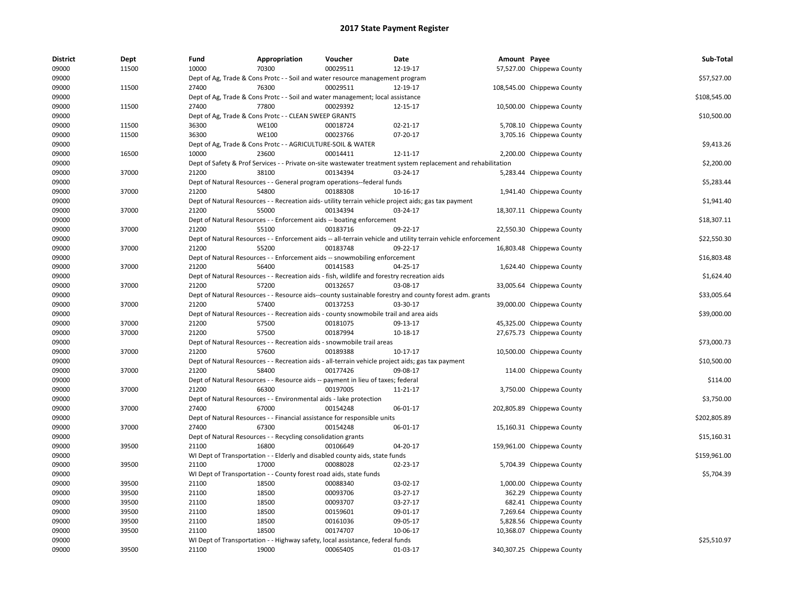| <b>District</b> | Dept  | Fund  | Appropriation                                                                               | Voucher  | Date                                                                                                          | Amount Payee |                            | Sub-Total    |
|-----------------|-------|-------|---------------------------------------------------------------------------------------------|----------|---------------------------------------------------------------------------------------------------------------|--------------|----------------------------|--------------|
| 09000           | 11500 | 10000 | 70300                                                                                       | 00029511 | 12-19-17                                                                                                      |              | 57,527.00 Chippewa County  |              |
| 09000           |       |       | Dept of Ag, Trade & Cons Protc - - Soil and water resource management program               |          |                                                                                                               |              |                            | \$57,527.00  |
| 09000           | 11500 | 27400 | 76300                                                                                       | 00029511 | 12-19-17                                                                                                      |              | 108,545.00 Chippewa County |              |
| 09000           |       |       | Dept of Ag, Trade & Cons Protc - - Soil and water management; local assistance              |          |                                                                                                               |              |                            | \$108,545.00 |
| 09000           | 11500 | 27400 | 77800                                                                                       | 00029392 | 12-15-17                                                                                                      |              | 10,500.00 Chippewa County  |              |
| 09000           |       |       | Dept of Ag, Trade & Cons Protc - - CLEAN SWEEP GRANTS                                       |          |                                                                                                               |              |                            | \$10,500.00  |
| 09000           | 11500 | 36300 | <b>WE100</b>                                                                                | 00018724 | $02 - 21 - 17$                                                                                                |              | 5,708.10 Chippewa County   |              |
| 09000           | 11500 | 36300 | <b>WE100</b>                                                                                | 00023766 | 07-20-17                                                                                                      |              | 3,705.16 Chippewa County   |              |
| 09000           |       |       | Dept of Ag, Trade & Cons Protc - - AGRICULTURE-SOIL & WATER                                 |          |                                                                                                               |              |                            | \$9,413.26   |
| 09000           | 16500 | 10000 | 23600                                                                                       | 00014411 | 12-11-17                                                                                                      |              | 2,200.00 Chippewa County   |              |
| 09000           |       |       |                                                                                             |          | Dept of Safety & Prof Services - - Private on-site wastewater treatment system replacement and rehabilitation |              |                            | \$2,200.00   |
| 09000           | 37000 | 21200 | 38100                                                                                       | 00134394 | 03-24-17                                                                                                      |              | 5,283.44 Chippewa County   |              |
| 09000           |       |       | Dept of Natural Resources - - General program operations--federal funds                     |          |                                                                                                               |              |                            | \$5,283.44   |
| 09000           | 37000 | 21200 | 54800                                                                                       | 00188308 | 10-16-17                                                                                                      |              | 1,941.40 Chippewa County   |              |
| 09000           |       |       |                                                                                             |          | Dept of Natural Resources - - Recreation aids- utility terrain vehicle project aids; gas tax payment          |              |                            | \$1,941.40   |
| 09000           | 37000 | 21200 | 55000                                                                                       | 00134394 | 03-24-17                                                                                                      |              | 18,307.11 Chippewa County  |              |
| 09000           |       |       | Dept of Natural Resources - - Enforcement aids -- boating enforcement                       |          |                                                                                                               |              |                            | \$18,307.11  |
| 09000           | 37000 | 21200 | 55100                                                                                       | 00183716 | 09-22-17                                                                                                      |              | 22,550.30 Chippewa County  |              |
|                 |       |       |                                                                                             |          |                                                                                                               |              |                            |              |
| 09000           |       |       |                                                                                             |          | Dept of Natural Resources - - Enforcement aids -- all-terrain vehicle and utility terrain vehicle enforcement |              |                            | \$22,550.30  |
| 09000           | 37000 | 21200 | 55200                                                                                       | 00183748 | 09-22-17                                                                                                      |              | 16,803.48 Chippewa County  |              |
| 09000           |       |       | Dept of Natural Resources - - Enforcement aids -- snowmobiling enforcement                  |          |                                                                                                               |              |                            | \$16,803.48  |
| 09000           | 37000 | 21200 | 56400                                                                                       | 00141583 | 04-25-17                                                                                                      |              | 1,624.40 Chippewa County   |              |
| 09000           |       |       | Dept of Natural Resources - - Recreation aids - fish, wildlife and forestry recreation aids |          |                                                                                                               |              |                            | \$1,624.40   |
| 09000           | 37000 | 21200 | 57200                                                                                       | 00132657 | 03-08-17                                                                                                      |              | 33,005.64 Chippewa County  |              |
| 09000           |       |       |                                                                                             |          | Dept of Natural Resources - - Resource aids--county sustainable forestry and county forest adm. grants        |              |                            | \$33,005.64  |
| 09000           | 37000 | 21200 | 57400                                                                                       | 00137253 | 03-30-17                                                                                                      |              | 39,000.00 Chippewa County  |              |
| 09000           |       |       | Dept of Natural Resources - - Recreation aids - county snowmobile trail and area aids       |          |                                                                                                               |              |                            | \$39,000.00  |
| 09000           | 37000 | 21200 | 57500                                                                                       | 00181075 | 09-13-17                                                                                                      |              | 45,325.00 Chippewa County  |              |
| 09000           | 37000 | 21200 | 57500                                                                                       | 00187994 | 10-18-17                                                                                                      |              | 27,675.73 Chippewa County  |              |
| 09000           |       |       | Dept of Natural Resources - - Recreation aids - snowmobile trail areas                      |          |                                                                                                               |              |                            | \$73,000.73  |
| 09000           | 37000 | 21200 | 57600                                                                                       | 00189388 | 10-17-17                                                                                                      |              | 10,500.00 Chippewa County  |              |
| 09000           |       |       |                                                                                             |          | Dept of Natural Resources - - Recreation aids - all-terrain vehicle project aids; gas tax payment             |              |                            | \$10,500.00  |
| 09000           | 37000 | 21200 | 58400                                                                                       | 00177426 | 09-08-17                                                                                                      |              | 114.00 Chippewa County     |              |
| 09000           |       |       | Dept of Natural Resources - - Resource aids -- payment in lieu of taxes; federal            |          |                                                                                                               |              |                            | \$114.00     |
| 09000           | 37000 | 21200 | 66300                                                                                       | 00197005 | 11-21-17                                                                                                      |              | 3,750.00 Chippewa County   |              |
| 09000           |       |       | Dept of Natural Resources - - Environmental aids - lake protection                          |          |                                                                                                               |              |                            | \$3,750.00   |
| 09000           | 37000 | 27400 | 67000                                                                                       | 00154248 | 06-01-17                                                                                                      |              | 202,805.89 Chippewa County |              |
| 09000           |       |       | Dept of Natural Resources - - Financial assistance for responsible units                    |          |                                                                                                               |              |                            | \$202,805.89 |
| 09000           | 37000 | 27400 | 67300                                                                                       | 00154248 | 06-01-17                                                                                                      |              | 15,160.31 Chippewa County  |              |
| 09000           |       |       | Dept of Natural Resources - - Recycling consolidation grants                                |          |                                                                                                               |              |                            | \$15,160.31  |
| 09000           | 39500 | 21100 | 16800                                                                                       | 00106649 | 04-20-17                                                                                                      |              | 159,961.00 Chippewa County |              |
| 09000           |       |       | WI Dept of Transportation - - Elderly and disabled county aids, state funds                 |          |                                                                                                               |              |                            | \$159,961.00 |
| 09000           | 39500 | 21100 | 17000                                                                                       | 00088028 | 02-23-17                                                                                                      |              | 5,704.39 Chippewa County   |              |
| 09000           |       |       | WI Dept of Transportation - - County forest road aids, state funds                          |          |                                                                                                               |              |                            | \$5,704.39   |
| 09000           | 39500 | 21100 | 18500                                                                                       | 00088340 | 03-02-17                                                                                                      |              | 1,000.00 Chippewa County   |              |
| 09000           | 39500 | 21100 | 18500                                                                                       | 00093706 | 03-27-17                                                                                                      |              | 362.29 Chippewa County     |              |
| 09000           | 39500 | 21100 | 18500                                                                                       | 00093707 | 03-27-17                                                                                                      |              | 682.41 Chippewa County     |              |
| 09000           | 39500 | 21100 | 18500                                                                                       | 00159601 | 09-01-17                                                                                                      |              | 7,269.64 Chippewa County   |              |
| 09000           | 39500 | 21100 | 18500                                                                                       | 00161036 | 09-05-17                                                                                                      |              | 5,828.56 Chippewa County   |              |
|                 | 39500 | 21100 | 18500                                                                                       | 00174707 | 10-06-17                                                                                                      |              |                            |              |
| 09000           |       |       |                                                                                             |          |                                                                                                               |              | 10,368.07 Chippewa County  | \$25,510.97  |
| 09000           |       |       | WI Dept of Transportation - - Highway safety, local assistance, federal funds               |          |                                                                                                               |              |                            |              |
| 09000           | 39500 | 21100 | 19000                                                                                       | 00065405 | 01-03-17                                                                                                      |              | 340,307.25 Chippewa County |              |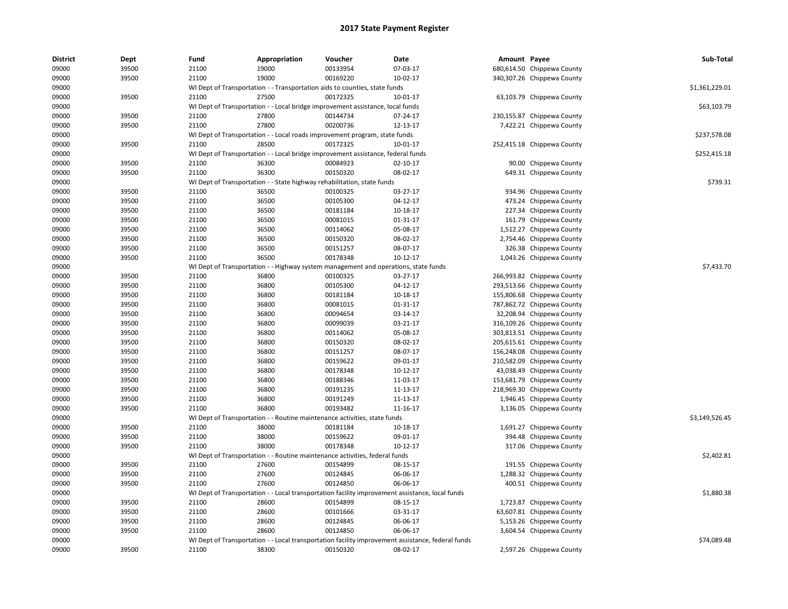| <b>District</b> | Dept  | Fund  | Appropriation | Voucher                                                                             | <b>Date</b>                                                                                       | Amount Payee |                            | Sub-Total      |
|-----------------|-------|-------|---------------|-------------------------------------------------------------------------------------|---------------------------------------------------------------------------------------------------|--------------|----------------------------|----------------|
| 09000           | 39500 | 21100 | 19000         | 00133954                                                                            | 07-03-17                                                                                          |              | 680,614.50 Chippewa County |                |
| 09000           | 39500 | 21100 | 19000         | 00169220                                                                            | 10-02-17                                                                                          |              | 340,307.26 Chippewa County |                |
| 09000           |       |       |               | WI Dept of Transportation - - Transportation aids to counties, state funds          |                                                                                                   |              |                            | \$1,361,229.01 |
| 09000           | 39500 | 21100 | 27500         | 00172325                                                                            | 10-01-17                                                                                          |              | 63,103.79 Chippewa County  |                |
| 09000           |       |       |               | WI Dept of Transportation - - Local bridge improvement assistance, local funds      |                                                                                                   |              |                            | \$63,103.79    |
| 09000           | 39500 | 21100 | 27800         | 00144734                                                                            | 07-24-17                                                                                          |              | 230,155.87 Chippewa County |                |
| 09000           | 39500 | 21100 | 27800         | 00200736                                                                            | 12-13-17                                                                                          |              | 7,422.21 Chippewa County   |                |
| 09000           |       |       |               | WI Dept of Transportation - - Local roads improvement program, state funds          |                                                                                                   |              |                            | \$237,578.08   |
| 09000           | 39500 | 21100 | 28500         | 00172325                                                                            | 10-01-17                                                                                          |              | 252,415.18 Chippewa County |                |
| 09000           |       |       |               | WI Dept of Transportation - - Local bridge improvement assistance, federal funds    |                                                                                                   |              |                            | \$252,415.18   |
| 09000           | 39500 | 21100 | 36300         | 00084923                                                                            | 02-10-17                                                                                          |              | 90.00 Chippewa County      |                |
| 09000           | 39500 | 21100 | 36300         | 00150320                                                                            | 08-02-17                                                                                          |              | 649.31 Chippewa County     |                |
| 09000           |       |       |               | WI Dept of Transportation - - State highway rehabilitation, state funds             |                                                                                                   |              |                            | \$739.31       |
| 09000           | 39500 | 21100 | 36500         | 00100325                                                                            | 03-27-17                                                                                          |              | 934.96 Chippewa County     |                |
| 09000           | 39500 | 21100 | 36500         | 00105300                                                                            | 04-12-17                                                                                          |              | 473.24 Chippewa County     |                |
| 09000           | 39500 | 21100 | 36500         | 00181184                                                                            | 10-18-17                                                                                          |              | 227.34 Chippewa County     |                |
| 09000           | 39500 | 21100 | 36500         | 00081015                                                                            | 01-31-17                                                                                          |              | 161.79 Chippewa County     |                |
| 09000           | 39500 | 21100 | 36500         | 00114062                                                                            | 05-08-17                                                                                          |              | 1,512.27 Chippewa County   |                |
| 09000           | 39500 | 21100 | 36500         | 00150320                                                                            | 08-02-17                                                                                          |              | 2,754.46 Chippewa County   |                |
| 09000           | 39500 | 21100 | 36500         | 00151257                                                                            | 08-07-17                                                                                          |              | 326.38 Chippewa County     |                |
| 09000           | 39500 | 21100 | 36500         | 00178348                                                                            | 10-12-17                                                                                          |              | 1,043.26 Chippewa County   |                |
| 09000           |       |       |               | WI Dept of Transportation - - Highway system management and operations, state funds |                                                                                                   |              |                            | \$7,433.70     |
| 09000           | 39500 | 21100 | 36800         | 00100325                                                                            | 03-27-17                                                                                          |              | 266,993.82 Chippewa County |                |
| 09000           | 39500 | 21100 | 36800         | 00105300                                                                            | 04-12-17                                                                                          |              | 293,513.66 Chippewa County |                |
| 09000           | 39500 | 21100 | 36800         | 00181184                                                                            | 10-18-17                                                                                          |              | 155,806.68 Chippewa County |                |
| 09000           | 39500 | 21100 | 36800         | 00081015                                                                            | 01-31-17                                                                                          |              | 787,862.72 Chippewa County |                |
| 09000           | 39500 | 21100 | 36800         | 00094654                                                                            | 03-14-17                                                                                          |              | 32,208.94 Chippewa County  |                |
| 09000           | 39500 | 21100 | 36800         | 00099039                                                                            | 03-21-17                                                                                          |              | 316,109.26 Chippewa County |                |
| 09000           | 39500 | 21100 | 36800         | 00114062                                                                            | 05-08-17                                                                                          |              | 303,813.51 Chippewa County |                |
| 09000           | 39500 | 21100 | 36800         | 00150320                                                                            | 08-02-17                                                                                          |              | 205,615.61 Chippewa County |                |
| 09000           | 39500 | 21100 | 36800         | 00151257                                                                            | 08-07-17                                                                                          |              | 156,248.08 Chippewa County |                |
| 09000           | 39500 | 21100 | 36800         | 00159622                                                                            | 09-01-17                                                                                          |              | 210,582.09 Chippewa County |                |
| 09000           | 39500 | 21100 | 36800         | 00178348                                                                            | 10-12-17                                                                                          |              | 43,038.49 Chippewa County  |                |
| 09000           | 39500 | 21100 | 36800         | 00188346                                                                            | 11-03-17                                                                                          |              | 153,681.79 Chippewa County |                |
| 09000           | 39500 | 21100 | 36800         | 00191235                                                                            | 11-13-17                                                                                          |              | 218,969.30 Chippewa County |                |
| 09000           | 39500 | 21100 | 36800         | 00191249                                                                            | 11-13-17                                                                                          |              | 1,946.45 Chippewa County   |                |
| 09000           | 39500 | 21100 | 36800         | 00193482                                                                            | 11-16-17                                                                                          |              | 3,136.05 Chippewa County   |                |
| 09000           |       |       |               | WI Dept of Transportation - - Routine maintenance activities, state funds           |                                                                                                   |              |                            | \$3,149,526.45 |
| 09000           | 39500 | 21100 | 38000         | 00181184                                                                            | 10-18-17                                                                                          |              | 1,691.27 Chippewa County   |                |
| 09000           | 39500 | 21100 | 38000         | 00159622                                                                            | 09-01-17                                                                                          |              | 394.48 Chippewa County     |                |
| 09000           | 39500 | 21100 | 38000         | 00178348                                                                            | 10-12-17                                                                                          |              | 317.06 Chippewa County     |                |
| 09000           |       |       |               | WI Dept of Transportation - - Routine maintenance activities, federal funds         |                                                                                                   |              |                            | \$2,402.81     |
| 09000           | 39500 | 21100 | 27600         | 00154899                                                                            | 08-15-17                                                                                          |              | 191.55 Chippewa County     |                |
| 09000           | 39500 | 21100 | 27600         | 00124845                                                                            | 06-06-17                                                                                          |              | 1,288.32 Chippewa County   |                |
| 09000           | 39500 | 21100 | 27600         | 00124850                                                                            | 06-06-17                                                                                          |              | 400.51 Chippewa County     |                |
| 09000           |       |       |               |                                                                                     | WI Dept of Transportation - - Local transportation facility improvement assistance, local funds   |              |                            | \$1,880.38     |
| 09000           | 39500 | 21100 | 28600         | 00154899                                                                            | 08-15-17                                                                                          |              | 1,723.87 Chippewa County   |                |
| 09000           | 39500 | 21100 | 28600         | 00101666                                                                            | 03-31-17                                                                                          |              | 63,607.81 Chippewa County  |                |
| 09000           | 39500 | 21100 | 28600         | 00124845                                                                            | 06-06-17                                                                                          |              | 5,153.26 Chippewa County   |                |
| 09000           | 39500 | 21100 | 28600         | 00124850                                                                            | 06-06-17                                                                                          |              | 3,604.54 Chippewa County   |                |
| 09000           |       |       |               |                                                                                     | WI Dept of Transportation - - Local transportation facility improvement assistance, federal funds |              |                            | \$74,089.48    |
| 09000           | 39500 | 21100 | 38300         | 00150320                                                                            | 08-02-17                                                                                          |              | 2,597.26 Chippewa County   |                |
|                 |       |       |               |                                                                                     |                                                                                                   |              |                            |                |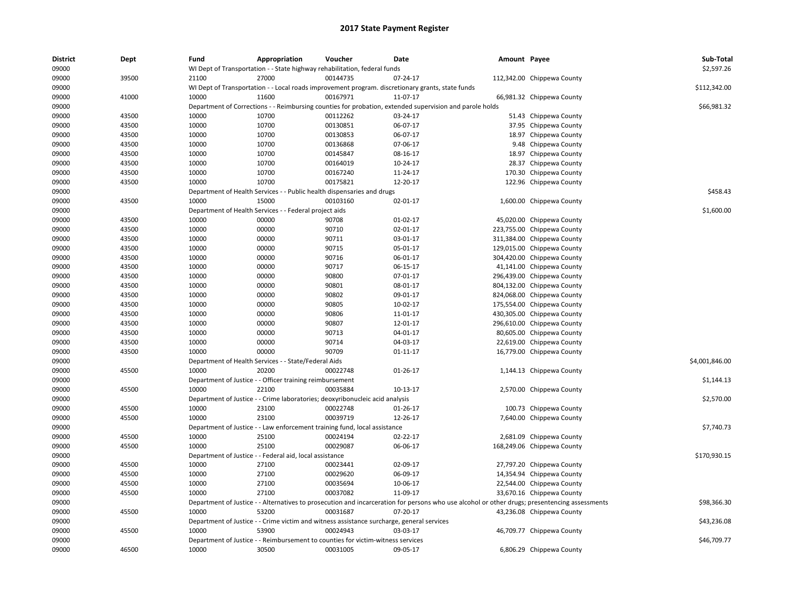| <b>District</b> | Dept  | Fund  | Appropriation                                                                                           | Voucher  | Date           | Amount Payee |                                                                                                                                               | Sub-Total      |
|-----------------|-------|-------|---------------------------------------------------------------------------------------------------------|----------|----------------|--------------|-----------------------------------------------------------------------------------------------------------------------------------------------|----------------|
| 09000           |       |       | WI Dept of Transportation - - State highway rehabilitation, federal funds                               |          |                |              |                                                                                                                                               | \$2,597.26     |
| 09000           | 39500 | 21100 | 27000                                                                                                   | 00144735 | 07-24-17       |              | 112,342.00 Chippewa County                                                                                                                    |                |
| 09000           |       |       | WI Dept of Transportation - - Local roads improvement program. discretionary grants, state funds        |          |                |              |                                                                                                                                               | \$112,342.00   |
| 09000           | 41000 | 10000 | 11600                                                                                                   | 00167971 | 11-07-17       |              | 66,981.32 Chippewa County                                                                                                                     |                |
| 09000           |       |       | Department of Corrections - - Reimbursing counties for probation, extended supervision and parole holds |          |                |              |                                                                                                                                               | \$66,981.32    |
| 09000           | 43500 | 10000 | 10700                                                                                                   | 00112262 | 03-24-17       |              | 51.43 Chippewa County                                                                                                                         |                |
| 09000           | 43500 | 10000 | 10700                                                                                                   | 00130851 | 06-07-17       | 37.95        | Chippewa County                                                                                                                               |                |
| 09000           | 43500 | 10000 | 10700                                                                                                   | 00130853 | 06-07-17       |              | 18.97 Chippewa County                                                                                                                         |                |
| 09000           | 43500 | 10000 | 10700                                                                                                   | 00136868 | 07-06-17       |              | 9.48 Chippewa County                                                                                                                          |                |
| 09000           | 43500 | 10000 | 10700                                                                                                   | 00145847 | 08-16-17       |              | 18.97 Chippewa County                                                                                                                         |                |
| 09000           | 43500 | 10000 | 10700                                                                                                   | 00164019 | 10-24-17       |              | 28.37 Chippewa County                                                                                                                         |                |
| 09000           | 43500 | 10000 | 10700                                                                                                   | 00167240 | 11-24-17       | 170.30       | Chippewa County                                                                                                                               |                |
| 09000           | 43500 | 10000 | 10700                                                                                                   | 00175821 | 12-20-17       |              | 122.96 Chippewa County                                                                                                                        |                |
| 09000           |       |       | Department of Health Services - - Public health dispensaries and drugs                                  |          |                |              |                                                                                                                                               | \$458.43       |
| 09000           | 43500 | 10000 | 15000                                                                                                   | 00103160 | 02-01-17       |              | 1,600.00 Chippewa County                                                                                                                      |                |
| 09000           |       |       | Department of Health Services - - Federal project aids                                                  |          |                |              |                                                                                                                                               | \$1,600.00     |
| 09000           | 43500 | 10000 | 00000                                                                                                   | 90708    | $01-02-17$     |              | 45,020.00 Chippewa County                                                                                                                     |                |
| 09000           | 43500 | 10000 | 00000                                                                                                   | 90710    | 02-01-17       |              | 223,755.00 Chippewa County                                                                                                                    |                |
| 09000           | 43500 | 10000 | 00000                                                                                                   | 90711    | 03-01-17       |              |                                                                                                                                               |                |
|                 |       |       |                                                                                                         |          |                |              | 311,384.00 Chippewa County                                                                                                                    |                |
| 09000           | 43500 | 10000 | 00000                                                                                                   | 90715    | 05-01-17       |              | 129,015.00 Chippewa County                                                                                                                    |                |
| 09000           | 43500 | 10000 | 00000                                                                                                   | 90716    | 06-01-17       |              | 304,420.00 Chippewa County                                                                                                                    |                |
| 09000           | 43500 | 10000 | 00000                                                                                                   | 90717    | 06-15-17       |              | 41,141.00 Chippewa County                                                                                                                     |                |
| 09000           | 43500 | 10000 | 00000                                                                                                   | 90800    | 07-01-17       |              | 296,439.00 Chippewa County                                                                                                                    |                |
| 09000           | 43500 | 10000 | 00000                                                                                                   | 90801    | 08-01-17       |              | 804,132.00 Chippewa County                                                                                                                    |                |
| 09000           | 43500 | 10000 | 00000                                                                                                   | 90802    | 09-01-17       |              | 824,068.00 Chippewa County                                                                                                                    |                |
| 09000           | 43500 | 10000 | 00000                                                                                                   | 90805    | 10-02-17       |              | 175,554.00 Chippewa County                                                                                                                    |                |
| 09000           | 43500 | 10000 | 00000                                                                                                   | 90806    | 11-01-17       |              | 430,305.00 Chippewa County                                                                                                                    |                |
| 09000           | 43500 | 10000 | 00000                                                                                                   | 90807    | 12-01-17       |              | 296,610.00 Chippewa County                                                                                                                    |                |
| 09000           | 43500 | 10000 | 00000                                                                                                   | 90713    | 04-01-17       |              | 80,605.00 Chippewa County                                                                                                                     |                |
| 09000           | 43500 | 10000 | 00000                                                                                                   | 90714    | 04-03-17       |              | 22,619.00 Chippewa County                                                                                                                     |                |
| 09000           | 43500 | 10000 | 00000                                                                                                   | 90709    | $01 - 11 - 17$ |              | 16,779.00 Chippewa County                                                                                                                     |                |
| 09000           |       |       | Department of Health Services - - State/Federal Aids                                                    |          |                |              |                                                                                                                                               | \$4,001,846.00 |
| 09000           | 45500 | 10000 | 20200                                                                                                   | 00022748 | 01-26-17       |              | 1,144.13 Chippewa County                                                                                                                      |                |
| 09000           |       |       | Department of Justice - - Officer training reimbursement                                                |          |                |              |                                                                                                                                               | \$1,144.13     |
| 09000           | 45500 | 10000 | 22100                                                                                                   | 00035884 | 10-13-17       |              | 2,570.00 Chippewa County                                                                                                                      |                |
| 09000           |       |       | Department of Justice - - Crime laboratories; deoxyribonucleic acid analysis                            |          |                |              |                                                                                                                                               | \$2,570.00     |
| 09000           | 45500 | 10000 | 23100                                                                                                   | 00022748 | 01-26-17       |              | 100.73 Chippewa County                                                                                                                        |                |
| 09000           | 45500 | 10000 | 23100                                                                                                   | 00039719 | 12-26-17       |              | 7,640.00 Chippewa County                                                                                                                      |                |
| 09000           |       |       | Department of Justice - - Law enforcement training fund, local assistance                               |          |                |              |                                                                                                                                               | \$7,740.73     |
| 09000           | 45500 | 10000 | 25100                                                                                                   | 00024194 | 02-22-17       |              | 2,681.09 Chippewa County                                                                                                                      |                |
| 09000           | 45500 | 10000 | 25100                                                                                                   | 00029087 | 06-06-17       |              | 168,249.06 Chippewa County                                                                                                                    |                |
| 09000           |       |       | Department of Justice - - Federal aid, local assistance                                                 |          |                |              |                                                                                                                                               | \$170,930.15   |
| 09000           | 45500 | 10000 | 27100                                                                                                   | 00023441 | 02-09-17       |              | 27,797.20 Chippewa County                                                                                                                     |                |
| 09000           | 45500 | 10000 | 27100                                                                                                   | 00029620 | 06-09-17       |              | 14,354.94 Chippewa County                                                                                                                     |                |
| 09000           | 45500 | 10000 | 27100                                                                                                   | 00035694 | 10-06-17       |              | 22,544.00 Chippewa County                                                                                                                     |                |
| 09000           | 45500 | 10000 | 27100                                                                                                   | 00037082 | 11-09-17       |              | 33,670.16 Chippewa County                                                                                                                     |                |
| 09000           |       |       |                                                                                                         |          |                |              | Department of Justice - - Alternatives to prosecution and incarceration for persons who use alcohol or other drugs; presentencing assessments | \$98,366.30    |
|                 |       |       |                                                                                                         |          |                |              |                                                                                                                                               |                |
| 09000           | 45500 | 10000 | 53200                                                                                                   | 00031687 | 07-20-17       |              | 43,236.08 Chippewa County                                                                                                                     |                |
| 09000           |       |       | Department of Justice - - Crime victim and witness assistance surcharge, general services               |          |                |              |                                                                                                                                               | \$43,236.08    |
| 09000           | 45500 | 10000 | 53900                                                                                                   | 00024943 | 03-03-17       |              | 46,709.77 Chippewa County                                                                                                                     |                |
| 09000           |       |       | Department of Justice - - Reimbursement to counties for victim-witness services                         |          |                |              |                                                                                                                                               | \$46,709.77    |
| 09000           | 46500 | 10000 | 30500                                                                                                   | 00031005 | 09-05-17       |              | 6,806.29 Chippewa County                                                                                                                      |                |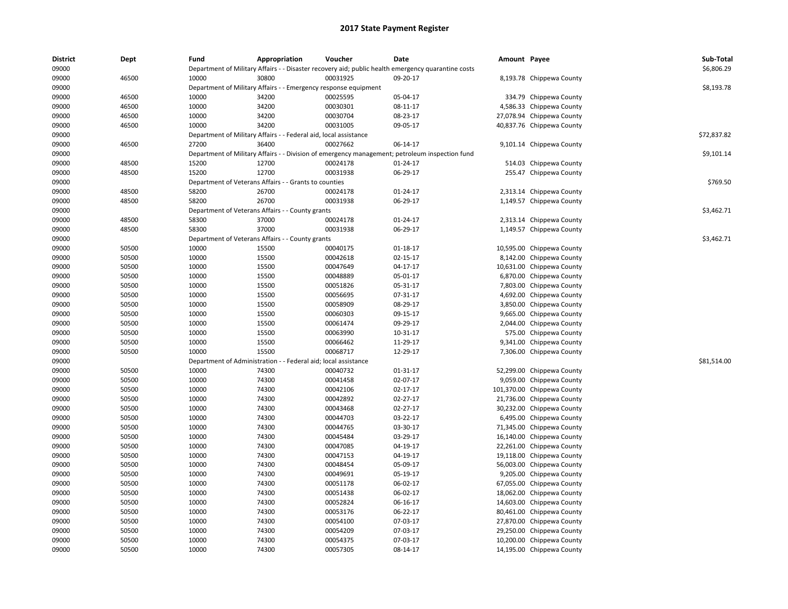| <b>District</b> | Dept  | Fund                         | Appropriation                                                    | Voucher                         | <b>Date</b>                                                                                        | Amount Payee |                           | Sub-Total   |
|-----------------|-------|------------------------------|------------------------------------------------------------------|---------------------------------|----------------------------------------------------------------------------------------------------|--------------|---------------------------|-------------|
| 09000           |       |                              |                                                                  |                                 | Department of Military Affairs - - Disaster recovery aid; public health emergency quarantine costs |              |                           | \$6,806.29  |
| 09000           | 46500 | 10000                        | 30800                                                            | 00031925                        | 09-20-17                                                                                           |              | 8,193.78 Chippewa County  |             |
| 09000           |       |                              | Department of Military Affairs - - Emergency response equipment  |                                 |                                                                                                    |              |                           | \$8,193.78  |
| 09000           | 46500 | 10000                        | 34200                                                            | 00025595                        | 05-04-17                                                                                           |              | 334.79 Chippewa County    |             |
| 09000           | 46500 | 10000                        | 34200                                                            | 00030301                        | 08-11-17                                                                                           |              | 4,586.33 Chippewa County  |             |
| 09000           | 46500 | 10000                        | 34200                                                            | 00030704                        | 08-23-17                                                                                           |              | 27,078.94 Chippewa County |             |
| 09000           | 46500 | 10000                        | 34200                                                            | 00031005                        | 09-05-17                                                                                           |              | 40,837.76 Chippewa County |             |
| 09000           |       |                              | Department of Military Affairs - - Federal aid, local assistance |                                 |                                                                                                    |              |                           | \$72,837.82 |
| 09000           | 46500 | 27200                        | 36400                                                            | 00027662                        | 06-14-17                                                                                           |              | 9,101.14 Chippewa County  |             |
| 09000           |       |                              |                                                                  |                                 | Department of Military Affairs - - Division of emergency management; petroleum inspection fund     |              |                           | \$9,101.14  |
| 09000           | 48500 | 15200                        | 12700                                                            | 00024178                        | 01-24-17                                                                                           |              | 514.03 Chippewa County    |             |
| 09000           | 48500 | 15200                        | 12700                                                            | 00031938                        | 06-29-17                                                                                           | 255.47       | Chippewa County           |             |
| 09000           |       |                              | Department of Veterans Affairs - - Grants to counties            |                                 |                                                                                                    |              |                           | \$769.50    |
| 09000           | 48500 | 58200                        | 26700                                                            | 00024178                        | $01 - 24 - 17$                                                                                     |              | 2,313.14 Chippewa County  |             |
| 09000           | 48500 | 58200                        | 26700                                                            | 00031938                        | 06-29-17                                                                                           |              | 1,149.57 Chippewa County  |             |
| 09000           |       |                              | Department of Veterans Affairs - - County grants                 |                                 |                                                                                                    |              |                           | \$3,462.71  |
| 09000           | 48500 | 58300                        | 37000                                                            | 00024178                        | 01-24-17                                                                                           |              | 2,313.14 Chippewa County  |             |
| 09000           | 48500 | 58300                        | 37000                                                            | 00031938                        | 06-29-17                                                                                           |              | 1,149.57 Chippewa County  |             |
| 09000           |       |                              | Department of Veterans Affairs - - County grants                 |                                 |                                                                                                    |              |                           | \$3,462.71  |
| 09000           | 50500 | 10000                        | 15500                                                            | 00040175                        | 01-18-17                                                                                           |              | 10,595.00 Chippewa County |             |
| 09000           | 50500 | 10000                        | 15500                                                            | 00042618                        | $02 - 15 - 17$                                                                                     |              | 8,142.00 Chippewa County  |             |
| 09000           | 50500 | 10000                        | 15500                                                            | 00047649                        | 04-17-17                                                                                           | 10,631.00    | Chippewa County           |             |
|                 |       |                              |                                                                  |                                 |                                                                                                    |              |                           |             |
| 09000           | 50500 | 10000                        | 15500                                                            | 00048889                        | 05-01-17                                                                                           |              | 6,870.00 Chippewa County  |             |
| 09000           | 50500 | 10000                        | 15500                                                            | 00051826                        | 05-31-17                                                                                           | 7,803.00     | Chippewa County           |             |
| 09000           | 50500 | 10000                        | 15500                                                            | 00056695                        | 07-31-17                                                                                           |              | 4,692.00 Chippewa County  |             |
| 09000           | 50500 | 10000                        | 15500                                                            | 00058909                        | 08-29-17                                                                                           |              | 3,850.00 Chippewa County  |             |
| 09000           | 50500 | 10000                        | 15500                                                            | 00060303                        | 09-15-17                                                                                           |              | 9,665.00 Chippewa County  |             |
| 09000           | 50500 | 10000                        | 15500                                                            | 00061474                        | 09-29-17                                                                                           |              | 2,044.00 Chippewa County  |             |
| 09000           | 50500 | 10000                        | 15500                                                            | 00063990                        | 10-31-17                                                                                           | 575.00       | Chippewa County           |             |
| 09000           | 50500 | 10000                        | 15500                                                            | 00066462                        | 11-29-17                                                                                           |              | 9,341.00 Chippewa County  |             |
| 09000           | 50500 | 10000                        | 15500                                                            | 00068717                        | 12-29-17                                                                                           |              | 7,306.00 Chippewa County  |             |
| 09000           |       | Department of Administration |                                                                  | - Federal aid; local assistance |                                                                                                    |              |                           | \$81,514.00 |
| 09000           | 50500 | 10000                        | 74300                                                            | 00040732                        | 01-31-17                                                                                           |              | 52,299.00 Chippewa County |             |
| 09000           | 50500 | 10000                        | 74300                                                            | 00041458                        | 02-07-17                                                                                           | 9,059.00     | Chippewa County           |             |
| 09000           | 50500 | 10000                        | 74300                                                            | 00042106                        | 02-17-17                                                                                           | 101,370.00   | Chippewa County           |             |
| 09000           | 50500 | 10000                        | 74300                                                            | 00042892                        | $02 - 27 - 17$                                                                                     |              | 21,736.00 Chippewa County |             |
| 09000           | 50500 | 10000                        | 74300                                                            | 00043468                        | 02-27-17                                                                                           |              | 30,232.00 Chippewa County |             |
| 09000           | 50500 | 10000                        | 74300                                                            | 00044703                        | 03-22-17                                                                                           |              | 6,495.00 Chippewa County  |             |
| 09000           | 50500 | 10000                        | 74300                                                            | 00044765                        | 03-30-17                                                                                           | 71,345.00    | Chippewa County           |             |
| 09000           | 50500 | 10000                        | 74300                                                            | 00045484                        | 03-29-17                                                                                           | 16,140.00    | Chippewa County           |             |
| 09000           | 50500 | 10000                        | 74300                                                            | 00047085                        | 04-19-17                                                                                           | 22,261.00    | Chippewa County           |             |
| 09000           | 50500 | 10000                        | 74300                                                            | 00047153                        | 04-19-17                                                                                           | 19,118.00    | Chippewa County           |             |
| 09000           | 50500 | 10000                        | 74300                                                            | 00048454                        | 05-09-17                                                                                           | 56,003.00    | Chippewa County           |             |
| 09000           | 50500 | 10000                        | 74300                                                            | 00049691                        | 05-19-17                                                                                           | 9,205.00     | Chippewa County           |             |
| 09000           | 50500 | 10000                        | 74300                                                            | 00051178                        | 06-02-17                                                                                           | 67,055.00    | Chippewa County           |             |
| 09000           | 50500 | 10000                        | 74300                                                            | 00051438                        | 06-02-17                                                                                           | 18,062.00    | Chippewa County           |             |
| 09000           | 50500 | 10000                        | 74300                                                            | 00052824                        | 06-16-17                                                                                           | 14,603.00    | Chippewa County           |             |
| 09000           | 50500 | 10000                        | 74300                                                            | 00053176                        | 06-22-17                                                                                           |              | 80,461.00 Chippewa County |             |
| 09000           | 50500 | 10000                        | 74300                                                            | 00054100                        | 07-03-17                                                                                           | 27,870.00    | Chippewa County           |             |
| 09000           | 50500 | 10000                        | 74300                                                            | 00054209                        | 07-03-17                                                                                           | 29,250.00    | Chippewa County           |             |
| 09000           | 50500 | 10000                        | 74300                                                            | 00054375                        | 07-03-17                                                                                           |              | 10,200.00 Chippewa County |             |
| 09000           | 50500 | 10000                        | 74300                                                            | 00057305                        | 08-14-17                                                                                           |              | 14,195.00 Chippewa County |             |
|                 |       |                              |                                                                  |                                 |                                                                                                    |              |                           |             |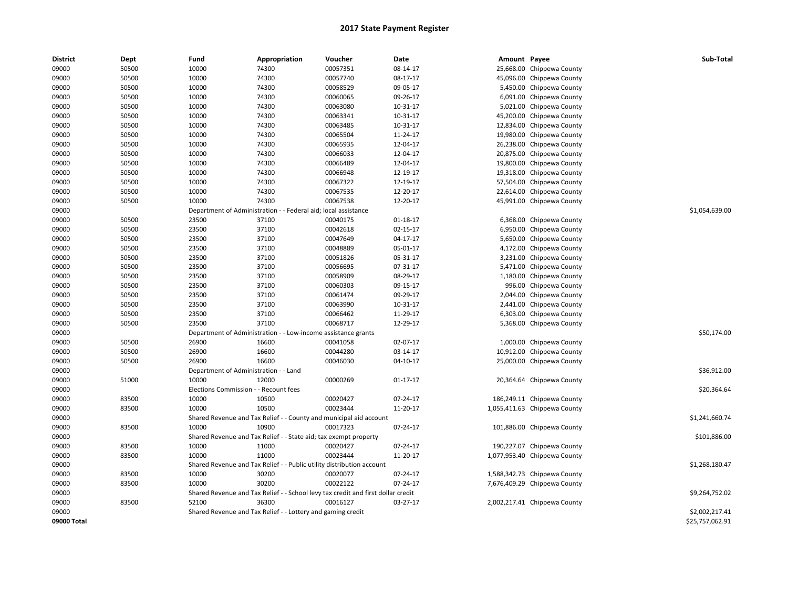| <b>District</b> | Dept  | Fund                                  | Appropriation                                                                    | Voucher                         | Date           | Amount Payee |                              | Sub-Total       |
|-----------------|-------|---------------------------------------|----------------------------------------------------------------------------------|---------------------------------|----------------|--------------|------------------------------|-----------------|
| 09000           | 50500 | 10000                                 | 74300                                                                            | 00057351                        | 08-14-17       |              | 25,668.00 Chippewa County    |                 |
| 09000           | 50500 | 10000                                 | 74300                                                                            | 00057740                        | 08-17-17       |              | 45,096.00 Chippewa County    |                 |
| 09000           | 50500 | 10000                                 | 74300                                                                            | 00058529                        | 09-05-17       |              | 5,450.00 Chippewa County     |                 |
| 09000           | 50500 | 10000                                 | 74300                                                                            | 00060065                        | 09-26-17       |              | 6,091.00 Chippewa County     |                 |
| 09000           | 50500 | 10000                                 | 74300                                                                            | 00063080                        | 10-31-17       |              | 5,021.00 Chippewa County     |                 |
| 09000           | 50500 | 10000                                 | 74300                                                                            | 00063341                        | 10-31-17       |              | 45,200.00 Chippewa County    |                 |
| 09000           | 50500 | 10000                                 | 74300                                                                            | 00063485                        | 10-31-17       |              | 12,834.00 Chippewa County    |                 |
| 09000           | 50500 | 10000                                 | 74300                                                                            | 00065504                        | 11-24-17       |              | 19,980.00 Chippewa County    |                 |
| 09000           | 50500 | 10000                                 | 74300                                                                            | 00065935                        | 12-04-17       |              | 26,238.00 Chippewa County    |                 |
| 09000           | 50500 | 10000                                 | 74300                                                                            | 00066033                        | 12-04-17       |              | 20,875.00 Chippewa County    |                 |
| 09000           | 50500 | 10000                                 | 74300                                                                            | 00066489                        | 12-04-17       |              | 19,800.00 Chippewa County    |                 |
| 09000           | 50500 | 10000                                 | 74300                                                                            | 00066948                        | 12-19-17       |              | 19,318.00 Chippewa County    |                 |
| 09000           | 50500 | 10000                                 | 74300                                                                            | 00067322                        | 12-19-17       |              | 57,504.00 Chippewa County    |                 |
| 09000           | 50500 | 10000                                 | 74300                                                                            | 00067535                        | 12-20-17       |              | 22,614.00 Chippewa County    |                 |
| 09000           | 50500 | 10000                                 | 74300                                                                            | 00067538                        | 12-20-17       |              | 45,991.00 Chippewa County    |                 |
| 09000           |       | Department of Administration -        |                                                                                  | - Federal aid; local assistance |                |              |                              | \$1,054,639.00  |
| 09000           | 50500 | 23500                                 | 37100                                                                            | 00040175                        | 01-18-17       |              | 6,368.00 Chippewa County     |                 |
| 09000           | 50500 | 23500                                 | 37100                                                                            | 00042618                        | 02-15-17       |              | 6,950.00 Chippewa County     |                 |
| 09000           | 50500 | 23500                                 | 37100                                                                            | 00047649                        | 04-17-17       |              | 5,650.00 Chippewa County     |                 |
| 09000           | 50500 | 23500                                 | 37100                                                                            | 00048889                        | 05-01-17       |              | 4,172.00 Chippewa County     |                 |
| 09000           | 50500 | 23500                                 | 37100                                                                            | 00051826                        | 05-31-17       |              | 3,231.00 Chippewa County     |                 |
|                 |       |                                       |                                                                                  | 00056695                        | 07-31-17       |              |                              |                 |
| 09000           | 50500 | 23500                                 | 37100                                                                            |                                 |                |              | 5,471.00 Chippewa County     |                 |
| 09000           | 50500 | 23500                                 | 37100                                                                            | 00058909                        | 08-29-17       |              | 1,180.00 Chippewa County     |                 |
| 09000           | 50500 | 23500                                 | 37100                                                                            | 00060303                        | 09-15-17       |              | 996.00 Chippewa County       |                 |
| 09000           | 50500 | 23500                                 | 37100                                                                            | 00061474                        | 09-29-17       |              | 2,044.00 Chippewa County     |                 |
| 09000           | 50500 | 23500                                 | 37100                                                                            | 00063990                        | 10-31-17       |              | 2,441.00 Chippewa County     |                 |
| 09000           | 50500 | 23500                                 | 37100                                                                            | 00066462                        | 11-29-17       |              | 6,303.00 Chippewa County     |                 |
| 09000           | 50500 | 23500                                 | 37100                                                                            | 00068717                        | 12-29-17       |              | 5,368.00 Chippewa County     |                 |
| 09000           |       |                                       | Department of Administration - - Low-income assistance grants                    |                                 |                |              |                              | \$50,174.00     |
| 09000           | 50500 | 26900                                 | 16600                                                                            | 00041058                        | 02-07-17       |              | 1,000.00 Chippewa County     |                 |
| 09000           | 50500 | 26900                                 | 16600                                                                            | 00044280                        | 03-14-17       |              | 10,912.00 Chippewa County    |                 |
| 09000           | 50500 | 26900                                 | 16600                                                                            | 00046030                        | 04-10-17       |              | 25,000.00 Chippewa County    |                 |
| 09000           |       | Department of Administration - - Land |                                                                                  |                                 |                |              |                              | \$36,912.00     |
| 09000           | 51000 | 10000                                 | 12000                                                                            | 00000269                        | $01 - 17 - 17$ |              | 20,364.64 Chippewa County    |                 |
| 09000           |       | Elections Commission - - Recount fees |                                                                                  |                                 |                |              |                              | \$20,364.64     |
| 09000           | 83500 | 10000                                 | 10500                                                                            | 00020427                        | 07-24-17       |              | 186,249.11 Chippewa County   |                 |
| 09000           | 83500 | 10000                                 | 10500                                                                            | 00023444                        | 11-20-17       |              | 1,055,411.63 Chippewa County |                 |
| 09000           |       |                                       | Shared Revenue and Tax Relief - - County and municipal aid account               |                                 |                |              |                              | \$1,241,660.74  |
| 09000           | 83500 | 10000                                 | 10900                                                                            | 00017323                        | 07-24-17       |              | 101,886.00 Chippewa County   |                 |
| 09000           |       |                                       | Shared Revenue and Tax Relief - - State aid; tax exempt property                 |                                 |                |              |                              | \$101,886.00    |
| 09000           | 83500 | 10000                                 | 11000                                                                            | 00020427                        | 07-24-17       |              | 190,227.07 Chippewa County   |                 |
| 09000           | 83500 | 10000                                 | 11000                                                                            | 00023444                        | 11-20-17       |              | 1,077,953.40 Chippewa County |                 |
| 09000           |       |                                       | Shared Revenue and Tax Relief - - Public utility distribution account            |                                 |                |              |                              | \$1,268,180.47  |
| 09000           | 83500 | 10000                                 | 30200                                                                            | 00020077                        | 07-24-17       |              | 1,588,342.73 Chippewa County |                 |
| 09000           | 83500 | 10000                                 | 30200                                                                            | 00022122                        | 07-24-17       |              | 7,676,409.29 Chippewa County |                 |
| 09000           |       |                                       | Shared Revenue and Tax Relief - - School levy tax credit and first dollar credit |                                 |                |              |                              | \$9,264,752.02  |
| 09000           | 83500 | 52100                                 | 36300                                                                            | 00016127                        | 03-27-17       |              | 2,002,217.41 Chippewa County |                 |
| 09000           |       |                                       | Shared Revenue and Tax Relief - - Lottery and gaming credit                      |                                 |                |              |                              | \$2,002,217.41  |
| 09000 Total     |       |                                       |                                                                                  |                                 |                |              |                              | \$25,757,062.91 |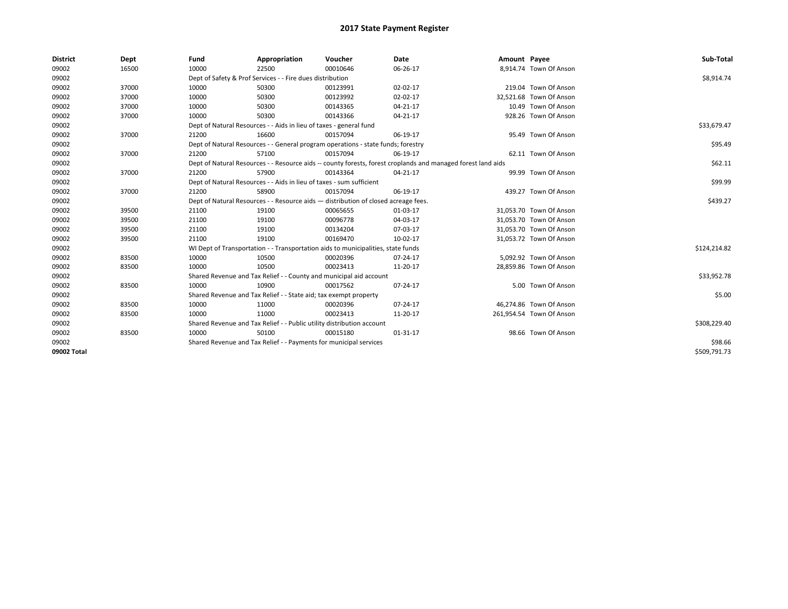| <b>District</b> | Dept  | Fund  | Appropriation                                                                      | Voucher  | Date                                                                                                         | Amount Payee |                          | Sub-Total    |
|-----------------|-------|-------|------------------------------------------------------------------------------------|----------|--------------------------------------------------------------------------------------------------------------|--------------|--------------------------|--------------|
| 09002           | 16500 | 10000 | 22500                                                                              | 00010646 | 06-26-17                                                                                                     |              | 8,914.74 Town Of Anson   |              |
| 09002           |       |       | Dept of Safety & Prof Services - - Fire dues distribution                          |          |                                                                                                              |              |                          | \$8,914.74   |
| 09002           | 37000 | 10000 | 50300                                                                              | 00123991 | 02-02-17                                                                                                     |              | 219.04 Town Of Anson     |              |
| 09002           | 37000 | 10000 | 50300                                                                              | 00123992 | 02-02-17                                                                                                     |              | 32,521.68 Town Of Anson  |              |
| 09002           | 37000 | 10000 | 50300                                                                              | 00143365 | 04-21-17                                                                                                     |              | 10.49 Town Of Anson      |              |
| 09002           | 37000 | 10000 | 50300                                                                              | 00143366 | $04 - 21 - 17$                                                                                               |              | 928.26 Town Of Anson     |              |
| 09002           |       |       | Dept of Natural Resources - - Aids in lieu of taxes - general fund                 |          |                                                                                                              |              |                          | \$33,679.47  |
| 09002           | 37000 | 21200 | 16600                                                                              | 00157094 | 06-19-17                                                                                                     |              | 95.49 Town Of Anson      |              |
| 09002           |       |       | Dept of Natural Resources - - General program operations - state funds; forestry   |          |                                                                                                              |              |                          | \$95.49      |
| 09002           | 37000 | 21200 | 57100                                                                              | 00157094 | 06-19-17                                                                                                     |              | 62.11 Town Of Anson      |              |
| 09002           |       |       |                                                                                    |          | Dept of Natural Resources - - Resource aids -- county forests, forest croplands and managed forest land aids |              |                          | \$62.11      |
| 09002           | 37000 | 21200 | 57900                                                                              | 00143364 | 04-21-17                                                                                                     |              | 99.99 Town Of Anson      |              |
| 09002           |       |       | Dept of Natural Resources - - Aids in lieu of taxes - sum sufficient               |          |                                                                                                              |              |                          | \$99.99      |
| 09002           | 37000 | 21200 | 58900                                                                              | 00157094 | 06-19-17                                                                                                     |              | 439.27 Town Of Anson     |              |
| 09002           |       |       | Dept of Natural Resources - - Resource aids - distribution of closed acreage fees. |          |                                                                                                              |              |                          | \$439.27     |
| 09002           | 39500 | 21100 | 19100                                                                              | 00065655 | 01-03-17                                                                                                     |              | 31.053.70 Town Of Anson  |              |
| 09002           | 39500 | 21100 | 19100                                                                              | 00096778 | 04-03-17                                                                                                     |              | 31,053.70 Town Of Anson  |              |
| 09002           | 39500 | 21100 | 19100                                                                              | 00134204 | 07-03-17                                                                                                     |              | 31,053.70 Town Of Anson  |              |
| 09002           | 39500 | 21100 | 19100                                                                              | 00169470 | 10-02-17                                                                                                     |              | 31,053.72 Town Of Anson  |              |
| 09002           |       |       | WI Dept of Transportation - - Transportation aids to municipalities, state funds   |          |                                                                                                              |              |                          | \$124,214.82 |
| 09002           | 83500 | 10000 | 10500                                                                              | 00020396 | 07-24-17                                                                                                     |              | 5.092.92 Town Of Anson   |              |
| 09002           | 83500 | 10000 | 10500                                                                              | 00023413 | 11-20-17                                                                                                     |              | 28,859.86 Town Of Anson  |              |
| 09002           |       |       | Shared Revenue and Tax Relief - - County and municipal aid account                 |          |                                                                                                              |              |                          | \$33,952.78  |
| 09002           | 83500 | 10000 | 10900                                                                              | 00017562 | 07-24-17                                                                                                     |              | 5.00 Town Of Anson       |              |
| 09002           |       |       | Shared Revenue and Tax Relief - - State aid; tax exempt property                   |          |                                                                                                              |              |                          | \$5.00       |
| 09002           | 83500 | 10000 | 11000                                                                              | 00020396 | 07-24-17                                                                                                     |              | 46,274.86 Town Of Anson  |              |
| 09002           | 83500 | 10000 | 11000                                                                              | 00023413 | 11-20-17                                                                                                     |              | 261,954.54 Town Of Anson |              |
| 09002           |       |       | Shared Revenue and Tax Relief - - Public utility distribution account              |          |                                                                                                              |              |                          | \$308,229.40 |
| 09002           | 83500 | 10000 | 50100                                                                              | 00015180 | 01-31-17                                                                                                     |              | 98.66 Town Of Anson      |              |
| 09002           |       |       | Shared Revenue and Tax Relief - - Payments for municipal services                  |          |                                                                                                              |              |                          | \$98.66      |
| 09002 Total     |       |       |                                                                                    |          |                                                                                                              |              |                          | \$509,791.73 |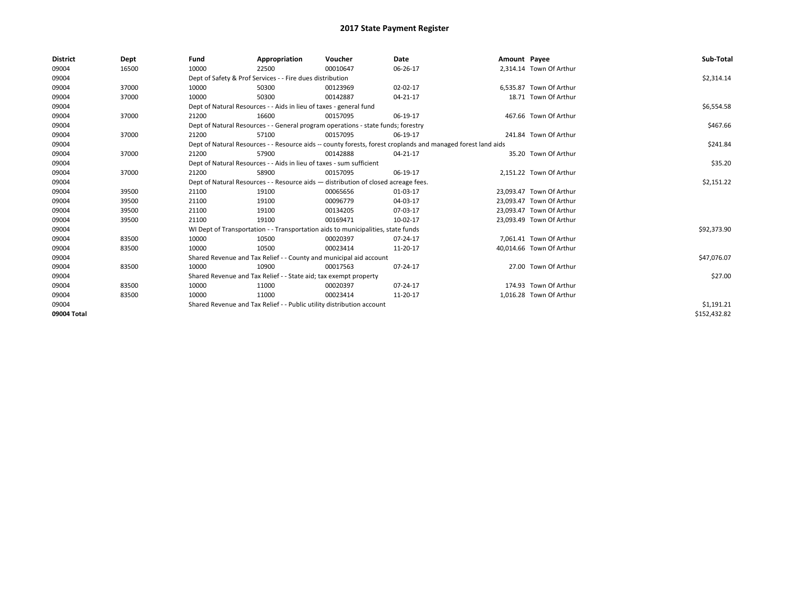| <b>District</b> | Dept  | Fund                                                                               | Appropriation                                                                                                | Voucher    | Date       | Amount Payee |                          | Sub-Total    |  |  |
|-----------------|-------|------------------------------------------------------------------------------------|--------------------------------------------------------------------------------------------------------------|------------|------------|--------------|--------------------------|--------------|--|--|
| 09004           | 16500 | 10000                                                                              | 22500                                                                                                        | 00010647   | 06-26-17   |              | 2,314.14 Town Of Arthur  |              |  |  |
| 09004           |       |                                                                                    | Dept of Safety & Prof Services - - Fire dues distribution                                                    |            |            |              |                          | \$2,314.14   |  |  |
| 09004           | 37000 | 10000                                                                              | 50300                                                                                                        | 00123969   | 02-02-17   |              | 6.535.87 Town Of Arthur  |              |  |  |
| 09004           | 37000 | 10000                                                                              | 50300                                                                                                        | 00142887   | 04-21-17   |              | 18.71 Town Of Arthur     |              |  |  |
| 09004           |       |                                                                                    | Dept of Natural Resources - - Aids in lieu of taxes - general fund                                           |            | \$6,554.58 |              |                          |              |  |  |
| 09004           | 37000 | 21200                                                                              | 16600                                                                                                        | 00157095   | 06-19-17   |              | 467.66 Town Of Arthur    |              |  |  |
| 09004           |       |                                                                                    | Dept of Natural Resources - - General program operations - state funds; forestry                             |            | \$467.66   |              |                          |              |  |  |
| 09004           | 37000 | 21200                                                                              | 57100                                                                                                        | 00157095   | 06-19-17   |              | 241.84 Town Of Arthur    |              |  |  |
| 09004           |       |                                                                                    | Dept of Natural Resources - - Resource aids -- county forests, forest croplands and managed forest land aids |            | \$241.84   |              |                          |              |  |  |
| 09004           | 37000 | 21200                                                                              | 57900                                                                                                        | 00142888   | 04-21-17   |              | 35.20 Town Of Arthur     |              |  |  |
| 09004           |       |                                                                                    | Dept of Natural Resources - - Aids in lieu of taxes - sum sufficient                                         |            |            |              |                          |              |  |  |
| 09004           | 37000 | 21200                                                                              | 58900                                                                                                        | 00157095   | 06-19-17   |              | 2,151.22 Town Of Arthur  |              |  |  |
| 09004           |       | Dept of Natural Resources - - Resource aids - distribution of closed acreage fees. |                                                                                                              | \$2,151.22 |            |              |                          |              |  |  |
| 09004           | 39500 | 21100                                                                              | 19100                                                                                                        | 00065656   | 01-03-17   |              | 23,093.47 Town Of Arthur |              |  |  |
| 09004           | 39500 | 21100                                                                              | 19100                                                                                                        | 00096779   | 04-03-17   |              | 23,093.47 Town Of Arthur |              |  |  |
| 09004           | 39500 | 21100                                                                              | 19100                                                                                                        | 00134205   | 07-03-17   |              | 23.093.47 Town Of Arthur |              |  |  |
| 09004           | 39500 | 21100                                                                              | 19100                                                                                                        | 00169471   | 10-02-17   |              | 23,093.49 Town Of Arthur |              |  |  |
| 09004           |       |                                                                                    | WI Dept of Transportation - - Transportation aids to municipalities, state funds                             |            |            |              |                          | \$92,373.90  |  |  |
| 09004           | 83500 | 10000                                                                              | 10500                                                                                                        | 00020397   | 07-24-17   |              | 7,061.41 Town Of Arthur  |              |  |  |
| 09004           | 83500 | 10000                                                                              | 10500                                                                                                        | 00023414   | 11-20-17   |              | 40,014.66 Town Of Arthur |              |  |  |
| 09004           |       |                                                                                    | Shared Revenue and Tax Relief - - County and municipal aid account                                           |            |            |              |                          | \$47,076.07  |  |  |
| 09004           | 83500 | 10000                                                                              | 10900                                                                                                        | 00017563   | 07-24-17   |              | 27.00 Town Of Arthur     |              |  |  |
| 09004           |       |                                                                                    | Shared Revenue and Tax Relief - - State aid; tax exempt property                                             |            |            |              |                          | \$27.00      |  |  |
| 09004           | 83500 | 10000                                                                              | 11000                                                                                                        | 00020397   | 07-24-17   |              | 174.93 Town Of Arthur    |              |  |  |
| 09004           | 83500 | 10000                                                                              | 11000                                                                                                        | 00023414   | 11-20-17   |              | 1,016.28 Town Of Arthur  |              |  |  |
| 09004           |       |                                                                                    | Shared Revenue and Tax Relief - - Public utility distribution account                                        |            |            |              |                          | \$1,191.21   |  |  |
| 09004 Total     |       |                                                                                    |                                                                                                              |            |            |              |                          | \$152,432.82 |  |  |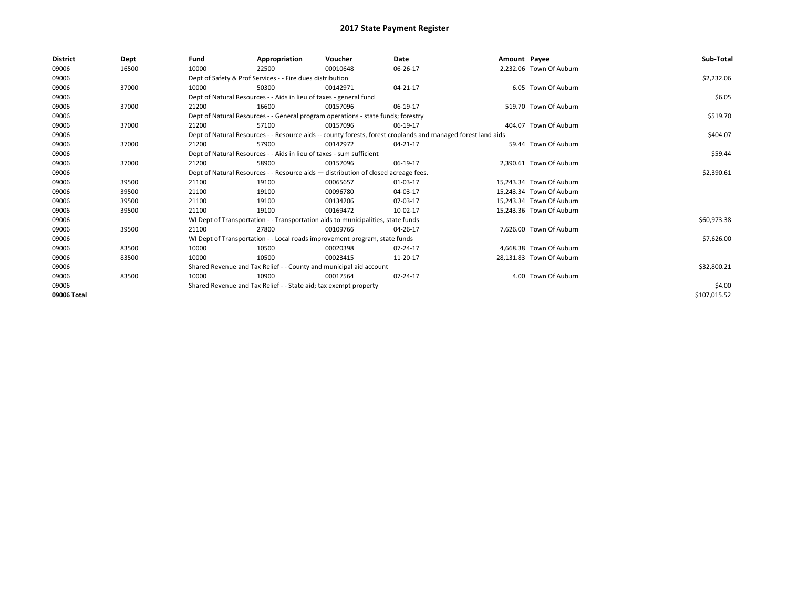| <b>District</b> | Dept  | Fund  | Appropriation                                                                                                | Voucher  | Date       | Amount Payee |                          | Sub-Total    |
|-----------------|-------|-------|--------------------------------------------------------------------------------------------------------------|----------|------------|--------------|--------------------------|--------------|
| 09006           | 16500 | 10000 | 22500                                                                                                        | 00010648 | 06-26-17   |              | 2,232.06 Town Of Auburn  |              |
| 09006           |       |       | Dept of Safety & Prof Services - - Fire dues distribution                                                    |          |            |              |                          | \$2,232.06   |
| 09006           | 37000 | 10000 | 50300                                                                                                        | 00142971 | 04-21-17   |              | 6.05 Town Of Auburn      |              |
| 09006           |       |       | Dept of Natural Resources - - Aids in lieu of taxes - general fund                                           |          |            |              |                          | \$6.05       |
| 09006           | 37000 | 21200 | 16600                                                                                                        | 00157096 | 06-19-17   |              | 519.70 Town Of Auburn    |              |
| 09006           |       |       | Dept of Natural Resources - - General program operations - state funds; forestry                             |          |            |              |                          | \$519.70     |
| 09006           | 37000 | 21200 | 57100                                                                                                        | 00157096 | 06-19-17   |              | 404.07 Town Of Auburn    |              |
| 09006           |       |       | Dept of Natural Resources - - Resource aids -- county forests, forest croplands and managed forest land aids |          | \$404.07   |              |                          |              |
| 09006           | 37000 | 21200 | 57900                                                                                                        | 00142972 | 04-21-17   |              | 59.44 Town Of Auburn     |              |
| 09006           |       |       | Dept of Natural Resources - - Aids in lieu of taxes - sum sufficient                                         |          |            |              |                          | \$59.44      |
| 09006           | 37000 | 21200 | 58900                                                                                                        | 00157096 | 06-19-17   |              | 2,390.61 Town Of Auburn  |              |
| 09006           |       |       | Dept of Natural Resources - - Resource aids - distribution of closed acreage fees.                           |          | \$2,390.61 |              |                          |              |
| 09006           | 39500 | 21100 | 19100                                                                                                        | 00065657 | 01-03-17   |              | 15,243.34 Town Of Auburn |              |
| 09006           | 39500 | 21100 | 19100                                                                                                        | 00096780 | 04-03-17   |              | 15,243.34 Town Of Auburn |              |
| 09006           | 39500 | 21100 | 19100                                                                                                        | 00134206 | 07-03-17   |              | 15,243.34 Town Of Auburn |              |
| 09006           | 39500 | 21100 | 19100                                                                                                        | 00169472 | 10-02-17   |              | 15,243.36 Town Of Auburn |              |
| 09006           |       |       | WI Dept of Transportation - - Transportation aids to municipalities, state funds                             |          |            |              |                          | \$60,973.38  |
| 09006           | 39500 | 21100 | 27800                                                                                                        | 00109766 | 04-26-17   |              | 7,626.00 Town Of Auburn  |              |
| 09006           |       |       | WI Dept of Transportation - - Local roads improvement program, state funds                                   |          |            |              |                          | \$7,626.00   |
| 09006           | 83500 | 10000 | 10500                                                                                                        | 00020398 | 07-24-17   |              | 4,668.38 Town Of Auburn  |              |
| 09006           | 83500 | 10000 | 10500                                                                                                        | 00023415 | 11-20-17   |              | 28,131.83 Town Of Auburn |              |
| 09006           |       |       | Shared Revenue and Tax Relief - - County and municipal aid account                                           |          |            |              |                          | \$32,800.21  |
| 09006           | 83500 | 10000 | 10900                                                                                                        | 00017564 | 07-24-17   |              | 4.00 Town Of Auburn      |              |
| 09006           |       |       | Shared Revenue and Tax Relief - - State aid; tax exempt property                                             |          |            |              |                          | \$4.00       |
| 09006 Total     |       |       |                                                                                                              |          |            |              |                          | \$107,015.52 |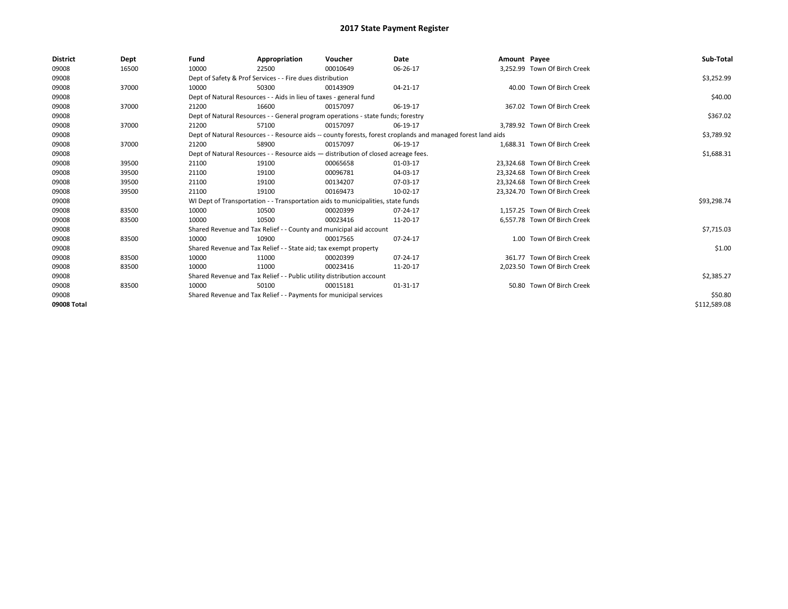| <b>District</b> | Dept  | Fund                                                                  | Appropriation                                                                      | Voucher    | Date                                                                                                         | Amount Payee |                               | Sub-Total    |
|-----------------|-------|-----------------------------------------------------------------------|------------------------------------------------------------------------------------|------------|--------------------------------------------------------------------------------------------------------------|--------------|-------------------------------|--------------|
| 09008           | 16500 | 10000                                                                 | 22500                                                                              | 00010649   | 06-26-17                                                                                                     |              | 3,252.99 Town Of Birch Creek  |              |
| 09008           |       |                                                                       | Dept of Safety & Prof Services - - Fire dues distribution                          |            |                                                                                                              |              |                               | \$3,252.99   |
| 09008           | 37000 | 10000                                                                 | 50300                                                                              | 00143909   | 04-21-17                                                                                                     |              | 40.00 Town Of Birch Creek     |              |
| 09008           |       |                                                                       | Dept of Natural Resources - - Aids in lieu of taxes - general fund                 |            |                                                                                                              |              |                               | \$40.00      |
| 09008           | 37000 | 21200                                                                 | 16600                                                                              | 00157097   | 06-19-17                                                                                                     |              | 367.02 Town Of Birch Creek    |              |
| 09008           |       |                                                                       | Dept of Natural Resources - - General program operations - state funds; forestry   |            |                                                                                                              |              |                               | \$367.02     |
| 09008           | 37000 | 21200                                                                 | 57100                                                                              | 00157097   | 06-19-17                                                                                                     |              | 3,789.92 Town Of Birch Creek  |              |
| 09008           |       |                                                                       |                                                                                    |            | Dept of Natural Resources - - Resource aids -- county forests, forest croplands and managed forest land aids |              |                               | \$3,789.92   |
| 09008           | 37000 | 21200                                                                 | 58900                                                                              | 00157097   | 06-19-17                                                                                                     |              | 1.688.31 Town Of Birch Creek  |              |
| 09008           |       |                                                                       | Dept of Natural Resources - - Resource aids - distribution of closed acreage fees. |            |                                                                                                              |              |                               | \$1,688.31   |
| 09008           | 39500 | 21100                                                                 | 19100                                                                              | 00065658   | 01-03-17                                                                                                     |              | 23.324.68 Town Of Birch Creek |              |
| 09008           | 39500 | 21100                                                                 | 19100                                                                              | 00096781   | 04-03-17                                                                                                     |              | 23.324.68 Town Of Birch Creek |              |
| 09008           | 39500 | 21100                                                                 | 19100                                                                              | 00134207   | 07-03-17                                                                                                     |              | 23,324.68 Town Of Birch Creek |              |
| 09008           | 39500 | 21100                                                                 | 19100                                                                              | 00169473   | 10-02-17                                                                                                     |              | 23,324.70 Town Of Birch Creek |              |
| 09008           |       |                                                                       | WI Dept of Transportation - - Transportation aids to municipalities, state funds   |            |                                                                                                              |              |                               | \$93,298.74  |
| 09008           | 83500 | 10000                                                                 | 10500                                                                              | 00020399   | 07-24-17                                                                                                     |              | 1.157.25 Town Of Birch Creek  |              |
| 09008           | 83500 | 10000                                                                 | 10500                                                                              | 00023416   | 11-20-17                                                                                                     |              | 6,557.78 Town Of Birch Creek  |              |
| 09008           |       |                                                                       | Shared Revenue and Tax Relief - - County and municipal aid account                 |            |                                                                                                              |              |                               | \$7,715.03   |
| 09008           | 83500 | 10000                                                                 | 10900                                                                              | 00017565   | 07-24-17                                                                                                     |              | 1.00 Town Of Birch Creek      |              |
| 09008           |       |                                                                       | Shared Revenue and Tax Relief - - State aid; tax exempt property                   |            |                                                                                                              |              |                               | \$1.00       |
| 09008           | 83500 | 10000                                                                 | 11000                                                                              | 00020399   | $07 - 24 - 17$                                                                                               |              | 361.77 Town Of Birch Creek    |              |
| 09008           | 83500 | 10000                                                                 | 11000                                                                              | 00023416   | 11-20-17                                                                                                     |              | 2,023.50 Town Of Birch Creek  |              |
| 09008           |       | Shared Revenue and Tax Relief - - Public utility distribution account |                                                                                    | \$2,385.27 |                                                                                                              |              |                               |              |
| 09008           | 83500 | 10000                                                                 | 50100                                                                              | 00015181   | 01-31-17                                                                                                     |              | 50.80 Town Of Birch Creek     |              |
| 09008           |       |                                                                       | Shared Revenue and Tax Relief - - Payments for municipal services                  |            |                                                                                                              |              |                               | \$50.80      |
| 09008 Total     |       |                                                                       |                                                                                    |            |                                                                                                              |              |                               | \$112,589.08 |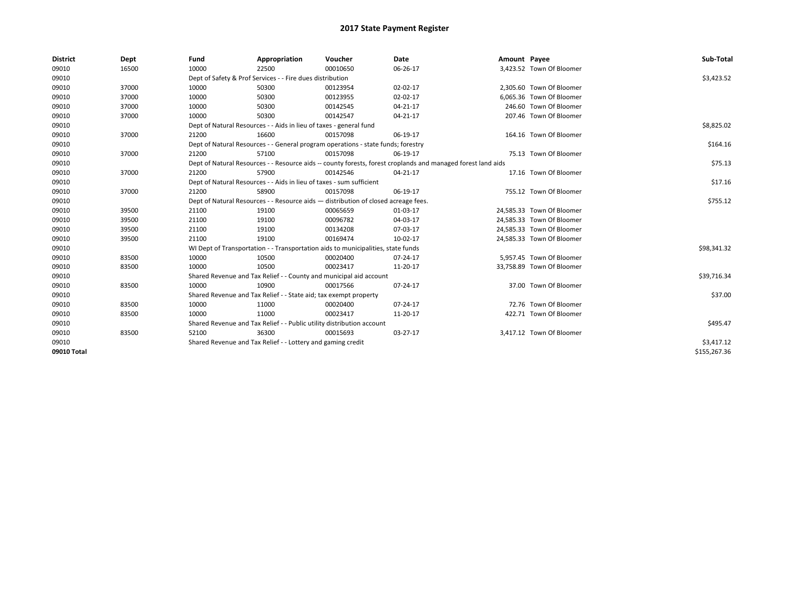| <b>District</b> | Dept  | Fund  | Appropriation                                                                      | Voucher  | Date                                                                                                         | Amount Payee |                           | Sub-Total    |
|-----------------|-------|-------|------------------------------------------------------------------------------------|----------|--------------------------------------------------------------------------------------------------------------|--------------|---------------------------|--------------|
| 09010           | 16500 | 10000 | 22500                                                                              | 00010650 | 06-26-17                                                                                                     |              | 3,423.52 Town Of Bloomer  |              |
| 09010           |       |       | Dept of Safety & Prof Services - - Fire dues distribution                          |          |                                                                                                              |              |                           | \$3,423.52   |
| 09010           | 37000 | 10000 | 50300                                                                              | 00123954 | 02-02-17                                                                                                     |              | 2.305.60 Town Of Bloomer  |              |
| 09010           | 37000 | 10000 | 50300                                                                              | 00123955 | 02-02-17                                                                                                     |              | 6,065.36 Town Of Bloomer  |              |
| 09010           | 37000 | 10000 | 50300                                                                              | 00142545 | 04-21-17                                                                                                     |              | 246.60 Town Of Bloomer    |              |
| 09010           | 37000 | 10000 | 50300                                                                              | 00142547 | 04-21-17                                                                                                     |              | 207.46 Town Of Bloomer    |              |
| 09010           |       |       | Dept of Natural Resources - - Aids in lieu of taxes - general fund                 |          |                                                                                                              |              |                           | \$8,825.02   |
| 09010           | 37000 | 21200 | 16600                                                                              | 00157098 | 06-19-17                                                                                                     |              | 164.16 Town Of Bloomer    |              |
| 09010           |       |       | Dept of Natural Resources - - General program operations - state funds; forestry   |          |                                                                                                              |              |                           | \$164.16     |
| 09010           | 37000 | 21200 | 57100                                                                              | 00157098 | 06-19-17                                                                                                     |              | 75.13 Town Of Bloomer     |              |
| 09010           |       |       |                                                                                    |          | Dept of Natural Resources - - Resource aids -- county forests, forest croplands and managed forest land aids |              |                           | \$75.13      |
| 09010           | 37000 | 21200 | 57900                                                                              | 00142546 | 04-21-17                                                                                                     |              | 17.16 Town Of Bloomer     |              |
| 09010           |       |       | Dept of Natural Resources - - Aids in lieu of taxes - sum sufficient               |          |                                                                                                              |              |                           | \$17.16      |
| 09010           | 37000 | 21200 | 58900                                                                              | 00157098 | 06-19-17                                                                                                     |              | 755.12 Town Of Bloomer    |              |
| 09010           |       |       | Dept of Natural Resources - - Resource aids - distribution of closed acreage fees. |          |                                                                                                              |              |                           | \$755.12     |
| 09010           | 39500 | 21100 | 19100                                                                              | 00065659 | 01-03-17                                                                                                     |              | 24,585.33 Town Of Bloomer |              |
| 09010           | 39500 | 21100 | 19100                                                                              | 00096782 | 04-03-17                                                                                                     |              | 24,585.33 Town Of Bloomer |              |
| 09010           | 39500 | 21100 | 19100                                                                              | 00134208 | 07-03-17                                                                                                     |              | 24,585.33 Town Of Bloomer |              |
| 09010           | 39500 | 21100 | 19100                                                                              | 00169474 | 10-02-17                                                                                                     |              | 24,585.33 Town Of Bloomer |              |
| 09010           |       |       | WI Dept of Transportation - - Transportation aids to municipalities, state funds   |          |                                                                                                              |              |                           | \$98,341.32  |
| 09010           | 83500 | 10000 | 10500                                                                              | 00020400 | $07 - 24 - 17$                                                                                               |              | 5,957.45 Town Of Bloomer  |              |
| 09010           | 83500 | 10000 | 10500                                                                              | 00023417 | 11-20-17                                                                                                     |              | 33,758.89 Town Of Bloomer |              |
| 09010           |       |       | Shared Revenue and Tax Relief - - County and municipal aid account                 |          |                                                                                                              |              |                           | \$39,716.34  |
| 09010           | 83500 | 10000 | 10900                                                                              | 00017566 | 07-24-17                                                                                                     |              | 37.00 Town Of Bloomer     |              |
| 09010           |       |       | Shared Revenue and Tax Relief - - State aid; tax exempt property                   |          |                                                                                                              |              |                           | \$37.00      |
| 09010           | 83500 | 10000 | 11000                                                                              | 00020400 | 07-24-17                                                                                                     |              | 72.76 Town Of Bloomer     |              |
| 09010           | 83500 | 10000 | 11000                                                                              | 00023417 | 11-20-17                                                                                                     |              | 422.71 Town Of Bloomer    |              |
| 09010           |       |       | Shared Revenue and Tax Relief - - Public utility distribution account              |          |                                                                                                              |              |                           | \$495.47     |
| 09010           | 83500 | 52100 | 36300                                                                              | 00015693 | 03-27-17                                                                                                     |              | 3,417.12 Town Of Bloomer  |              |
| 09010           |       |       | Shared Revenue and Tax Relief - - Lottery and gaming credit                        |          |                                                                                                              |              |                           | \$3,417.12   |
| 09010 Total     |       |       |                                                                                    |          |                                                                                                              |              |                           | \$155,267.36 |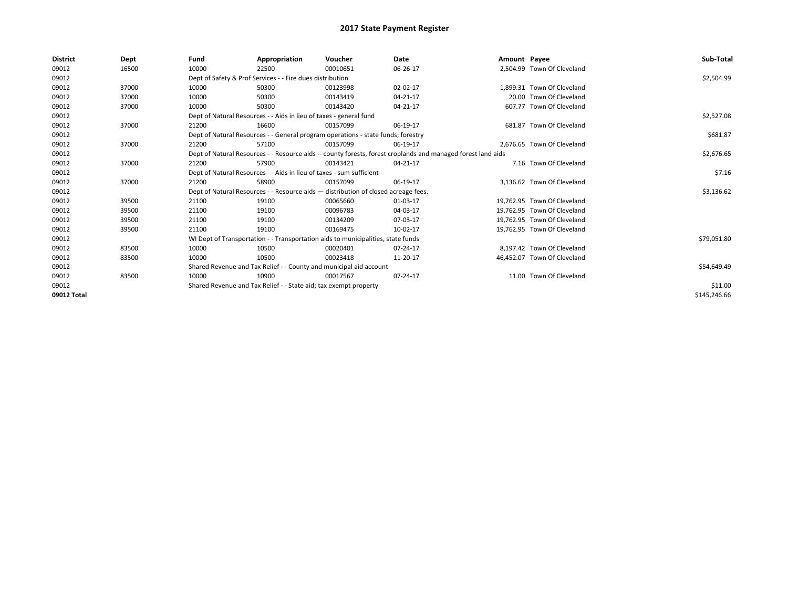| <b>District</b> | Dept  | Fund  | Appropriation                                                                      | Voucher  | Date                                                                                                         | Amount Payee |                             | Sub-Total    |
|-----------------|-------|-------|------------------------------------------------------------------------------------|----------|--------------------------------------------------------------------------------------------------------------|--------------|-----------------------------|--------------|
| 09012           | 16500 | 10000 | 22500                                                                              | 00010651 | 06-26-17                                                                                                     |              | 2,504.99 Town Of Cleveland  |              |
| 09012           |       |       | Dept of Safety & Prof Services - - Fire dues distribution                          |          |                                                                                                              |              |                             | \$2,504.99   |
| 09012           | 37000 | 10000 | 50300                                                                              | 00123998 | 02-02-17                                                                                                     |              | 1,899.31 Town Of Cleveland  |              |
| 09012           | 37000 | 10000 | 50300                                                                              | 00143419 | 04-21-17                                                                                                     |              | 20.00 Town Of Cleveland     |              |
| 09012           | 37000 | 10000 | 50300                                                                              | 00143420 | 04-21-17                                                                                                     |              | 607.77 Town Of Cleveland    |              |
| 09012           |       |       | Dept of Natural Resources - - Aids in lieu of taxes - general fund                 |          | \$2,527.08                                                                                                   |              |                             |              |
| 09012           | 37000 | 21200 | 16600                                                                              | 00157099 | 06-19-17                                                                                                     |              | 681.87 Town Of Cleveland    |              |
| 09012           |       |       | Dept of Natural Resources - - General program operations - state funds; forestry   |          | \$681.87                                                                                                     |              |                             |              |
| 09012           | 37000 | 21200 | 57100                                                                              | 00157099 | 06-19-17                                                                                                     |              | 2,676.65 Town Of Cleveland  |              |
| 09012           |       |       |                                                                                    |          | Dept of Natural Resources - - Resource aids -- county forests, forest croplands and managed forest land aids |              |                             | \$2,676.65   |
| 09012           | 37000 | 21200 | 57900                                                                              | 00143421 | 04-21-17                                                                                                     |              | 7.16 Town Of Cleveland      |              |
| 09012           |       |       | Dept of Natural Resources - - Aids in lieu of taxes - sum sufficient               |          |                                                                                                              |              |                             | \$7.16       |
| 09012           | 37000 | 21200 | 58900                                                                              | 00157099 | 06-19-17                                                                                                     |              | 3,136.62 Town Of Cleveland  |              |
| 09012           |       |       | Dept of Natural Resources - - Resource aids - distribution of closed acreage fees. |          |                                                                                                              |              |                             | \$3,136.62   |
| 09012           | 39500 | 21100 | 19100                                                                              | 00065660 | 01-03-17                                                                                                     |              | 19,762.95 Town Of Cleveland |              |
| 09012           | 39500 | 21100 | 19100                                                                              | 00096783 | 04-03-17                                                                                                     |              | 19,762.95 Town Of Cleveland |              |
| 09012           | 39500 | 21100 | 19100                                                                              | 00134209 | 07-03-17                                                                                                     |              | 19,762.95 Town Of Cleveland |              |
| 09012           | 39500 | 21100 | 19100                                                                              | 00169475 | 10-02-17                                                                                                     |              | 19,762.95 Town Of Cleveland |              |
| 09012           |       |       | WI Dept of Transportation - - Transportation aids to municipalities, state funds   |          |                                                                                                              |              |                             | \$79,051.80  |
| 09012           | 83500 | 10000 | 10500                                                                              | 00020401 | 07-24-17                                                                                                     |              | 8.197.42 Town Of Cleveland  |              |
| 09012           | 83500 | 10000 | 10500                                                                              | 00023418 | 11-20-17                                                                                                     |              | 46,452.07 Town Of Cleveland |              |
| 09012           |       |       | Shared Revenue and Tax Relief - - County and municipal aid account                 |          |                                                                                                              |              |                             | \$54,649.49  |
| 09012           | 83500 | 10000 | 10900                                                                              | 00017567 | 07-24-17                                                                                                     |              | 11.00 Town Of Cleveland     |              |
| 09012           |       |       | Shared Revenue and Tax Relief - - State aid; tax exempt property                   |          | \$11.00                                                                                                      |              |                             |              |
| 09012 Total     |       |       |                                                                                    |          |                                                                                                              |              |                             | \$145,246.66 |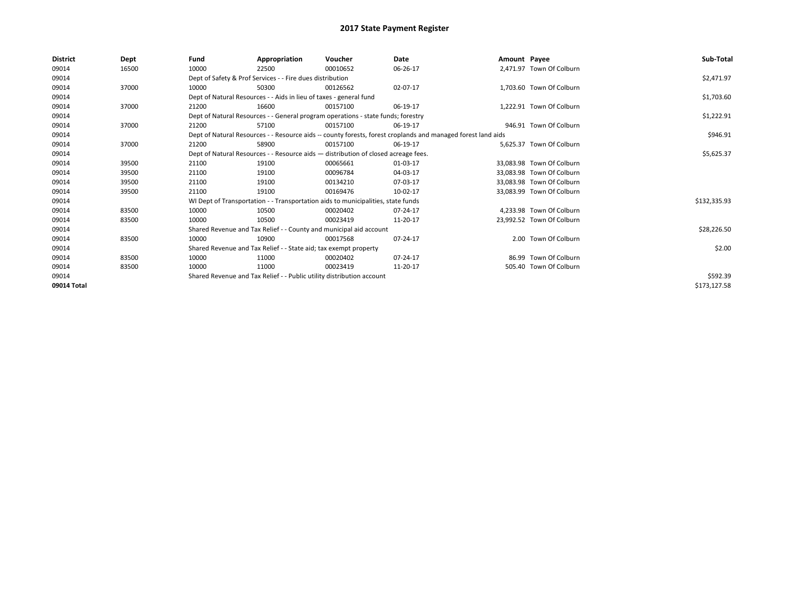| <b>District</b> | Dept  | Fund                                                                  | Appropriation                                                                      | Voucher  | Date                                                                                                         | Amount Payee |                           | Sub-Total    |
|-----------------|-------|-----------------------------------------------------------------------|------------------------------------------------------------------------------------|----------|--------------------------------------------------------------------------------------------------------------|--------------|---------------------------|--------------|
| 09014           | 16500 | 10000                                                                 | 22500                                                                              | 00010652 | 06-26-17                                                                                                     |              | 2,471.97 Town Of Colburn  |              |
| 09014           |       |                                                                       | Dept of Safety & Prof Services - - Fire dues distribution                          |          |                                                                                                              |              |                           | \$2,471.97   |
| 09014           | 37000 | 10000                                                                 | 50300                                                                              | 00126562 | 02-07-17                                                                                                     |              | 1,703.60 Town Of Colburn  |              |
| 09014           |       |                                                                       | Dept of Natural Resources - - Aids in lieu of taxes - general fund                 |          |                                                                                                              |              |                           | \$1,703.60   |
| 09014           | 37000 | 21200                                                                 | 16600                                                                              | 00157100 | 06-19-17                                                                                                     |              | 1.222.91 Town Of Colburn  |              |
| 09014           |       |                                                                       | Dept of Natural Resources - - General program operations - state funds; forestry   |          |                                                                                                              |              |                           | \$1,222.91   |
| 09014           | 37000 | 21200                                                                 | 57100                                                                              | 00157100 | 06-19-17                                                                                                     |              | 946.91 Town Of Colburn    |              |
| 09014           |       |                                                                       |                                                                                    |          | Dept of Natural Resources - - Resource aids -- county forests, forest croplands and managed forest land aids |              |                           | \$946.91     |
| 09014           | 37000 | 21200                                                                 | 58900                                                                              | 00157100 | 06-19-17                                                                                                     |              | 5,625.37 Town Of Colburn  |              |
| 09014           |       |                                                                       | Dept of Natural Resources - - Resource aids - distribution of closed acreage fees. |          |                                                                                                              |              |                           | \$5,625.37   |
| 09014           | 39500 | 21100                                                                 | 19100                                                                              | 00065661 | 01-03-17                                                                                                     |              | 33.083.98 Town Of Colburn |              |
| 09014           | 39500 | 21100                                                                 | 19100                                                                              | 00096784 | 04-03-17                                                                                                     |              | 33,083.98 Town Of Colburn |              |
| 09014           | 39500 | 21100                                                                 | 19100                                                                              | 00134210 | 07-03-17                                                                                                     |              | 33.083.98 Town Of Colburn |              |
| 09014           | 39500 | 21100                                                                 | 19100                                                                              | 00169476 | 10-02-17                                                                                                     |              | 33,083.99 Town Of Colburn |              |
| 09014           |       |                                                                       | WI Dept of Transportation - - Transportation aids to municipalities, state funds   |          |                                                                                                              |              |                           | \$132,335.93 |
| 09014           | 83500 | 10000                                                                 | 10500                                                                              | 00020402 | 07-24-17                                                                                                     |              | 4,233.98 Town Of Colburn  |              |
| 09014           | 83500 | 10000                                                                 | 10500                                                                              | 00023419 | 11-20-17                                                                                                     |              | 23,992.52 Town Of Colburn |              |
| 09014           |       |                                                                       | Shared Revenue and Tax Relief - - County and municipal aid account                 |          |                                                                                                              |              |                           | \$28,226.50  |
| 09014           | 83500 | 10000                                                                 | 10900                                                                              | 00017568 | 07-24-17                                                                                                     |              | 2.00 Town Of Colburn      |              |
| 09014           |       |                                                                       | Shared Revenue and Tax Relief - - State aid; tax exempt property                   |          |                                                                                                              |              |                           | \$2.00       |
| 09014           | 83500 | 10000                                                                 | 11000                                                                              | 00020402 | 07-24-17                                                                                                     |              | 86.99 Town Of Colburn     |              |
| 09014           | 83500 | 10000                                                                 | 11000                                                                              | 00023419 | 11-20-17                                                                                                     |              | 505.40 Town Of Colburn    |              |
| 09014           |       | Shared Revenue and Tax Relief - - Public utility distribution account |                                                                                    | \$592.39 |                                                                                                              |              |                           |              |
| 09014 Total     |       |                                                                       |                                                                                    |          |                                                                                                              |              |                           | \$173,127.58 |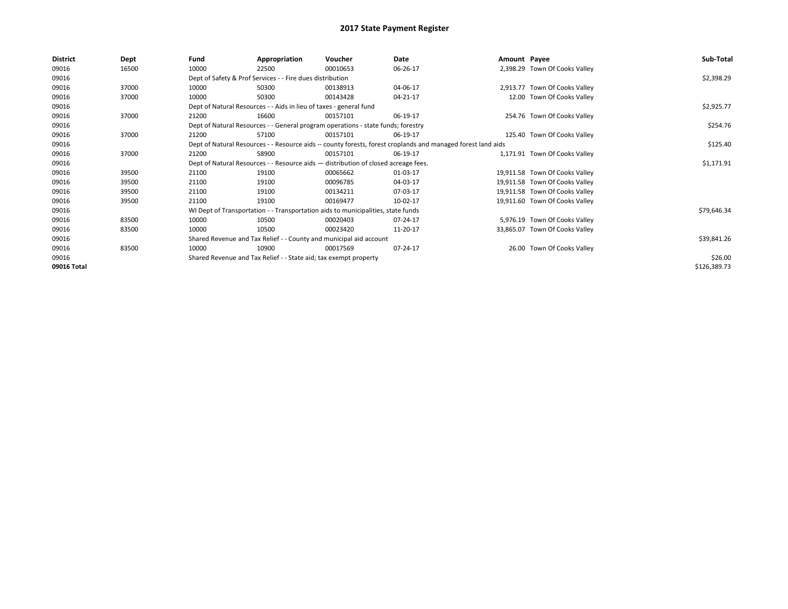| <b>District</b> | Dept  | Fund  | Appropriation                                                                                                | Voucher  | Date     | Amount Payee |                                | Sub-Total    |
|-----------------|-------|-------|--------------------------------------------------------------------------------------------------------------|----------|----------|--------------|--------------------------------|--------------|
| 09016           | 16500 | 10000 | 22500                                                                                                        | 00010653 | 06-26-17 |              | 2,398.29 Town Of Cooks Valley  |              |
| 09016           |       |       | Dept of Safety & Prof Services - - Fire dues distribution                                                    |          |          |              |                                | \$2,398.29   |
| 09016           | 37000 | 10000 | 50300                                                                                                        | 00138913 | 04-06-17 |              | 2,913.77 Town Of Cooks Valley  |              |
| 09016           | 37000 | 10000 | 50300                                                                                                        | 00143428 | 04-21-17 |              | 12.00 Town Of Cooks Valley     |              |
| 09016           |       |       | Dept of Natural Resources - - Aids in lieu of taxes - general fund                                           |          |          |              |                                | \$2,925.77   |
| 09016           | 37000 | 21200 | 16600                                                                                                        | 00157101 | 06-19-17 |              | 254.76 Town Of Cooks Valley    |              |
| 09016           |       |       | Dept of Natural Resources - - General program operations - state funds; forestry                             |          |          |              |                                | \$254.76     |
| 09016           | 37000 | 21200 | 57100                                                                                                        | 00157101 | 06-19-17 |              | 125.40 Town Of Cooks Valley    |              |
| 09016           |       |       | Dept of Natural Resources - - Resource aids -- county forests, forest croplands and managed forest land aids |          |          |              |                                | \$125.40     |
| 09016           | 37000 | 21200 | 58900                                                                                                        | 00157101 | 06-19-17 |              | 1,171.91 Town Of Cooks Valley  |              |
| 09016           |       |       | Dept of Natural Resources - - Resource aids - distribution of closed acreage fees.                           |          |          |              |                                | \$1,171.91   |
| 09016           | 39500 | 21100 | 19100                                                                                                        | 00065662 | 01-03-17 |              | 19,911.58 Town Of Cooks Valley |              |
| 09016           | 39500 | 21100 | 19100                                                                                                        | 00096785 | 04-03-17 |              | 19,911.58 Town Of Cooks Valley |              |
| 09016           | 39500 | 21100 | 19100                                                                                                        | 00134211 | 07-03-17 |              | 19,911.58 Town Of Cooks Valley |              |
| 09016           | 39500 | 21100 | 19100                                                                                                        | 00169477 | 10-02-17 |              | 19,911.60 Town Of Cooks Valley |              |
| 09016           |       |       | WI Dept of Transportation - - Transportation aids to municipalities, state funds                             |          |          |              |                                | \$79,646.34  |
| 09016           | 83500 | 10000 | 10500                                                                                                        | 00020403 | 07-24-17 |              | 5,976.19 Town Of Cooks Valley  |              |
| 09016           | 83500 | 10000 | 10500                                                                                                        | 00023420 | 11-20-17 |              | 33,865.07 Town Of Cooks Valley |              |
| 09016           |       |       | Shared Revenue and Tax Relief - - County and municipal aid account                                           |          |          |              |                                | \$39,841.26  |
| 09016           | 83500 | 10000 | 10900                                                                                                        | 00017569 | 07-24-17 |              | 26.00 Town Of Cooks Valley     |              |
| 09016           |       |       | Shared Revenue and Tax Relief - - State aid; tax exempt property                                             |          |          |              |                                | \$26.00      |
| 09016 Total     |       |       |                                                                                                              |          |          |              |                                | \$126,389.73 |
|                 |       |       |                                                                                                              |          |          |              |                                |              |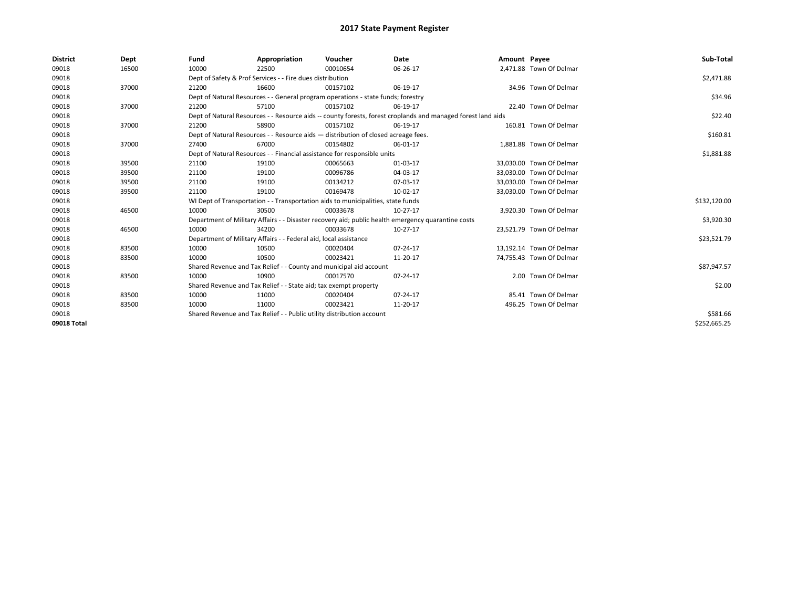| <b>District</b> | Dept  | Fund  | Appropriation                                                                                                | Voucher  | Date           | Amount Payee |                          | Sub-Total    |
|-----------------|-------|-------|--------------------------------------------------------------------------------------------------------------|----------|----------------|--------------|--------------------------|--------------|
| 09018           | 16500 | 10000 | 22500                                                                                                        | 00010654 | 06-26-17       |              | 2,471.88 Town Of Delmar  |              |
| 09018           |       |       | Dept of Safety & Prof Services - - Fire dues distribution                                                    |          |                |              |                          | \$2,471.88   |
| 09018           | 37000 | 21200 | 16600                                                                                                        | 00157102 | 06-19-17       |              | 34.96 Town Of Delmar     |              |
| 09018           |       |       | Dept of Natural Resources - - General program operations - state funds; forestry                             |          |                |              |                          | \$34.96      |
| 09018           | 37000 | 21200 | 57100                                                                                                        | 00157102 | 06-19-17       |              | 22.40 Town Of Delmar     |              |
| 09018           |       |       | Dept of Natural Resources - - Resource aids -- county forests, forest croplands and managed forest land aids |          |                |              |                          | \$22.40      |
| 09018           | 37000 | 21200 | 58900                                                                                                        | 00157102 | 06-19-17       |              | 160.81 Town Of Delmar    |              |
| 09018           |       |       | Dept of Natural Resources - - Resource aids - distribution of closed acreage fees.                           |          |                |              |                          | \$160.81     |
| 09018           | 37000 | 27400 | 67000                                                                                                        | 00154802 | 06-01-17       |              | 1,881.88 Town Of Delmar  |              |
| 09018           |       |       | Dept of Natural Resources - - Financial assistance for responsible units                                     |          |                |              |                          | \$1,881.88   |
| 09018           | 39500 | 21100 | 19100                                                                                                        | 00065663 | 01-03-17       |              | 33.030.00 Town Of Delmar |              |
| 09018           | 39500 | 21100 | 19100                                                                                                        | 00096786 | 04-03-17       |              | 33.030.00 Town Of Delmar |              |
| 09018           | 39500 | 21100 | 19100                                                                                                        | 00134212 | 07-03-17       |              | 33,030.00 Town Of Delmar |              |
| 09018           | 39500 | 21100 | 19100                                                                                                        | 00169478 | 10-02-17       |              | 33,030.00 Town Of Delmar |              |
| 09018           |       |       | WI Dept of Transportation - - Transportation aids to municipalities, state funds                             |          |                |              |                          | \$132,120.00 |
| 09018           | 46500 | 10000 | 30500                                                                                                        | 00033678 | 10-27-17       |              | 3,920.30 Town Of Delmar  |              |
| 09018           |       |       | Department of Military Affairs - - Disaster recovery aid; public health emergency quarantine costs           |          |                |              |                          | \$3,920.30   |
| 09018           | 46500 | 10000 | 34200                                                                                                        | 00033678 | 10-27-17       |              | 23,521.79 Town Of Delmar |              |
| 09018           |       |       | Department of Military Affairs - - Federal aid, local assistance                                             |          |                |              |                          | \$23,521.79  |
| 09018           | 83500 | 10000 | 10500                                                                                                        | 00020404 | $07 - 24 - 17$ |              | 13,192.14 Town Of Delmar |              |
| 09018           | 83500 | 10000 | 10500                                                                                                        | 00023421 | 11-20-17       |              | 74,755.43 Town Of Delmar |              |
| 09018           |       |       | Shared Revenue and Tax Relief - - County and municipal aid account                                           |          |                |              |                          | \$87,947.57  |
| 09018           | 83500 | 10000 | 10900                                                                                                        | 00017570 | 07-24-17       |              | 2.00 Town Of Delmar      |              |
| 09018           |       |       | Shared Revenue and Tax Relief - - State aid; tax exempt property                                             |          |                |              |                          | \$2.00       |
| 09018           | 83500 | 10000 | 11000                                                                                                        | 00020404 | 07-24-17       |              | 85.41 Town Of Delmar     |              |
| 09018           | 83500 | 10000 | 11000                                                                                                        | 00023421 | 11-20-17       |              | 496.25 Town Of Delmar    |              |
| 09018           |       |       | Shared Revenue and Tax Relief - - Public utility distribution account                                        |          |                |              |                          | \$581.66     |
| 09018 Total     |       |       |                                                                                                              |          |                |              |                          | \$252,665.25 |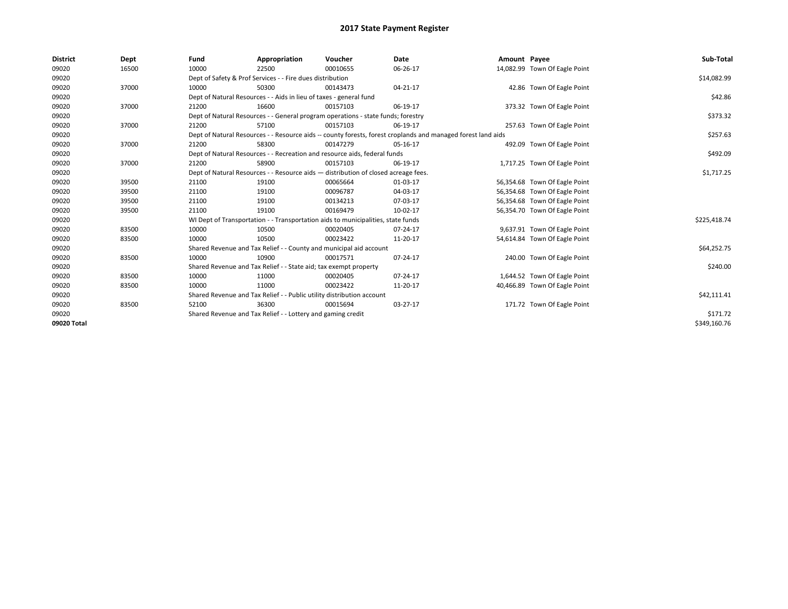| <b>District</b> | Dept  | Fund  | Appropriation                                                                                                | Voucher  | Date     | Amount Payee |                               | Sub-Total    |
|-----------------|-------|-------|--------------------------------------------------------------------------------------------------------------|----------|----------|--------------|-------------------------------|--------------|
| 09020           | 16500 | 10000 | 22500                                                                                                        | 00010655 | 06-26-17 |              | 14,082.99 Town Of Eagle Point |              |
| 09020           |       |       | Dept of Safety & Prof Services - - Fire dues distribution                                                    |          |          |              |                               | \$14,082.99  |
| 09020           | 37000 | 10000 | 50300                                                                                                        | 00143473 | 04-21-17 |              | 42.86 Town Of Eagle Point     |              |
| 09020           |       |       | Dept of Natural Resources - - Aids in lieu of taxes - general fund                                           |          |          |              |                               | \$42.86      |
| 09020           | 37000 | 21200 | 16600                                                                                                        | 00157103 | 06-19-17 |              | 373.32 Town Of Eagle Point    |              |
| 09020           |       |       | Dept of Natural Resources - - General program operations - state funds; forestry                             |          |          |              |                               | \$373.32     |
| 09020           | 37000 | 21200 | 57100                                                                                                        | 00157103 | 06-19-17 |              | 257.63 Town Of Eagle Point    |              |
| 09020           |       |       | Dept of Natural Resources - - Resource aids -- county forests, forest croplands and managed forest land aids |          |          |              |                               | \$257.63     |
| 09020           | 37000 | 21200 | 58300                                                                                                        | 00147279 | 05-16-17 |              | 492.09 Town Of Eagle Point    |              |
| 09020           |       |       | Dept of Natural Resources - - Recreation and resource aids, federal funds                                    |          |          |              |                               | \$492.09     |
| 09020           | 37000 | 21200 | 58900                                                                                                        | 00157103 | 06-19-17 |              | 1,717.25 Town Of Eagle Point  |              |
| 09020           |       |       | Dept of Natural Resources - - Resource aids - distribution of closed acreage fees.                           |          |          |              |                               | \$1,717.25   |
| 09020           | 39500 | 21100 | 19100                                                                                                        | 00065664 | 01-03-17 |              | 56,354.68 Town Of Eagle Point |              |
| 09020           | 39500 | 21100 | 19100                                                                                                        | 00096787 | 04-03-17 |              | 56,354.68 Town Of Eagle Point |              |
| 09020           | 39500 | 21100 | 19100                                                                                                        | 00134213 | 07-03-17 |              | 56,354.68 Town Of Eagle Point |              |
| 09020           | 39500 | 21100 | 19100                                                                                                        | 00169479 | 10-02-17 |              | 56,354.70 Town Of Eagle Point |              |
| 09020           |       |       | WI Dept of Transportation - - Transportation aids to municipalities, state funds                             |          |          |              |                               | \$225,418.74 |
| 09020           | 83500 | 10000 | 10500                                                                                                        | 00020405 | 07-24-17 |              | 9,637.91 Town Of Eagle Point  |              |
| 09020           | 83500 | 10000 | 10500                                                                                                        | 00023422 | 11-20-17 |              | 54,614.84 Town Of Eagle Point |              |
| 09020           |       |       | Shared Revenue and Tax Relief - - County and municipal aid account                                           |          |          |              |                               | \$64,252.75  |
| 09020           | 83500 | 10000 | 10900                                                                                                        | 00017571 | 07-24-17 |              | 240.00 Town Of Eagle Point    |              |
| 09020           |       |       | Shared Revenue and Tax Relief - - State aid; tax exempt property                                             |          |          |              |                               | \$240.00     |
| 09020           | 83500 | 10000 | 11000                                                                                                        | 00020405 | 07-24-17 |              | 1,644.52 Town Of Eagle Point  |              |
| 09020           | 83500 | 10000 | 11000                                                                                                        | 00023422 | 11-20-17 |              | 40,466.89 Town Of Eagle Point |              |
| 09020           |       |       | Shared Revenue and Tax Relief - - Public utility distribution account                                        |          |          |              |                               | \$42,111.41  |
| 09020           | 83500 | 52100 | 36300                                                                                                        | 00015694 | 03-27-17 |              | 171.72 Town Of Eagle Point    |              |
| 09020           |       |       | Shared Revenue and Tax Relief - - Lottery and gaming credit                                                  |          |          |              |                               | \$171.72     |
| 09020 Total     |       |       |                                                                                                              |          |          |              |                               | \$349.160.76 |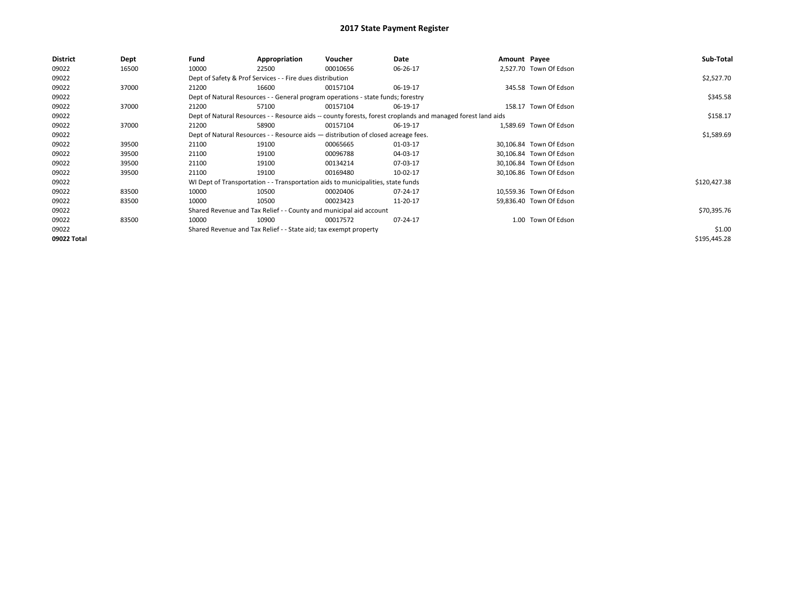| District    | Dept  | Fund  | Appropriation                                                                      | Voucher  | Date                                                                                                         | Amount Payee |                         | Sub-Total    |
|-------------|-------|-------|------------------------------------------------------------------------------------|----------|--------------------------------------------------------------------------------------------------------------|--------------|-------------------------|--------------|
| 09022       | 16500 | 10000 | 22500                                                                              | 00010656 | 06-26-17                                                                                                     |              | 2,527.70 Town Of Edson  |              |
| 09022       |       |       | Dept of Safety & Prof Services - - Fire dues distribution                          |          |                                                                                                              |              |                         | \$2,527.70   |
| 09022       | 37000 | 21200 | 16600                                                                              | 00157104 | 06-19-17                                                                                                     |              | 345.58 Town Of Edson    |              |
| 09022       |       |       | Dept of Natural Resources - - General program operations - state funds; forestry   |          |                                                                                                              |              |                         | \$345.58     |
| 09022       | 37000 | 21200 | 57100                                                                              | 00157104 | 06-19-17                                                                                                     |              | 158.17 Town Of Edson    |              |
| 09022       |       |       |                                                                                    |          | Dept of Natural Resources - - Resource aids -- county forests, forest croplands and managed forest land aids |              |                         | \$158.17     |
| 09022       | 37000 | 21200 | 58900                                                                              | 00157104 | 06-19-17                                                                                                     |              | 1.589.69 Town Of Edson  |              |
| 09022       |       |       | Dept of Natural Resources - - Resource aids - distribution of closed acreage fees. |          |                                                                                                              |              |                         | \$1,589.69   |
| 09022       | 39500 | 21100 | 19100                                                                              | 00065665 | 01-03-17                                                                                                     |              | 30,106.84 Town Of Edson |              |
| 09022       | 39500 | 21100 | 19100                                                                              | 00096788 | 04-03-17                                                                                                     |              | 30,106.84 Town Of Edson |              |
| 09022       | 39500 | 21100 | 19100                                                                              | 00134214 | 07-03-17                                                                                                     |              | 30,106.84 Town Of Edson |              |
| 09022       | 39500 | 21100 | 19100                                                                              | 00169480 | 10-02-17                                                                                                     |              | 30,106.86 Town Of Edson |              |
| 09022       |       |       | WI Dept of Transportation - - Transportation aids to municipalities, state funds   |          |                                                                                                              |              |                         | \$120,427.38 |
| 09022       | 83500 | 10000 | 10500                                                                              | 00020406 | 07-24-17                                                                                                     |              | 10,559.36 Town Of Edson |              |
| 09022       | 83500 | 10000 | 10500                                                                              | 00023423 | 11-20-17                                                                                                     |              | 59,836.40 Town Of Edson |              |
| 09022       |       |       | Shared Revenue and Tax Relief - - County and municipal aid account                 |          |                                                                                                              |              |                         | \$70,395.76  |
| 09022       | 83500 | 10000 | 10900                                                                              | 00017572 | 07-24-17                                                                                                     |              | 1.00 Town Of Edson      |              |
| 09022       |       |       | Shared Revenue and Tax Relief - - State aid; tax exempt property                   |          |                                                                                                              |              |                         | \$1.00       |
| 09022 Total |       |       |                                                                                    |          |                                                                                                              |              |                         | \$195,445.28 |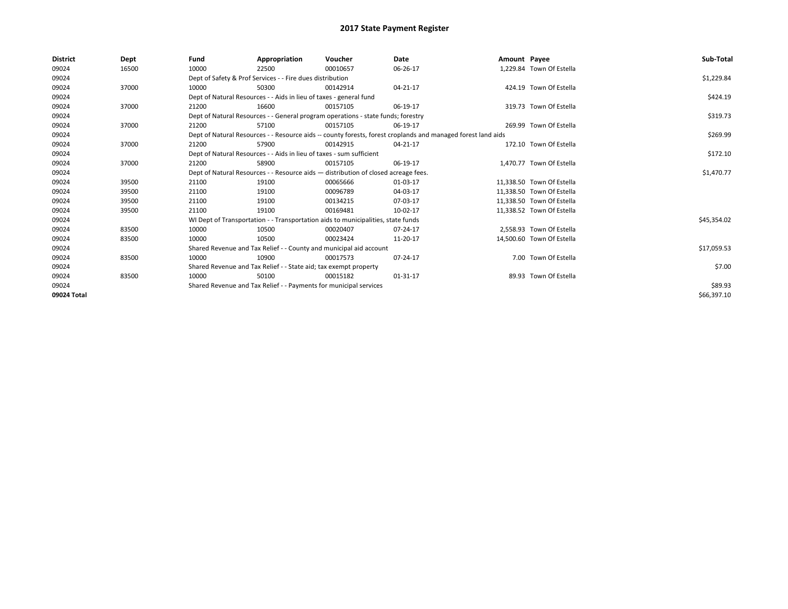| <b>District</b> | Dept  | Fund  | Appropriation                                                                      | Voucher  | Date                                                                                                         | Amount Payee |                           | Sub-Total   |
|-----------------|-------|-------|------------------------------------------------------------------------------------|----------|--------------------------------------------------------------------------------------------------------------|--------------|---------------------------|-------------|
| 09024           | 16500 | 10000 | 22500                                                                              | 00010657 | 06-26-17                                                                                                     |              | 1.229.84 Town Of Estella  |             |
| 09024           |       |       | Dept of Safety & Prof Services - - Fire dues distribution                          |          |                                                                                                              |              |                           | \$1,229.84  |
| 09024           | 37000 | 10000 | 50300                                                                              | 00142914 | 04-21-17                                                                                                     |              | 424.19 Town Of Estella    |             |
| 09024           |       |       | Dept of Natural Resources - - Aids in lieu of taxes - general fund                 |          |                                                                                                              |              |                           | \$424.19    |
| 09024           | 37000 | 21200 | 16600                                                                              | 00157105 | 06-19-17                                                                                                     |              | 319.73 Town Of Estella    |             |
| 09024           |       |       | Dept of Natural Resources - - General program operations - state funds; forestry   |          |                                                                                                              |              |                           | \$319.73    |
| 09024           | 37000 | 21200 | 57100                                                                              | 00157105 | 06-19-17                                                                                                     |              | 269.99 Town Of Estella    |             |
| 09024           |       |       |                                                                                    |          | Dept of Natural Resources - - Resource aids -- county forests, forest croplands and managed forest land aids |              |                           | \$269.99    |
| 09024           | 37000 | 21200 | 57900                                                                              | 00142915 | 04-21-17                                                                                                     |              | 172.10 Town Of Estella    |             |
| 09024           |       |       | Dept of Natural Resources - - Aids in lieu of taxes - sum sufficient               |          |                                                                                                              |              |                           | \$172.10    |
| 09024           | 37000 | 21200 | 58900                                                                              | 00157105 | 06-19-17                                                                                                     |              | 1,470.77 Town Of Estella  |             |
| 09024           |       |       | Dept of Natural Resources - - Resource aids - distribution of closed acreage fees. |          |                                                                                                              |              |                           | \$1,470.77  |
| 09024           | 39500 | 21100 | 19100                                                                              | 00065666 | 01-03-17                                                                                                     |              | 11,338.50 Town Of Estella |             |
| 09024           | 39500 | 21100 | 19100                                                                              | 00096789 | 04-03-17                                                                                                     |              | 11,338.50 Town Of Estella |             |
| 09024           | 39500 | 21100 | 19100                                                                              | 00134215 | 07-03-17                                                                                                     |              | 11,338.50 Town Of Estella |             |
| 09024           | 39500 | 21100 | 19100                                                                              | 00169481 | 10-02-17                                                                                                     |              | 11.338.52 Town Of Estella |             |
| 09024           |       |       | WI Dept of Transportation - - Transportation aids to municipalities, state funds   |          |                                                                                                              |              |                           | \$45,354.02 |
| 09024           | 83500 | 10000 | 10500                                                                              | 00020407 | 07-24-17                                                                                                     |              | 2,558.93 Town Of Estella  |             |
| 09024           | 83500 | 10000 | 10500                                                                              | 00023424 | 11-20-17                                                                                                     |              | 14,500.60 Town Of Estella |             |
| 09024           |       |       | Shared Revenue and Tax Relief - - County and municipal aid account                 |          |                                                                                                              |              |                           | \$17,059.53 |
| 09024           | 83500 | 10000 | 10900                                                                              | 00017573 | 07-24-17                                                                                                     |              | 7.00 Town Of Estella      |             |
| 09024           |       |       | Shared Revenue and Tax Relief - - State aid; tax exempt property                   |          |                                                                                                              |              |                           | \$7.00      |
| 09024           | 83500 | 10000 | 50100                                                                              | 00015182 | 01-31-17                                                                                                     |              | 89.93 Town Of Estella     |             |
| 09024           |       |       | Shared Revenue and Tax Relief - - Payments for municipal services                  |          |                                                                                                              |              |                           | \$89.93     |
| 09024 Total     |       |       |                                                                                    |          |                                                                                                              |              |                           | \$66,397.10 |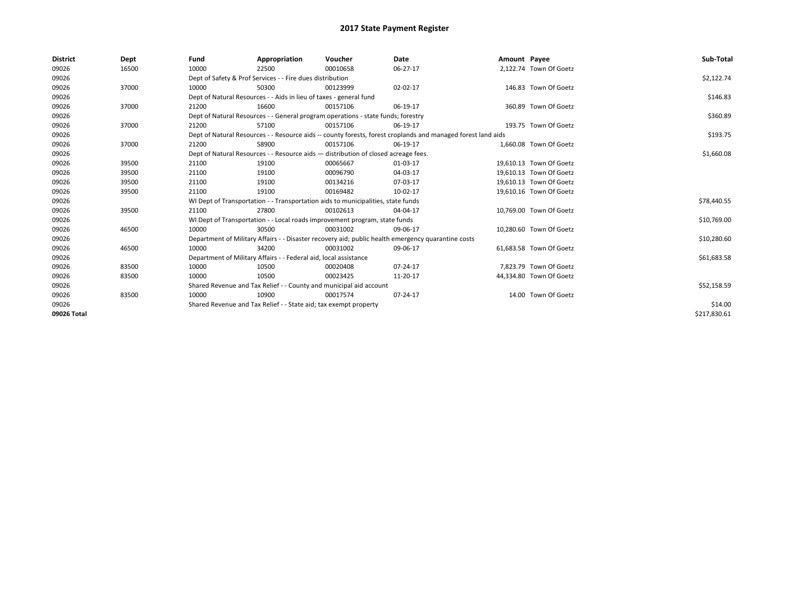| <b>District</b> | Dept  | Fund  | Appropriation                                                                      | Voucher  | Date                                                                                                         | Amount Payee |                         | Sub-Total    |
|-----------------|-------|-------|------------------------------------------------------------------------------------|----------|--------------------------------------------------------------------------------------------------------------|--------------|-------------------------|--------------|
| 09026           | 16500 | 10000 | 22500                                                                              | 00010658 | 06-27-17                                                                                                     |              | 2,122.74 Town Of Goetz  |              |
| 09026           |       |       | Dept of Safety & Prof Services - - Fire dues distribution                          |          |                                                                                                              |              |                         | \$2,122.74   |
| 09026           | 37000 | 10000 | 50300                                                                              | 00123999 | 02-02-17                                                                                                     |              | 146.83 Town Of Goetz    |              |
| 09026           |       |       | Dept of Natural Resources - - Aids in lieu of taxes - general fund                 |          |                                                                                                              |              |                         | \$146.83     |
| 09026           | 37000 | 21200 | 16600                                                                              | 00157106 | 06-19-17                                                                                                     |              | 360.89 Town Of Goetz    |              |
| 09026           |       |       | Dept of Natural Resources - - General program operations - state funds; forestry   |          |                                                                                                              |              |                         | \$360.89     |
| 09026           | 37000 | 21200 | 57100                                                                              | 00157106 | 06-19-17                                                                                                     |              | 193.75 Town Of Goetz    |              |
| 09026           |       |       |                                                                                    |          | Dept of Natural Resources - - Resource aids -- county forests, forest croplands and managed forest land aids |              |                         | \$193.75     |
| 09026           | 37000 | 21200 | 58900                                                                              | 00157106 | 06-19-17                                                                                                     |              | 1,660.08 Town Of Goetz  |              |
| 09026           |       |       | Dept of Natural Resources - - Resource aids - distribution of closed acreage fees. |          |                                                                                                              |              |                         | \$1,660.08   |
| 09026           | 39500 | 21100 | 19100                                                                              | 00065667 | 01-03-17                                                                                                     |              | 19,610.13 Town Of Goetz |              |
| 09026           | 39500 | 21100 | 19100                                                                              | 00096790 | 04-03-17                                                                                                     |              | 19,610.13 Town Of Goetz |              |
| 09026           | 39500 | 21100 | 19100                                                                              | 00134216 | 07-03-17                                                                                                     |              | 19,610.13 Town Of Goetz |              |
| 09026           | 39500 | 21100 | 19100                                                                              | 00169482 | 10-02-17                                                                                                     |              | 19,610.16 Town Of Goetz |              |
| 09026           |       |       | WI Dept of Transportation - - Transportation aids to municipalities, state funds   |          |                                                                                                              |              |                         | \$78,440.55  |
| 09026           | 39500 | 21100 | 27800                                                                              | 00102613 | 04-04-17                                                                                                     |              | 10,769.00 Town Of Goetz |              |
| 09026           |       |       | WI Dept of Transportation - - Local roads improvement program, state funds         |          |                                                                                                              |              |                         | \$10,769.00  |
| 09026           | 46500 | 10000 | 30500                                                                              | 00031002 | 09-06-17                                                                                                     |              | 10.280.60 Town Of Goetz |              |
| 09026           |       |       |                                                                                    |          | Department of Military Affairs - - Disaster recovery aid; public health emergency quarantine costs           |              |                         | \$10,280.60  |
| 09026           | 46500 | 10000 | 34200                                                                              | 00031002 | 09-06-17                                                                                                     |              | 61,683.58 Town Of Goetz |              |
| 09026           |       |       | Department of Military Affairs - - Federal aid, local assistance                   |          |                                                                                                              |              |                         | \$61,683.58  |
| 09026           | 83500 | 10000 | 10500                                                                              | 00020408 | 07-24-17                                                                                                     |              | 7,823.79 Town Of Goetz  |              |
| 09026           | 83500 | 10000 | 10500                                                                              | 00023425 | 11-20-17                                                                                                     |              | 44,334.80 Town Of Goetz |              |
| 09026           |       |       | Shared Revenue and Tax Relief - - County and municipal aid account                 |          |                                                                                                              |              |                         | \$52,158.59  |
| 09026           | 83500 | 10000 | 10900                                                                              | 00017574 | 07-24-17                                                                                                     |              | 14.00 Town Of Goetz     |              |
| 09026           |       |       | Shared Revenue and Tax Relief - - State aid; tax exempt property                   |          |                                                                                                              |              |                         | \$14.00      |
| 09026 Total     |       |       |                                                                                    |          |                                                                                                              |              |                         | \$217,830.61 |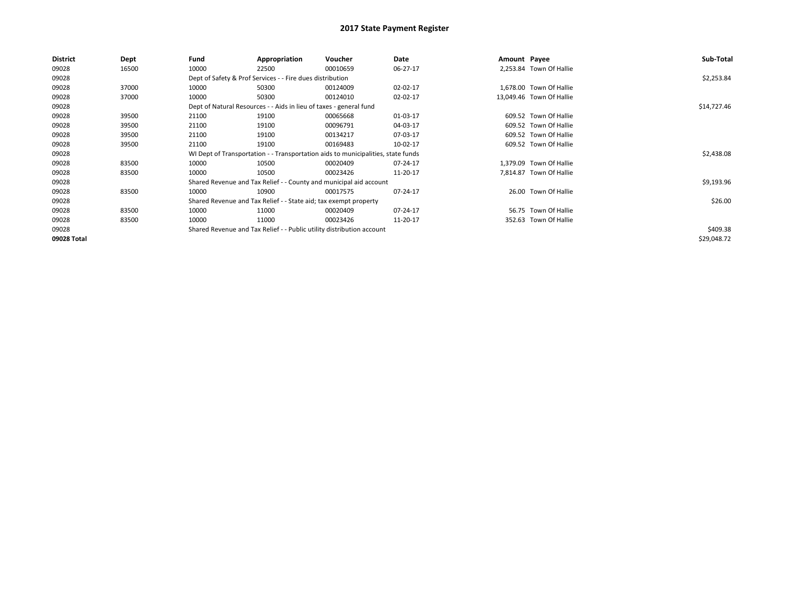| <b>District</b> | Dept  | Fund  | Appropriation                                                                    | Voucher  | Date     | Amount Payee |                          | Sub-Total   |
|-----------------|-------|-------|----------------------------------------------------------------------------------|----------|----------|--------------|--------------------------|-------------|
| 09028           | 16500 | 10000 | 22500                                                                            | 00010659 | 06-27-17 |              | 2,253.84 Town Of Hallie  |             |
| 09028           |       |       | Dept of Safety & Prof Services - - Fire dues distribution                        |          |          |              |                          | \$2,253.84  |
| 09028           | 37000 | 10000 | 50300                                                                            | 00124009 | 02-02-17 |              | 1,678.00 Town Of Hallie  |             |
| 09028           | 37000 | 10000 | 50300                                                                            | 00124010 | 02-02-17 |              | 13,049.46 Town Of Hallie |             |
| 09028           |       |       | Dept of Natural Resources - - Aids in lieu of taxes - general fund               |          |          |              |                          | \$14,727.46 |
| 09028           | 39500 | 21100 | 19100                                                                            | 00065668 | 01-03-17 |              | 609.52 Town Of Hallie    |             |
| 09028           | 39500 | 21100 | 19100                                                                            | 00096791 | 04-03-17 |              | 609.52 Town Of Hallie    |             |
| 09028           | 39500 | 21100 | 19100                                                                            | 00134217 | 07-03-17 |              | 609.52 Town Of Hallie    |             |
| 09028           | 39500 | 21100 | 19100                                                                            | 00169483 | 10-02-17 |              | 609.52 Town Of Hallie    |             |
| 09028           |       |       | WI Dept of Transportation - - Transportation aids to municipalities, state funds |          |          |              |                          | \$2,438.08  |
| 09028           | 83500 | 10000 | 10500                                                                            | 00020409 | 07-24-17 |              | 1,379.09 Town Of Hallie  |             |
| 09028           | 83500 | 10000 | 10500                                                                            | 00023426 | 11-20-17 |              | 7,814.87 Town Of Hallie  |             |
| 09028           |       |       | Shared Revenue and Tax Relief - - County and municipal aid account               |          |          |              |                          | \$9,193.96  |
| 09028           | 83500 | 10000 | 10900                                                                            | 00017575 | 07-24-17 |              | 26.00 Town Of Hallie     |             |
| 09028           |       |       | Shared Revenue and Tax Relief - - State aid; tax exempt property                 |          |          |              |                          | \$26.00     |
| 09028           | 83500 | 10000 | 11000                                                                            | 00020409 | 07-24-17 |              | 56.75 Town Of Hallie     |             |
| 09028           | 83500 | 10000 | 11000                                                                            | 00023426 | 11-20-17 |              | 352.63 Town Of Hallie    |             |
| 09028           |       |       | Shared Revenue and Tax Relief - - Public utility distribution account            |          |          |              |                          | \$409.38    |
| 09028 Total     |       |       |                                                                                  |          |          |              |                          | \$29,048.72 |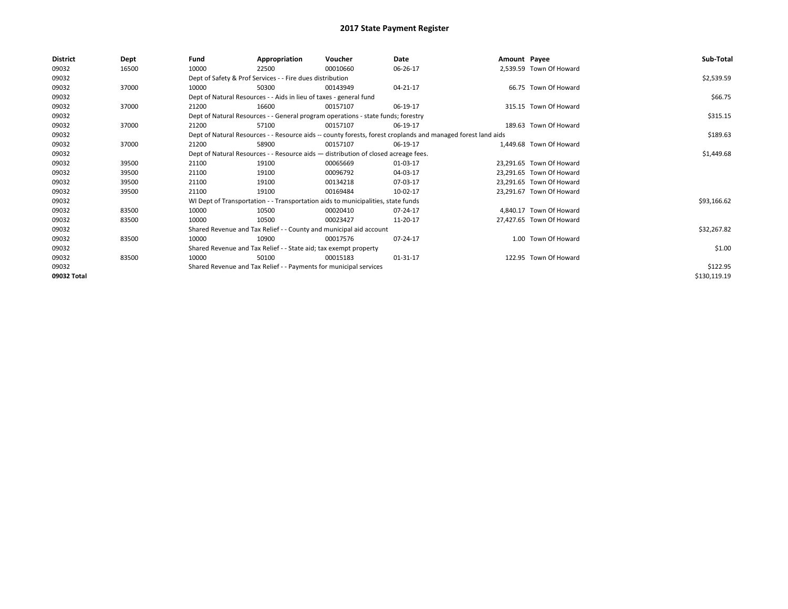| <b>District</b> | Dept  | Fund  | Appropriation                                                                      | Voucher  | Date                                                                                                         | Amount Payee |                          | Sub-Total    |
|-----------------|-------|-------|------------------------------------------------------------------------------------|----------|--------------------------------------------------------------------------------------------------------------|--------------|--------------------------|--------------|
| 09032           | 16500 | 10000 | 22500                                                                              | 00010660 | 06-26-17                                                                                                     |              | 2,539.59 Town Of Howard  |              |
| 09032           |       |       | Dept of Safety & Prof Services - - Fire dues distribution                          |          |                                                                                                              |              |                          | \$2,539.59   |
| 09032           | 37000 | 10000 | 50300                                                                              | 00143949 | 04-21-17                                                                                                     |              | 66.75 Town Of Howard     |              |
| 09032           |       |       | Dept of Natural Resources - - Aids in lieu of taxes - general fund                 |          |                                                                                                              |              |                          | \$66.75      |
| 09032           | 37000 | 21200 | 16600                                                                              | 00157107 | 06-19-17                                                                                                     |              | 315.15 Town Of Howard    |              |
| 09032           |       |       | Dept of Natural Resources - - General program operations - state funds; forestry   |          |                                                                                                              |              |                          | \$315.15     |
| 09032           | 37000 | 21200 | 57100                                                                              | 00157107 | 06-19-17                                                                                                     |              | 189.63 Town Of Howard    |              |
| 09032           |       |       |                                                                                    |          | Dept of Natural Resources - - Resource aids -- county forests, forest croplands and managed forest land aids |              |                          | \$189.63     |
| 09032           | 37000 | 21200 | 58900                                                                              | 00157107 | 06-19-17                                                                                                     |              | 1.449.68 Town Of Howard  |              |
| 09032           |       |       | Dept of Natural Resources - - Resource aids - distribution of closed acreage fees. |          |                                                                                                              |              |                          | \$1,449.68   |
| 09032           | 39500 | 21100 | 19100                                                                              | 00065669 | 01-03-17                                                                                                     |              | 23.291.65 Town Of Howard |              |
| 09032           | 39500 | 21100 | 19100                                                                              | 00096792 | 04-03-17                                                                                                     |              | 23.291.65 Town Of Howard |              |
| 09032           | 39500 | 21100 | 19100                                                                              | 00134218 | 07-03-17                                                                                                     |              | 23,291.65 Town Of Howard |              |
| 09032           | 39500 | 21100 | 19100                                                                              | 00169484 | 10-02-17                                                                                                     |              | 23,291.67 Town Of Howard |              |
| 09032           |       |       | WI Dept of Transportation - - Transportation aids to municipalities, state funds   |          |                                                                                                              |              |                          | \$93,166.62  |
| 09032           | 83500 | 10000 | 10500                                                                              | 00020410 | 07-24-17                                                                                                     |              | 4.840.17 Town Of Howard  |              |
| 09032           | 83500 | 10000 | 10500                                                                              | 00023427 | 11-20-17                                                                                                     |              | 27.427.65 Town Of Howard |              |
| 09032           |       |       | Shared Revenue and Tax Relief - - County and municipal aid account                 |          |                                                                                                              |              |                          | \$32,267.82  |
| 09032           | 83500 | 10000 | 10900                                                                              | 00017576 | 07-24-17                                                                                                     |              | 1.00 Town Of Howard      |              |
| 09032           |       |       | Shared Revenue and Tax Relief - - State aid; tax exempt property                   |          |                                                                                                              |              |                          | \$1.00       |
| 09032           | 83500 | 10000 | 50100                                                                              | 00015183 | 01-31-17                                                                                                     |              | 122.95 Town Of Howard    |              |
| 09032           |       |       | Shared Revenue and Tax Relief - - Payments for municipal services                  |          |                                                                                                              |              |                          | \$122.95     |
| 09032 Total     |       |       |                                                                                    |          |                                                                                                              |              |                          | \$130,119.19 |
|                 |       |       |                                                                                    |          |                                                                                                              |              |                          |              |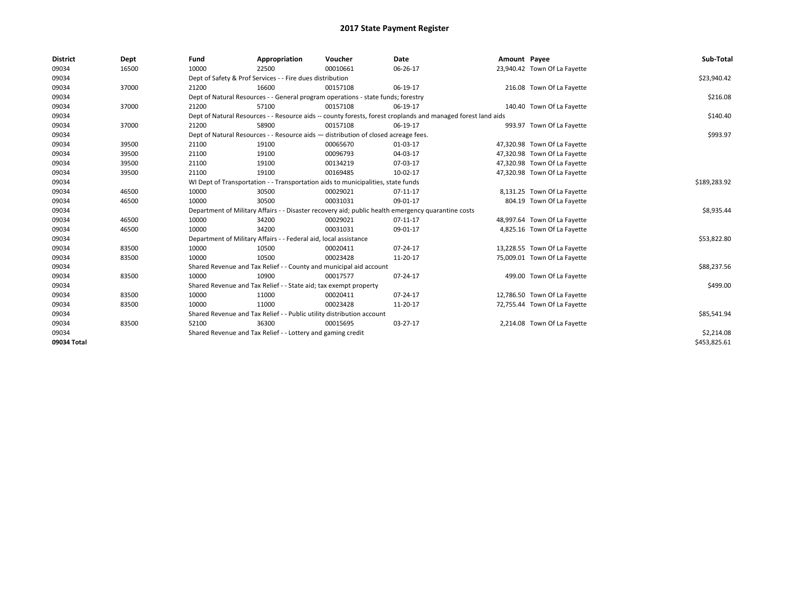| <b>District</b> | Dept  | Fund  | Appropriation                                                                      | Voucher  | <b>Date</b>                                                                                                  | Amount Payee |                              | Sub-Total    |
|-----------------|-------|-------|------------------------------------------------------------------------------------|----------|--------------------------------------------------------------------------------------------------------------|--------------|------------------------------|--------------|
| 09034           | 16500 | 10000 | 22500                                                                              | 00010661 | 06-26-17                                                                                                     |              | 23,940.42 Town Of La Fayette |              |
| 09034           |       |       | Dept of Safety & Prof Services - - Fire dues distribution                          |          |                                                                                                              |              |                              | \$23,940.42  |
| 09034           | 37000 | 21200 | 16600                                                                              | 00157108 | 06-19-17                                                                                                     |              | 216.08 Town Of La Fayette    |              |
| 09034           |       |       | Dept of Natural Resources - - General program operations - state funds; forestry   |          |                                                                                                              |              |                              | \$216.08     |
| 09034           | 37000 | 21200 | 57100                                                                              | 00157108 | 06-19-17                                                                                                     |              | 140.40 Town Of La Fayette    |              |
| 09034           |       |       |                                                                                    |          | Dept of Natural Resources - - Resource aids -- county forests, forest croplands and managed forest land aids |              |                              | \$140.40     |
| 09034           | 37000 | 21200 | 58900                                                                              | 00157108 | 06-19-17                                                                                                     |              | 993.97 Town Of La Fayette    |              |
| 09034           |       |       | Dept of Natural Resources - - Resource aids - distribution of closed acreage fees. |          |                                                                                                              |              |                              | \$993.97     |
| 09034           | 39500 | 21100 | 19100                                                                              | 00065670 | 01-03-17                                                                                                     |              | 47,320.98 Town Of La Fayette |              |
| 09034           | 39500 | 21100 | 19100                                                                              | 00096793 | 04-03-17                                                                                                     |              | 47,320.98 Town Of La Fayette |              |
| 09034           | 39500 | 21100 | 19100                                                                              | 00134219 | 07-03-17                                                                                                     |              | 47,320.98 Town Of La Fayette |              |
| 09034           | 39500 | 21100 | 19100                                                                              | 00169485 | 10-02-17                                                                                                     |              | 47,320.98 Town Of La Fayette |              |
| 09034           |       |       | WI Dept of Transportation - - Transportation aids to municipalities, state funds   |          |                                                                                                              |              |                              | \$189,283.92 |
| 09034           | 46500 | 10000 | 30500                                                                              | 00029021 | 07-11-17                                                                                                     |              | 8,131.25 Town Of La Fayette  |              |
| 09034           | 46500 | 10000 | 30500                                                                              | 00031031 | 09-01-17                                                                                                     |              | 804.19 Town Of La Fayette    |              |
| 09034           |       |       |                                                                                    |          | Department of Military Affairs - - Disaster recovery aid; public health emergency quarantine costs           |              |                              | \$8,935.44   |
| 09034           | 46500 | 10000 | 34200                                                                              | 00029021 | 07-11-17                                                                                                     |              | 48,997.64 Town Of La Fayette |              |
| 09034           | 46500 | 10000 | 34200                                                                              | 00031031 | 09-01-17                                                                                                     |              | 4,825.16 Town Of La Fayette  |              |
| 09034           |       |       | Department of Military Affairs - - Federal aid, local assistance                   |          |                                                                                                              |              |                              | \$53,822.80  |
| 09034           | 83500 | 10000 | 10500                                                                              | 00020411 | 07-24-17                                                                                                     |              | 13,228.55 Town Of La Fayette |              |
| 09034           | 83500 | 10000 | 10500                                                                              | 00023428 | 11-20-17                                                                                                     |              | 75,009.01 Town Of La Fayette |              |
| 09034           |       |       | Shared Revenue and Tax Relief - - County and municipal aid account                 |          |                                                                                                              |              |                              | \$88,237.56  |
| 09034           | 83500 | 10000 | 10900                                                                              | 00017577 | 07-24-17                                                                                                     |              | 499.00 Town Of La Fayette    |              |
| 09034           |       |       | Shared Revenue and Tax Relief - - State aid; tax exempt property                   |          |                                                                                                              |              |                              | \$499.00     |
| 09034           | 83500 | 10000 | 11000                                                                              | 00020411 | 07-24-17                                                                                                     |              | 12,786.50 Town Of La Fayette |              |
| 09034           | 83500 | 10000 | 11000                                                                              | 00023428 | 11-20-17                                                                                                     |              | 72,755.44 Town Of La Fayette |              |
| 09034           |       |       | Shared Revenue and Tax Relief - - Public utility distribution account              |          |                                                                                                              |              |                              | \$85,541.94  |
| 09034           | 83500 | 52100 | 36300                                                                              | 00015695 | 03-27-17                                                                                                     |              | 2,214.08 Town Of La Fayette  |              |
| 09034           |       |       | Shared Revenue and Tax Relief - - Lottery and gaming credit                        |          |                                                                                                              |              |                              | \$2,214.08   |
| 09034 Total     |       |       |                                                                                    |          |                                                                                                              |              |                              | \$453,825.61 |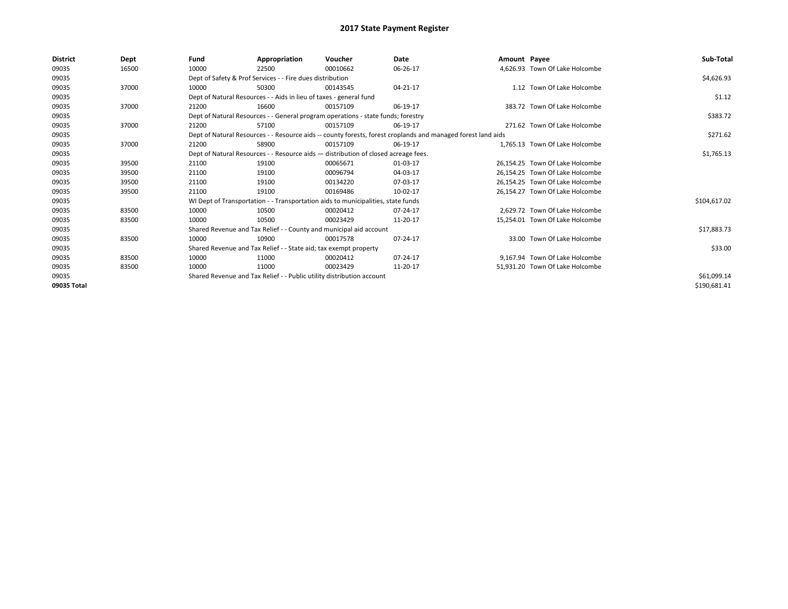| <b>District</b> | Dept  | Fund  | Appropriation                                                         | Voucher                                                                            | Date                                                                                                         | Amount Payee |                                 | Sub-Total    |
|-----------------|-------|-------|-----------------------------------------------------------------------|------------------------------------------------------------------------------------|--------------------------------------------------------------------------------------------------------------|--------------|---------------------------------|--------------|
| 09035           | 16500 | 10000 | 22500                                                                 | 00010662                                                                           | 06-26-17                                                                                                     |              | 4.626.93 Town Of Lake Holcombe  |              |
| 09035           |       |       | Dept of Safety & Prof Services - - Fire dues distribution             |                                                                                    |                                                                                                              |              |                                 | \$4,626.93   |
| 09035           | 37000 | 10000 | 50300                                                                 | 00143545                                                                           | 04-21-17                                                                                                     |              | 1.12 Town Of Lake Holcombe      |              |
| 09035           |       |       | Dept of Natural Resources - - Aids in lieu of taxes - general fund    |                                                                                    |                                                                                                              |              |                                 | \$1.12       |
| 09035           | 37000 | 21200 | 16600                                                                 | 00157109                                                                           | 06-19-17                                                                                                     |              | 383.72 Town Of Lake Holcombe    |              |
| 09035           |       |       |                                                                       | Dept of Natural Resources - - General program operations - state funds; forestry   |                                                                                                              |              |                                 | \$383.72     |
| 09035           | 37000 | 21200 | 57100                                                                 | 00157109                                                                           | 06-19-17                                                                                                     |              | 271.62 Town Of Lake Holcombe    |              |
| 09035           |       |       |                                                                       |                                                                                    | Dept of Natural Resources - - Resource aids -- county forests, forest croplands and managed forest land aids |              |                                 | \$271.62     |
| 09035           | 37000 | 21200 | 58900                                                                 | 00157109                                                                           | 06-19-17                                                                                                     |              | 1.765.13 Town Of Lake Holcombe  |              |
| 09035           |       |       |                                                                       | Dept of Natural Resources - - Resource aids - distribution of closed acreage fees. |                                                                                                              |              |                                 | \$1,765.13   |
| 09035           | 39500 | 21100 | 19100                                                                 | 00065671                                                                           | 01-03-17                                                                                                     |              | 26,154.25 Town Of Lake Holcombe |              |
| 09035           | 39500 | 21100 | 19100                                                                 | 00096794                                                                           | 04-03-17                                                                                                     |              | 26.154.25 Town Of Lake Holcombe |              |
| 09035           | 39500 | 21100 | 19100                                                                 | 00134220                                                                           | 07-03-17                                                                                                     |              | 26.154.25 Town Of Lake Holcombe |              |
| 09035           | 39500 | 21100 | 19100                                                                 | 00169486                                                                           | 10-02-17                                                                                                     |              | 26,154.27 Town Of Lake Holcombe |              |
| 09035           |       |       |                                                                       | WI Dept of Transportation - - Transportation aids to municipalities, state funds   |                                                                                                              |              |                                 | \$104,617.02 |
| 09035           | 83500 | 10000 | 10500                                                                 | 00020412                                                                           | 07-24-17                                                                                                     |              | 2.629.72 Town Of Lake Holcombe  |              |
| 09035           | 83500 | 10000 | 10500                                                                 | 00023429                                                                           | 11-20-17                                                                                                     |              | 15,254.01 Town Of Lake Holcombe |              |
| 09035           |       |       | Shared Revenue and Tax Relief - - County and municipal aid account    |                                                                                    |                                                                                                              |              |                                 | \$17,883.73  |
| 09035           | 83500 | 10000 | 10900                                                                 | 00017578                                                                           | 07-24-17                                                                                                     |              | 33.00 Town Of Lake Holcombe     |              |
| 09035           |       |       | Shared Revenue and Tax Relief - - State aid; tax exempt property      |                                                                                    |                                                                                                              |              |                                 | \$33.00      |
| 09035           | 83500 | 10000 | 11000                                                                 | 00020412                                                                           | 07-24-17                                                                                                     |              | 9.167.94 Town Of Lake Holcombe  |              |
| 09035           | 83500 | 10000 | 11000                                                                 | 00023429                                                                           | 11-20-17                                                                                                     |              | 51,931.20 Town Of Lake Holcombe |              |
| 09035           |       |       | Shared Revenue and Tax Relief - - Public utility distribution account |                                                                                    |                                                                                                              |              |                                 | \$61,099.14  |
| 09035 Total     |       |       |                                                                       |                                                                                    |                                                                                                              |              |                                 | \$190,681.41 |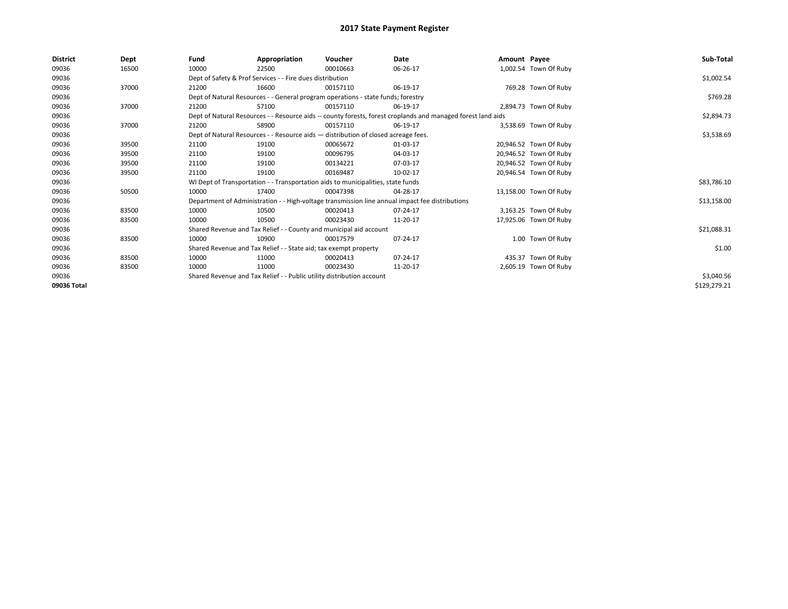| <b>District</b> | Dept  | Fund  | Appropriation                                                                      | Voucher  | Date                                                                                                         | Amount Payee |                        | Sub-Total    |
|-----------------|-------|-------|------------------------------------------------------------------------------------|----------|--------------------------------------------------------------------------------------------------------------|--------------|------------------------|--------------|
| 09036           | 16500 | 10000 | 22500                                                                              | 00010663 | 06-26-17                                                                                                     |              | 1,002.54 Town Of Ruby  |              |
| 09036           |       |       | Dept of Safety & Prof Services - - Fire dues distribution                          |          |                                                                                                              |              |                        | \$1,002.54   |
| 09036           | 37000 | 21200 | 16600                                                                              | 00157110 | 06-19-17                                                                                                     |              | 769.28 Town Of Ruby    |              |
| 09036           |       |       | Dept of Natural Resources - - General program operations - state funds; forestry   |          |                                                                                                              |              |                        | \$769.28     |
| 09036           | 37000 | 21200 | 57100                                                                              | 00157110 | 06-19-17                                                                                                     |              | 2,894.73 Town Of Ruby  |              |
| 09036           |       |       |                                                                                    |          | Dept of Natural Resources - - Resource aids -- county forests, forest croplands and managed forest land aids |              |                        | \$2,894.73   |
| 09036           | 37000 | 21200 | 58900                                                                              | 00157110 | 06-19-17                                                                                                     |              | 3,538.69 Town Of Ruby  |              |
| 09036           |       |       | Dept of Natural Resources - - Resource aids - distribution of closed acreage fees. |          |                                                                                                              |              |                        | \$3,538.69   |
| 09036           | 39500 | 21100 | 19100                                                                              | 00065672 | 01-03-17                                                                                                     |              | 20,946.52 Town Of Ruby |              |
| 09036           | 39500 | 21100 | 19100                                                                              | 00096795 | 04-03-17                                                                                                     |              | 20,946.52 Town Of Ruby |              |
| 09036           | 39500 | 21100 | 19100                                                                              | 00134221 | 07-03-17                                                                                                     |              | 20,946.52 Town Of Ruby |              |
| 09036           | 39500 | 21100 | 19100                                                                              | 00169487 | 10-02-17                                                                                                     |              | 20,946.54 Town Of Ruby |              |
| 09036           |       |       | WI Dept of Transportation - - Transportation aids to municipalities, state funds   |          |                                                                                                              |              |                        | \$83,786.10  |
| 09036           | 50500 | 10000 | 17400                                                                              | 00047398 | 04-28-17                                                                                                     |              | 13,158.00 Town Of Ruby |              |
| 09036           |       |       |                                                                                    |          | Department of Administration - - High-voltage transmission line annual impact fee distributions              |              |                        | \$13,158.00  |
| 09036           | 83500 | 10000 | 10500                                                                              | 00020413 | 07-24-17                                                                                                     |              | 3,163.25 Town Of Ruby  |              |
| 09036           | 83500 | 10000 | 10500                                                                              | 00023430 | 11-20-17                                                                                                     |              | 17,925.06 Town Of Ruby |              |
| 09036           |       |       | Shared Revenue and Tax Relief - - County and municipal aid account                 |          |                                                                                                              |              |                        | \$21,088.31  |
| 09036           | 83500 | 10000 | 10900                                                                              | 00017579 | 07-24-17                                                                                                     |              | 1.00 Town Of Ruby      |              |
| 09036           |       |       | Shared Revenue and Tax Relief - - State aid; tax exempt property                   |          |                                                                                                              |              |                        | \$1.00       |
| 09036           | 83500 | 10000 | 11000                                                                              | 00020413 | 07-24-17                                                                                                     |              | 435.37 Town Of Ruby    |              |
| 09036           | 83500 | 10000 | 11000                                                                              | 00023430 | 11-20-17                                                                                                     |              | 2,605.19 Town Of Ruby  |              |
| 09036           |       |       | Shared Revenue and Tax Relief - - Public utility distribution account              |          |                                                                                                              |              |                        | \$3,040.56   |
| 09036 Total     |       |       |                                                                                    |          |                                                                                                              |              |                        | \$129,279.21 |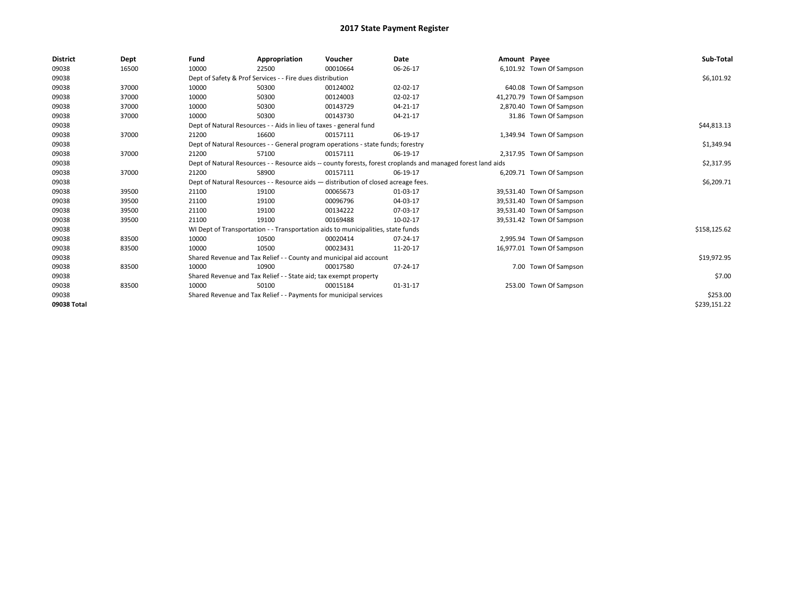| <b>District</b> | Dept  | Fund  | Appropriation                                                      | Voucher                                                                            | Date                                                                                                         | Amount Payee |                           | Sub-Total    |
|-----------------|-------|-------|--------------------------------------------------------------------|------------------------------------------------------------------------------------|--------------------------------------------------------------------------------------------------------------|--------------|---------------------------|--------------|
| 09038           | 16500 | 10000 | 22500                                                              | 00010664                                                                           | 06-26-17                                                                                                     |              | 6,101.92 Town Of Sampson  |              |
| 09038           |       |       | Dept of Safety & Prof Services - - Fire dues distribution          |                                                                                    |                                                                                                              |              |                           | \$6,101.92   |
| 09038           | 37000 | 10000 | 50300                                                              | 00124002                                                                           | $02 - 02 - 17$                                                                                               |              | 640.08 Town Of Sampson    |              |
| 09038           | 37000 | 10000 | 50300                                                              | 00124003                                                                           | 02-02-17                                                                                                     |              | 41,270.79 Town Of Sampson |              |
| 09038           | 37000 | 10000 | 50300                                                              | 00143729                                                                           | 04-21-17                                                                                                     |              | 2,870.40 Town Of Sampson  |              |
| 09038           | 37000 | 10000 | 50300                                                              | 00143730                                                                           | 04-21-17                                                                                                     |              | 31.86 Town Of Sampson     |              |
| 09038           |       |       | Dept of Natural Resources - - Aids in lieu of taxes - general fund |                                                                                    |                                                                                                              |              |                           | \$44,813.13  |
| 09038           | 37000 | 21200 | 16600                                                              | 00157111                                                                           | 06-19-17                                                                                                     |              | 1,349.94 Town Of Sampson  |              |
| 09038           |       |       |                                                                    | Dept of Natural Resources - - General program operations - state funds; forestry   |                                                                                                              |              |                           | \$1,349.94   |
| 09038           | 37000 | 21200 | 57100                                                              | 00157111                                                                           | 06-19-17                                                                                                     |              | 2,317.95 Town Of Sampson  |              |
| 09038           |       |       |                                                                    |                                                                                    | Dept of Natural Resources - - Resource aids -- county forests, forest croplands and managed forest land aids |              |                           | \$2,317.95   |
| 09038           | 37000 | 21200 | 58900                                                              | 00157111                                                                           | 06-19-17                                                                                                     |              | 6,209.71 Town Of Sampson  |              |
| 09038           |       |       |                                                                    | Dept of Natural Resources - - Resource aids - distribution of closed acreage fees. |                                                                                                              |              |                           | \$6,209.71   |
| 09038           | 39500 | 21100 | 19100                                                              | 00065673                                                                           | 01-03-17                                                                                                     |              | 39,531.40 Town Of Sampson |              |
| 09038           | 39500 | 21100 | 19100                                                              | 00096796                                                                           | 04-03-17                                                                                                     |              | 39,531.40 Town Of Sampson |              |
| 09038           | 39500 | 21100 | 19100                                                              | 00134222                                                                           | 07-03-17                                                                                                     |              | 39,531.40 Town Of Sampson |              |
| 09038           | 39500 | 21100 | 19100                                                              | 00169488                                                                           | 10-02-17                                                                                                     |              | 39,531.42 Town Of Sampson |              |
| 09038           |       |       |                                                                    | WI Dept of Transportation - - Transportation aids to municipalities, state funds   |                                                                                                              |              |                           | \$158,125.62 |
| 09038           | 83500 | 10000 | 10500                                                              | 00020414                                                                           | 07-24-17                                                                                                     |              | 2,995.94 Town Of Sampson  |              |
| 09038           | 83500 | 10000 | 10500                                                              | 00023431                                                                           | 11-20-17                                                                                                     |              | 16,977.01 Town Of Sampson |              |
| 09038           |       |       | Shared Revenue and Tax Relief - - County and municipal aid account |                                                                                    |                                                                                                              |              |                           | \$19,972.95  |
| 09038           | 83500 | 10000 | 10900                                                              | 00017580                                                                           | 07-24-17                                                                                                     |              | 7.00 Town Of Sampson      |              |
| 09038           |       |       | Shared Revenue and Tax Relief - - State aid; tax exempt property   |                                                                                    |                                                                                                              |              |                           | \$7.00       |
| 09038           | 83500 | 10000 | 50100                                                              | 00015184                                                                           | 01-31-17                                                                                                     |              | 253.00 Town Of Sampson    |              |
| 09038           |       |       | Shared Revenue and Tax Relief - - Payments for municipal services  |                                                                                    |                                                                                                              |              |                           | \$253.00     |
| 09038 Total     |       |       |                                                                    |                                                                                    |                                                                                                              |              |                           | \$239,151.22 |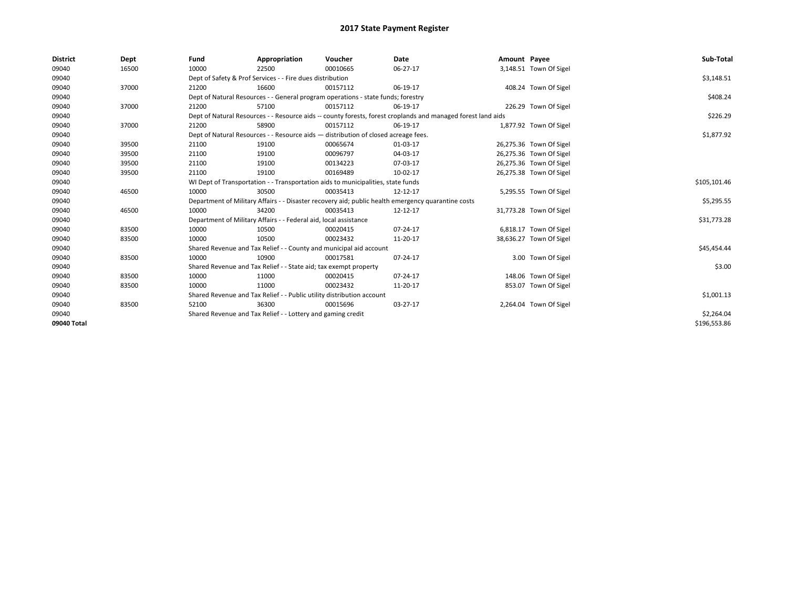| <b>District</b> | Dept  | Fund  | Appropriation                                                                                                | Voucher  | Date     | Amount Payee |                         | Sub-Total    |  |  |
|-----------------|-------|-------|--------------------------------------------------------------------------------------------------------------|----------|----------|--------------|-------------------------|--------------|--|--|
| 09040           | 16500 | 10000 | 22500                                                                                                        | 00010665 | 06-27-17 |              | 3,148.51 Town Of Sigel  |              |  |  |
| 09040           |       |       | Dept of Safety & Prof Services - - Fire dues distribution                                                    |          |          |              |                         | \$3,148.51   |  |  |
| 09040           | 37000 | 21200 | 16600                                                                                                        | 00157112 | 06-19-17 |              | 408.24 Town Of Sigel    |              |  |  |
| 09040           |       |       | Dept of Natural Resources - - General program operations - state funds; forestry                             |          |          |              |                         | \$408.24     |  |  |
| 09040           | 37000 | 21200 | 57100                                                                                                        | 00157112 | 06-19-17 |              | 226.29 Town Of Sigel    |              |  |  |
| 09040           |       |       | Dept of Natural Resources - - Resource aids -- county forests, forest croplands and managed forest land aids |          |          |              |                         |              |  |  |
| 09040           | 37000 | 21200 | 58900                                                                                                        | 00157112 | 06-19-17 |              | 1,877.92 Town Of Sigel  |              |  |  |
| 09040           |       |       | Dept of Natural Resources - - Resource aids - distribution of closed acreage fees.                           |          |          |              |                         | \$1,877.92   |  |  |
| 09040           | 39500 | 21100 | 19100                                                                                                        | 00065674 | 01-03-17 |              | 26,275.36 Town Of Sigel |              |  |  |
| 09040           | 39500 | 21100 | 19100                                                                                                        | 00096797 | 04-03-17 |              | 26,275.36 Town Of Sigel |              |  |  |
| 09040           | 39500 | 21100 | 19100                                                                                                        | 00134223 | 07-03-17 |              | 26,275.36 Town Of Sigel |              |  |  |
| 09040           | 39500 | 21100 | 19100                                                                                                        | 00169489 | 10-02-17 |              | 26,275.38 Town Of Sigel |              |  |  |
| 09040           |       |       | WI Dept of Transportation - - Transportation aids to municipalities, state funds                             |          |          |              |                         |              |  |  |
| 09040           | 46500 | 10000 | 30500                                                                                                        | 00035413 | 12-12-17 |              | 5,295.55 Town Of Sigel  |              |  |  |
| 09040           |       |       | Department of Military Affairs - - Disaster recovery aid; public health emergency quarantine costs           |          |          |              |                         | \$5,295.55   |  |  |
| 09040           | 46500 | 10000 | 34200                                                                                                        | 00035413 | 12-12-17 |              | 31,773.28 Town Of Sigel |              |  |  |
| 09040           |       |       | Department of Military Affairs - - Federal aid, local assistance                                             |          |          |              |                         | \$31,773.28  |  |  |
| 09040           | 83500 | 10000 | 10500                                                                                                        | 00020415 | 07-24-17 |              | 6,818.17 Town Of Sigel  |              |  |  |
| 09040           | 83500 | 10000 | 10500                                                                                                        | 00023432 | 11-20-17 |              | 38,636.27 Town Of Sigel |              |  |  |
| 09040           |       |       | Shared Revenue and Tax Relief - - County and municipal aid account                                           |          |          |              |                         | \$45,454.44  |  |  |
| 09040           | 83500 | 10000 | 10900                                                                                                        | 00017581 | 07-24-17 |              | 3.00 Town Of Sigel      |              |  |  |
| 09040           |       |       | Shared Revenue and Tax Relief - - State aid; tax exempt property                                             |          |          |              |                         | \$3.00       |  |  |
| 09040           | 83500 | 10000 | 11000                                                                                                        | 00020415 | 07-24-17 |              | 148.06 Town Of Sigel    |              |  |  |
| 09040           | 83500 | 10000 | 11000                                                                                                        | 00023432 | 11-20-17 |              | 853.07 Town Of Sigel    |              |  |  |
| 09040           |       |       | Shared Revenue and Tax Relief - - Public utility distribution account                                        |          |          |              |                         | \$1,001.13   |  |  |
| 09040           | 83500 | 52100 | 36300                                                                                                        | 00015696 | 03-27-17 |              | 2,264.04 Town Of Sigel  |              |  |  |
| 09040           |       |       | Shared Revenue and Tax Relief - - Lottery and gaming credit                                                  |          |          |              |                         |              |  |  |
| 09040 Total     |       |       |                                                                                                              |          |          |              |                         | \$196,553.86 |  |  |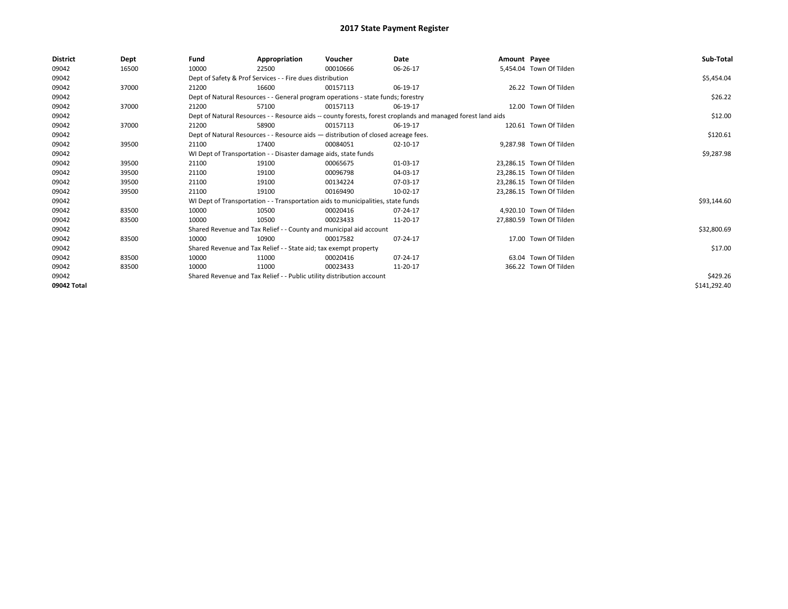| <b>District</b> | Dept  | Fund                                                                  | Appropriation                                                                      | Voucher  | Date                                                                                                         | Amount Payee |                          | Sub-Total    |
|-----------------|-------|-----------------------------------------------------------------------|------------------------------------------------------------------------------------|----------|--------------------------------------------------------------------------------------------------------------|--------------|--------------------------|--------------|
| 09042           | 16500 | 10000                                                                 | 22500                                                                              | 00010666 | 06-26-17                                                                                                     |              | 5,454.04 Town Of Tilden  |              |
| 09042           |       |                                                                       | Dept of Safety & Prof Services - - Fire dues distribution                          |          |                                                                                                              |              |                          | \$5,454.04   |
| 09042           | 37000 | 21200                                                                 | 16600                                                                              | 00157113 | 06-19-17                                                                                                     |              | 26.22 Town Of Tilden     |              |
| 09042           |       |                                                                       | Dept of Natural Resources - - General program operations - state funds; forestry   |          |                                                                                                              |              |                          | \$26.22      |
| 09042           | 37000 | 21200                                                                 | 57100                                                                              | 00157113 | 06-19-17                                                                                                     |              | 12.00 Town Of Tilden     |              |
| 09042           |       |                                                                       |                                                                                    |          | Dept of Natural Resources - - Resource aids -- county forests, forest croplands and managed forest land aids |              |                          | \$12.00      |
| 09042           | 37000 | 21200                                                                 | 58900                                                                              | 00157113 | 06-19-17                                                                                                     |              | 120.61 Town Of Tilden    |              |
| 09042           |       |                                                                       | Dept of Natural Resources - - Resource aids - distribution of closed acreage fees. |          |                                                                                                              |              |                          | \$120.61     |
| 09042           | 39500 | 21100                                                                 | 17400                                                                              | 00084051 | $02 - 10 - 17$                                                                                               |              | 9,287.98 Town Of Tilden  |              |
| 09042           |       |                                                                       | WI Dept of Transportation - - Disaster damage aids, state funds                    |          |                                                                                                              |              |                          | \$9,287.98   |
| 09042           | 39500 | 21100                                                                 | 19100                                                                              | 00065675 | 01-03-17                                                                                                     |              | 23,286.15 Town Of Tilden |              |
| 09042           | 39500 | 21100                                                                 | 19100                                                                              | 00096798 | 04-03-17                                                                                                     |              | 23,286.15 Town Of Tilden |              |
| 09042           | 39500 | 21100                                                                 | 19100                                                                              | 00134224 | 07-03-17                                                                                                     |              | 23.286.15 Town Of Tilden |              |
| 09042           | 39500 | 21100                                                                 | 19100                                                                              | 00169490 | 10-02-17                                                                                                     |              | 23,286.15 Town Of Tilden |              |
| 09042           |       |                                                                       | WI Dept of Transportation - - Transportation aids to municipalities, state funds   |          |                                                                                                              |              |                          | \$93,144.60  |
| 09042           | 83500 | 10000                                                                 | 10500                                                                              | 00020416 | 07-24-17                                                                                                     |              | 4,920.10 Town Of Tilden  |              |
| 09042           | 83500 | 10000                                                                 | 10500                                                                              | 00023433 | 11-20-17                                                                                                     |              | 27.880.59 Town Of Tilden |              |
| 09042           |       |                                                                       | Shared Revenue and Tax Relief - - County and municipal aid account                 |          |                                                                                                              |              |                          | \$32,800.69  |
| 09042           | 83500 | 10000                                                                 | 10900                                                                              | 00017582 | 07-24-17                                                                                                     |              | 17.00 Town Of Tilden     |              |
| 09042           |       |                                                                       | Shared Revenue and Tax Relief - - State aid; tax exempt property                   |          |                                                                                                              |              |                          | \$17.00      |
| 09042           | 83500 | 10000                                                                 | 11000                                                                              | 00020416 | 07-24-17                                                                                                     |              | 63.04 Town Of Tilden     |              |
| 09042           | 83500 | 10000                                                                 | 11000                                                                              | 00023433 | 11-20-17                                                                                                     |              | 366.22 Town Of Tilden    |              |
| 09042           |       | Shared Revenue and Tax Relief - - Public utility distribution account |                                                                                    | \$429.26 |                                                                                                              |              |                          |              |
| 09042 Total     |       |                                                                       |                                                                                    |          |                                                                                                              |              |                          | \$141,292.40 |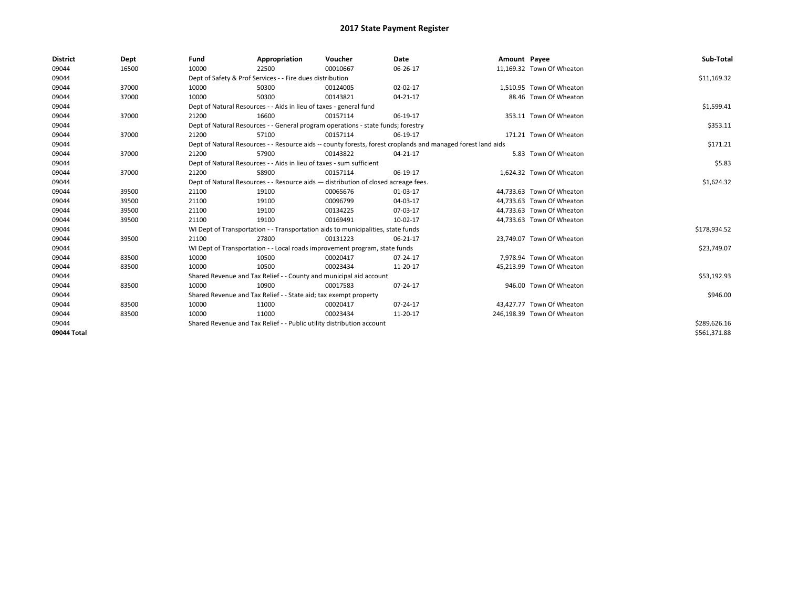| <b>District</b> | Dept  | Fund                                                                               | Appropriation                                                                    | Voucher    | Date                                                                                                         | Amount Payee |                            | Sub-Total    |
|-----------------|-------|------------------------------------------------------------------------------------|----------------------------------------------------------------------------------|------------|--------------------------------------------------------------------------------------------------------------|--------------|----------------------------|--------------|
| 09044           | 16500 | 10000                                                                              | 22500                                                                            | 00010667   | 06-26-17                                                                                                     |              | 11,169.32 Town Of Wheaton  |              |
| 09044           |       |                                                                                    | Dept of Safety & Prof Services - - Fire dues distribution                        |            |                                                                                                              |              |                            | \$11,169.32  |
| 09044           | 37000 | 10000                                                                              | 50300                                                                            | 00124005   | 02-02-17                                                                                                     |              | 1.510.95 Town Of Wheaton   |              |
| 09044           | 37000 | 10000                                                                              | 50300                                                                            | 00143821   | 04-21-17                                                                                                     |              | 88.46 Town Of Wheaton      |              |
| 09044           |       | Dept of Natural Resources - - Aids in lieu of taxes - general fund                 |                                                                                  | \$1,599.41 |                                                                                                              |              |                            |              |
| 09044           | 37000 | 21200                                                                              | 16600                                                                            | 00157114   | 06-19-17                                                                                                     |              | 353.11 Town Of Wheaton     |              |
| 09044           |       |                                                                                    | Dept of Natural Resources - - General program operations - state funds; forestry |            |                                                                                                              |              |                            | \$353.11     |
| 09044           | 37000 | 21200                                                                              | 57100                                                                            | 00157114   | 06-19-17                                                                                                     |              | 171.21 Town Of Wheaton     |              |
| 09044           |       |                                                                                    |                                                                                  |            | Dept of Natural Resources - - Resource aids -- county forests, forest croplands and managed forest land aids |              |                            | \$171.21     |
| 09044           | 37000 | 21200                                                                              | 57900                                                                            | 00143822   | 04-21-17                                                                                                     |              | 5.83 Town Of Wheaton       |              |
| 09044           |       |                                                                                    | Dept of Natural Resources - - Aids in lieu of taxes - sum sufficient             |            |                                                                                                              |              |                            | \$5.83       |
| 09044           | 37000 | 21200                                                                              | 58900                                                                            | 00157114   | 06-19-17                                                                                                     |              | 1,624.32 Town Of Wheaton   |              |
| 09044           |       | Dept of Natural Resources - - Resource aids - distribution of closed acreage fees. |                                                                                  | \$1,624.32 |                                                                                                              |              |                            |              |
| 09044           | 39500 | 21100                                                                              | 19100                                                                            | 00065676   | 01-03-17                                                                                                     |              | 44,733.63 Town Of Wheaton  |              |
| 09044           | 39500 | 21100                                                                              | 19100                                                                            | 00096799   | 04-03-17                                                                                                     |              | 44,733.63 Town Of Wheaton  |              |
| 09044           | 39500 | 21100                                                                              | 19100                                                                            | 00134225   | 07-03-17                                                                                                     |              | 44,733.63 Town Of Wheaton  |              |
| 09044           | 39500 | 21100                                                                              | 19100                                                                            | 00169491   | 10-02-17                                                                                                     |              | 44,733.63 Town Of Wheaton  |              |
| 09044           |       |                                                                                    | WI Dept of Transportation - - Transportation aids to municipalities, state funds |            |                                                                                                              |              |                            | \$178,934.52 |
| 09044           | 39500 | 21100                                                                              | 27800                                                                            | 00131223   | 06-21-17                                                                                                     |              | 23,749.07 Town Of Wheaton  |              |
| 09044           |       |                                                                                    | WI Dept of Transportation - - Local roads improvement program, state funds       |            |                                                                                                              |              |                            | \$23,749.07  |
| 09044           | 83500 | 10000                                                                              | 10500                                                                            | 00020417   | 07-24-17                                                                                                     |              | 7,978.94 Town Of Wheaton   |              |
| 09044           | 83500 | 10000                                                                              | 10500                                                                            | 00023434   | 11-20-17                                                                                                     |              | 45.213.99 Town Of Wheaton  |              |
| 09044           |       |                                                                                    | Shared Revenue and Tax Relief - - County and municipal aid account               |            |                                                                                                              |              |                            | \$53,192.93  |
| 09044           | 83500 | 10000                                                                              | 10900                                                                            | 00017583   | 07-24-17                                                                                                     |              | 946.00 Town Of Wheaton     |              |
| 09044           |       |                                                                                    | Shared Revenue and Tax Relief - - State aid; tax exempt property                 |            |                                                                                                              |              |                            | \$946.00     |
| 09044           | 83500 | 10000                                                                              | 11000                                                                            | 00020417   | 07-24-17                                                                                                     |              | 43,427.77 Town Of Wheaton  |              |
| 09044           | 83500 | 10000                                                                              | 11000                                                                            | 00023434   | 11-20-17                                                                                                     |              | 246,198.39 Town Of Wheaton |              |
| 09044           |       |                                                                                    | Shared Revenue and Tax Relief - - Public utility distribution account            |            |                                                                                                              |              |                            | \$289,626.16 |
| 09044 Total     |       |                                                                                    |                                                                                  |            |                                                                                                              |              |                            | \$561,371.88 |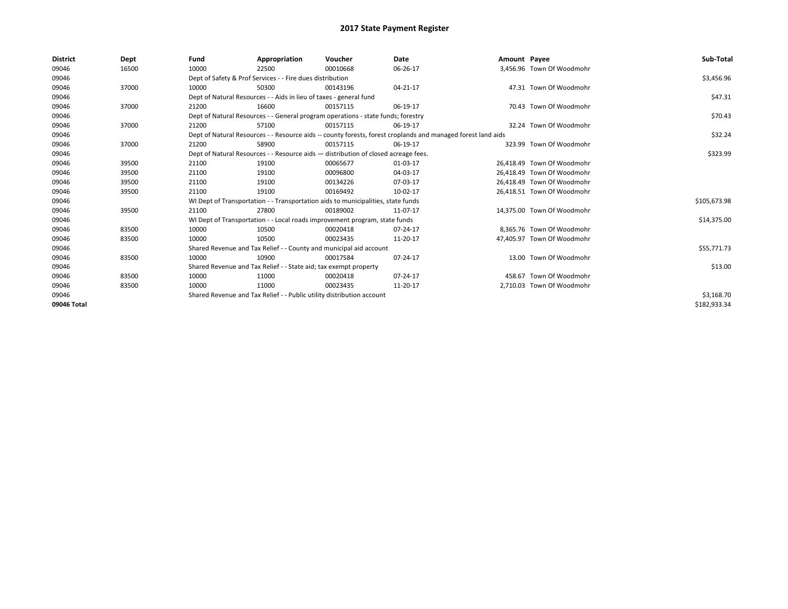| <b>District</b> | Dept  | Fund                                                                  | Appropriation                                                                      | Voucher    | Date                                                                                                         | Amount Payee |                            | Sub-Total    |  |
|-----------------|-------|-----------------------------------------------------------------------|------------------------------------------------------------------------------------|------------|--------------------------------------------------------------------------------------------------------------|--------------|----------------------------|--------------|--|
| 09046           | 16500 | 10000                                                                 | 22500                                                                              | 00010668   | 06-26-17                                                                                                     |              | 3,456.96 Town Of Woodmohr  |              |  |
| 09046           |       |                                                                       | Dept of Safety & Prof Services - - Fire dues distribution                          |            |                                                                                                              |              |                            | \$3,456.96   |  |
| 09046           | 37000 | 10000                                                                 | 50300                                                                              | 00143196   | 04-21-17                                                                                                     |              | 47.31 Town Of Woodmohr     |              |  |
| 09046           |       |                                                                       | Dept of Natural Resources - - Aids in lieu of taxes - general fund                 |            |                                                                                                              |              |                            |              |  |
| 09046           | 37000 | 21200                                                                 | 16600                                                                              | 00157115   | 06-19-17                                                                                                     |              | 70.43 Town Of Woodmohr     |              |  |
| 09046           |       |                                                                       | Dept of Natural Resources - - General program operations - state funds; forestry   |            |                                                                                                              |              |                            | \$70.43      |  |
| 09046           | 37000 | 21200                                                                 | 57100                                                                              | 00157115   | 06-19-17                                                                                                     |              | 32.24 Town Of Woodmohr     |              |  |
| 09046           |       |                                                                       |                                                                                    |            | Dept of Natural Resources - - Resource aids -- county forests, forest croplands and managed forest land aids |              |                            | \$32.24      |  |
| 09046           | 37000 | 21200                                                                 | 58900                                                                              | 00157115   | 06-19-17                                                                                                     |              | 323.99 Town Of Woodmohr    |              |  |
| 09046           |       |                                                                       | Dept of Natural Resources - - Resource aids - distribution of closed acreage fees. |            |                                                                                                              |              |                            | \$323.99     |  |
| 09046           | 39500 | 21100                                                                 | 19100                                                                              | 00065677   | 01-03-17                                                                                                     |              | 26.418.49 Town Of Woodmohr |              |  |
| 09046           | 39500 | 21100                                                                 | 19100                                                                              | 00096800   | 04-03-17                                                                                                     |              | 26.418.49 Town Of Woodmohr |              |  |
| 09046           | 39500 | 21100                                                                 | 19100                                                                              | 00134226   | 07-03-17                                                                                                     |              | 26,418.49 Town Of Woodmohr |              |  |
| 09046           | 39500 | 21100                                                                 | 19100                                                                              | 00169492   | 10-02-17                                                                                                     |              | 26,418.51 Town Of Woodmohr |              |  |
| 09046           |       |                                                                       | WI Dept of Transportation - - Transportation aids to municipalities, state funds   |            |                                                                                                              |              |                            | \$105,673.98 |  |
| 09046           | 39500 | 21100                                                                 | 27800                                                                              | 00189002   | 11-07-17                                                                                                     |              | 14.375.00 Town Of Woodmohr |              |  |
| 09046           |       |                                                                       | WI Dept of Transportation - - Local roads improvement program, state funds         |            |                                                                                                              |              |                            | \$14,375.00  |  |
| 09046           | 83500 | 10000                                                                 | 10500                                                                              | 00020418   | 07-24-17                                                                                                     |              | 8,365.76 Town Of Woodmohr  |              |  |
| 09046           | 83500 | 10000                                                                 | 10500                                                                              | 00023435   | 11-20-17                                                                                                     |              | 47.405.97 Town Of Woodmohr |              |  |
| 09046           |       |                                                                       | Shared Revenue and Tax Relief - - County and municipal aid account                 |            |                                                                                                              |              |                            | \$55,771.73  |  |
| 09046           | 83500 | 10000                                                                 | 10900                                                                              | 00017584   | 07-24-17                                                                                                     |              | 13.00 Town Of Woodmohr     |              |  |
| 09046           |       |                                                                       | Shared Revenue and Tax Relief - - State aid; tax exempt property                   |            |                                                                                                              |              |                            | \$13.00      |  |
| 09046           | 83500 | 10000                                                                 | 11000                                                                              | 00020418   | 07-24-17                                                                                                     |              | 458.67 Town Of Woodmohr    |              |  |
| 09046           | 83500 | 10000                                                                 | 11000                                                                              | 00023435   | 11-20-17                                                                                                     |              | 2,710.03 Town Of Woodmohr  |              |  |
| 09046           |       | Shared Revenue and Tax Relief - - Public utility distribution account |                                                                                    | \$3,168.70 |                                                                                                              |              |                            |              |  |
| 09046 Total     |       |                                                                       |                                                                                    |            |                                                                                                              |              |                            | \$182,933.34 |  |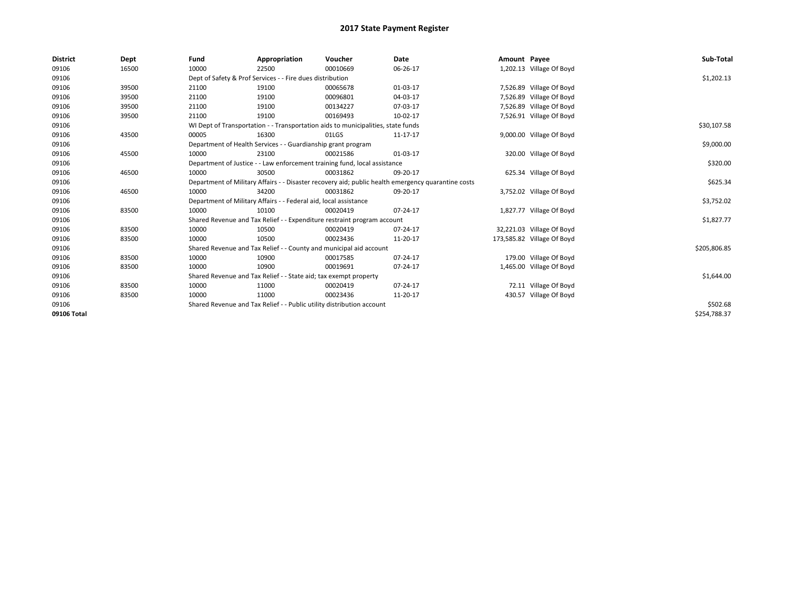| <b>District</b> | Dept  | Fund                                                                                               | Appropriation                                                                    | Voucher  | <b>Date</b>    | Amount Payee |                            | Sub-Total    |
|-----------------|-------|----------------------------------------------------------------------------------------------------|----------------------------------------------------------------------------------|----------|----------------|--------------|----------------------------|--------------|
| 09106           | 16500 | 10000                                                                                              | 22500                                                                            | 00010669 | 06-26-17       |              | 1,202.13 Village Of Boyd   |              |
| 09106           |       |                                                                                                    | Dept of Safety & Prof Services - - Fire dues distribution                        |          |                |              |                            | \$1,202.13   |
| 09106           | 39500 | 21100                                                                                              | 19100                                                                            | 00065678 | 01-03-17       |              | 7,526.89 Village Of Boyd   |              |
| 09106           | 39500 | 21100                                                                                              | 19100                                                                            | 00096801 | 04-03-17       |              | 7,526.89 Village Of Boyd   |              |
| 09106           | 39500 | 21100                                                                                              | 19100                                                                            | 00134227 | 07-03-17       |              | 7,526.89 Village Of Boyd   |              |
| 09106           | 39500 | 21100                                                                                              | 19100                                                                            | 00169493 | 10-02-17       |              | 7,526.91 Village Of Boyd   |              |
| 09106           |       |                                                                                                    | WI Dept of Transportation - - Transportation aids to municipalities, state funds |          |                |              |                            | \$30,107.58  |
| 09106           | 43500 | 00005                                                                                              | 16300                                                                            | 01LGS    | 11-17-17       |              | 9,000.00 Village Of Boyd   |              |
| 09106           |       |                                                                                                    | Department of Health Services - - Guardianship grant program                     |          |                |              |                            | \$9,000.00   |
| 09106           | 45500 | 10000                                                                                              | 23100                                                                            | 00021586 | 01-03-17       |              | 320.00 Village Of Boyd     |              |
| 09106           |       |                                                                                                    | Department of Justice - - Law enforcement training fund, local assistance        |          |                |              |                            | \$320.00     |
| 09106           | 46500 | 10000                                                                                              | 30500                                                                            | 00031862 | 09-20-17       |              | 625.34 Village Of Boyd     |              |
| 09106           |       | Department of Military Affairs - - Disaster recovery aid; public health emergency quarantine costs |                                                                                  | \$625.34 |                |              |                            |              |
| 09106           | 46500 | 10000                                                                                              | 34200                                                                            | 00031862 | 09-20-17       |              | 3,752.02 Village Of Boyd   |              |
| 09106           |       |                                                                                                    | Department of Military Affairs - - Federal aid, local assistance                 |          |                |              |                            | \$3,752.02   |
| 09106           | 83500 | 10000                                                                                              | 10100                                                                            | 00020419 | 07-24-17       |              | 1,827.77 Village Of Boyd   |              |
| 09106           |       |                                                                                                    | Shared Revenue and Tax Relief - - Expenditure restraint program account          |          |                |              |                            | \$1,827.77   |
| 09106           | 83500 | 10000                                                                                              | 10500                                                                            | 00020419 | 07-24-17       |              | 32,221.03 Village Of Boyd  |              |
| 09106           | 83500 | 10000                                                                                              | 10500                                                                            | 00023436 | 11-20-17       |              | 173,585.82 Village Of Boyd |              |
| 09106           |       |                                                                                                    | Shared Revenue and Tax Relief - - County and municipal aid account               |          |                |              |                            | \$205,806.85 |
| 09106           | 83500 | 10000                                                                                              | 10900                                                                            | 00017585 | $07 - 24 - 17$ |              | 179.00 Village Of Boyd     |              |
| 09106           | 83500 | 10000                                                                                              | 10900                                                                            | 00019691 | 07-24-17       |              | 1,465.00 Village Of Boyd   |              |
| 09106           |       |                                                                                                    | Shared Revenue and Tax Relief - - State aid; tax exempt property                 |          |                |              |                            | \$1,644.00   |
| 09106           | 83500 | 10000                                                                                              | 11000                                                                            | 00020419 | 07-24-17       |              | 72.11 Village Of Boyd      |              |
| 09106           | 83500 | 10000                                                                                              | 11000                                                                            | 00023436 | 11-20-17       |              | 430.57 Village Of Boyd     |              |
| 09106           |       | Shared Revenue and Tax Relief - - Public utility distribution account                              |                                                                                  | \$502.68 |                |              |                            |              |
| 09106 Total     |       |                                                                                                    |                                                                                  |          |                |              |                            | \$254,788.37 |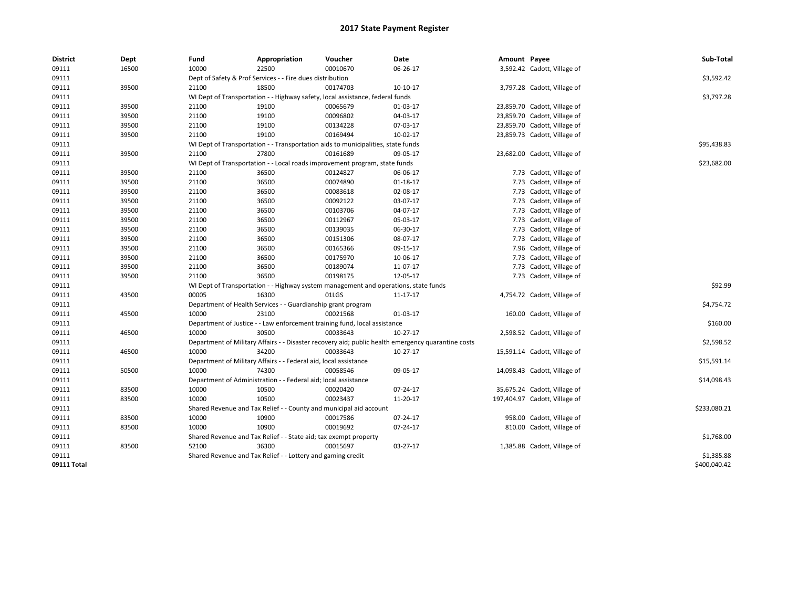| <b>District</b> | Dept  | Fund  | <b>Appropriation</b>                                                                | Voucher  | Date                                                                                               | Amount Payee |                               | Sub-Total    |
|-----------------|-------|-------|-------------------------------------------------------------------------------------|----------|----------------------------------------------------------------------------------------------------|--------------|-------------------------------|--------------|
| 09111           | 16500 | 10000 | 22500                                                                               | 00010670 | 06-26-17                                                                                           |              | 3,592.42 Cadott, Village of   |              |
| 09111           |       |       | Dept of Safety & Prof Services - - Fire dues distribution                           |          |                                                                                                    |              |                               | \$3,592.42   |
| 09111           | 39500 | 21100 | 18500                                                                               | 00174703 | 10-10-17                                                                                           |              | 3,797.28 Cadott, Village of   |              |
| 09111           |       |       | WI Dept of Transportation - - Highway safety, local assistance, federal funds       |          |                                                                                                    |              |                               | \$3,797.28   |
| 09111           | 39500 | 21100 | 19100                                                                               | 00065679 | 01-03-17                                                                                           |              | 23,859.70 Cadott, Village of  |              |
| 09111           | 39500 | 21100 | 19100                                                                               | 00096802 | 04-03-17                                                                                           |              | 23,859.70 Cadott, Village of  |              |
| 09111           | 39500 | 21100 | 19100                                                                               | 00134228 | 07-03-17                                                                                           |              | 23,859.70 Cadott, Village of  |              |
| 09111           | 39500 | 21100 | 19100                                                                               | 00169494 | 10-02-17                                                                                           |              | 23,859.73 Cadott, Village of  |              |
| 09111           |       |       | WI Dept of Transportation - - Transportation aids to municipalities, state funds    |          |                                                                                                    |              |                               | \$95,438.83  |
| 09111           | 39500 | 21100 | 27800                                                                               | 00161689 | 09-05-17                                                                                           |              | 23,682.00 Cadott, Village of  |              |
| 09111           |       |       | WI Dept of Transportation - - Local roads improvement program, state funds          |          |                                                                                                    |              |                               | \$23,682.00  |
| 09111           | 39500 | 21100 | 36500                                                                               | 00124827 | 06-06-17                                                                                           |              | 7.73 Cadott, Village of       |              |
| 09111           | 39500 | 21100 | 36500                                                                               | 00074890 | $01 - 18 - 17$                                                                                     |              | 7.73 Cadott, Village of       |              |
| 09111           | 39500 | 21100 | 36500                                                                               | 00083618 | 02-08-17                                                                                           |              | 7.73 Cadott, Village of       |              |
| 09111           | 39500 | 21100 | 36500                                                                               | 00092122 | 03-07-17                                                                                           |              | 7.73 Cadott, Village of       |              |
| 09111           | 39500 | 21100 | 36500                                                                               | 00103706 | 04-07-17                                                                                           |              | 7.73 Cadott, Village of       |              |
| 09111           | 39500 | 21100 | 36500                                                                               | 00112967 | 05-03-17                                                                                           |              | 7.73 Cadott, Village of       |              |
| 09111           | 39500 | 21100 | 36500                                                                               | 00139035 | 06-30-17                                                                                           |              | 7.73 Cadott, Village of       |              |
| 09111           | 39500 | 21100 | 36500                                                                               | 00151306 | 08-07-17                                                                                           |              | 7.73 Cadott, Village of       |              |
| 09111           | 39500 | 21100 | 36500                                                                               | 00165366 | 09-15-17                                                                                           |              | 7.96 Cadott, Village of       |              |
| 09111           | 39500 | 21100 | 36500                                                                               | 00175970 | 10-06-17                                                                                           |              | 7.73 Cadott, Village of       |              |
| 09111           | 39500 | 21100 | 36500                                                                               | 00189074 | 11-07-17                                                                                           |              | 7.73 Cadott, Village of       |              |
| 09111           | 39500 | 21100 | 36500                                                                               | 00198175 | 12-05-17                                                                                           |              | 7.73 Cadott, Village of       |              |
| 09111           |       |       | WI Dept of Transportation - - Highway system management and operations, state funds |          |                                                                                                    |              |                               | \$92.99      |
| 09111           | 43500 | 00005 | 16300                                                                               | 01LGS    | 11-17-17                                                                                           |              | 4,754.72 Cadott, Village of   |              |
| 09111           |       |       | Department of Health Services - - Guardianship grant program                        |          |                                                                                                    |              |                               | \$4,754.72   |
| 09111           | 45500 | 10000 | 23100                                                                               | 00021568 | 01-03-17                                                                                           |              | 160.00 Cadott, Village of     |              |
| 09111           |       |       | Department of Justice - - Law enforcement training fund, local assistance           |          |                                                                                                    |              |                               | \$160.00     |
| 09111           | 46500 | 10000 | 30500                                                                               | 00033643 | $10-27-17$                                                                                         |              | 2,598.52 Cadott, Village of   |              |
| 09111           |       |       |                                                                                     |          | Department of Military Affairs - - Disaster recovery aid; public health emergency quarantine costs |              |                               | \$2,598.52   |
| 09111           | 46500 | 10000 | 34200                                                                               | 00033643 | $10-27-17$                                                                                         |              | 15,591.14 Cadott, Village of  |              |
| 09111           |       |       | Department of Military Affairs - - Federal aid, local assistance                    |          |                                                                                                    |              |                               | \$15,591.14  |
| 09111           | 50500 | 10000 | 74300                                                                               | 00058546 | 09-05-17                                                                                           |              | 14,098.43 Cadott, Village of  |              |
| 09111           |       |       | Department of Administration - - Federal aid; local assistance                      |          |                                                                                                    |              |                               | \$14,098.43  |
| 09111           | 83500 | 10000 | 10500                                                                               | 00020420 | 07-24-17                                                                                           |              | 35,675.24 Cadott, Village of  |              |
| 09111           | 83500 | 10000 | 10500                                                                               | 00023437 | 11-20-17                                                                                           |              | 197,404.97 Cadott, Village of |              |
| 09111           |       |       | Shared Revenue and Tax Relief - - County and municipal aid account                  |          |                                                                                                    |              |                               | \$233,080.21 |
| 09111           | 83500 | 10000 | 10900                                                                               | 00017586 | 07-24-17                                                                                           |              | 958.00 Cadott, Village of     |              |
| 09111           | 83500 | 10000 | 10900                                                                               | 00019692 | 07-24-17                                                                                           |              | 810.00 Cadott, Village of     |              |
| 09111           |       |       | Shared Revenue and Tax Relief - - State aid; tax exempt property                    |          |                                                                                                    |              |                               | \$1,768.00   |
| 09111           | 83500 | 52100 | 36300                                                                               | 00015697 | 03-27-17                                                                                           |              | 1,385.88 Cadott, Village of   |              |
| 09111           |       |       | Shared Revenue and Tax Relief - - Lottery and gaming credit                         |          |                                                                                                    |              |                               | \$1,385.88   |
| 09111 Total     |       |       |                                                                                     |          |                                                                                                    |              |                               | \$400,040.42 |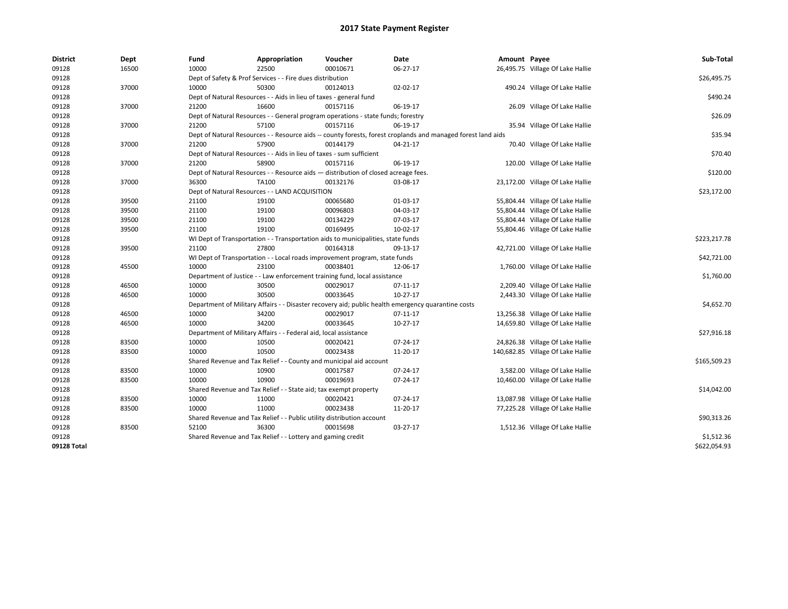| <b>District</b> | Dept  | Fund  | Appropriation                                                                      | Voucher  | Date                                                                                                         | Amount Payee |                                   | Sub-Total    |
|-----------------|-------|-------|------------------------------------------------------------------------------------|----------|--------------------------------------------------------------------------------------------------------------|--------------|-----------------------------------|--------------|
| 09128           | 16500 | 10000 | 22500                                                                              | 00010671 | 06-27-17                                                                                                     |              | 26,495.75 Village Of Lake Hallie  |              |
| 09128           |       |       | Dept of Safety & Prof Services - - Fire dues distribution                          |          |                                                                                                              |              |                                   | \$26,495.75  |
| 09128           | 37000 | 10000 | 50300                                                                              | 00124013 | 02-02-17                                                                                                     |              | 490.24 Village Of Lake Hallie     |              |
| 09128           |       |       | Dept of Natural Resources - - Aids in lieu of taxes - general fund                 |          |                                                                                                              |              |                                   | \$490.24     |
| 09128           | 37000 | 21200 | 16600                                                                              | 00157116 | 06-19-17                                                                                                     |              | 26.09 Village Of Lake Hallie      |              |
| 09128           |       |       | Dept of Natural Resources - - General program operations - state funds; forestry   |          |                                                                                                              |              |                                   | \$26.09      |
| 09128           | 37000 | 21200 | 57100                                                                              | 00157116 | 06-19-17                                                                                                     |              | 35.94 Village Of Lake Hallie      |              |
| 09128           |       |       |                                                                                    |          | Dept of Natural Resources - - Resource aids -- county forests, forest croplands and managed forest land aids |              |                                   | \$35.94      |
| 09128           | 37000 | 21200 | 57900                                                                              | 00144179 | 04-21-17                                                                                                     |              | 70.40 Village Of Lake Hallie      |              |
| 09128           |       |       | Dept of Natural Resources - - Aids in lieu of taxes - sum sufficient               |          |                                                                                                              |              |                                   | \$70.40      |
| 09128           | 37000 | 21200 | 58900                                                                              | 00157116 | 06-19-17                                                                                                     |              | 120.00 Village Of Lake Hallie     |              |
| 09128           |       |       | Dept of Natural Resources - - Resource aids - distribution of closed acreage fees. |          |                                                                                                              |              |                                   | \$120.00     |
| 09128           | 37000 | 36300 | TA100                                                                              | 00132176 | 03-08-17                                                                                                     |              | 23,172.00 Village Of Lake Hallie  |              |
| 09128           |       |       | Dept of Natural Resources - - LAND ACQUISITION                                     |          |                                                                                                              |              |                                   | \$23,172.00  |
| 09128           | 39500 | 21100 | 19100                                                                              | 00065680 | 01-03-17                                                                                                     |              | 55,804.44 Village Of Lake Hallie  |              |
| 09128           | 39500 | 21100 | 19100                                                                              | 00096803 | 04-03-17                                                                                                     |              | 55,804.44 Village Of Lake Hallie  |              |
| 09128           | 39500 | 21100 | 19100                                                                              | 00134229 | 07-03-17                                                                                                     |              | 55,804.44 Village Of Lake Hallie  |              |
| 09128           | 39500 | 21100 | 19100                                                                              | 00169495 | 10-02-17                                                                                                     |              | 55,804.46 Village Of Lake Hallie  |              |
| 09128           |       |       | WI Dept of Transportation - - Transportation aids to municipalities, state funds   |          |                                                                                                              |              |                                   | \$223,217.78 |
| 09128           | 39500 | 21100 | 27800                                                                              | 00164318 | 09-13-17                                                                                                     |              | 42,721.00 Village Of Lake Hallie  |              |
| 09128           |       |       | WI Dept of Transportation - - Local roads improvement program, state funds         |          |                                                                                                              |              |                                   | \$42,721.00  |
| 09128           | 45500 | 10000 | 23100                                                                              | 00038401 | 12-06-17                                                                                                     |              | 1,760.00 Village Of Lake Hallie   |              |
| 09128           |       |       | Department of Justice - - Law enforcement training fund, local assistance          |          |                                                                                                              |              |                                   | \$1,760.00   |
| 09128           | 46500 | 10000 | 30500                                                                              | 00029017 | 07-11-17                                                                                                     |              | 2,209.40 Village Of Lake Hallie   |              |
| 09128           | 46500 | 10000 | 30500                                                                              | 00033645 | $10-27-17$                                                                                                   |              | 2,443.30 Village Of Lake Hallie   |              |
| 09128           |       |       |                                                                                    |          | Department of Military Affairs - - Disaster recovery aid; public health emergency quarantine costs           |              |                                   | \$4,652.70   |
| 09128           | 46500 | 10000 | 34200                                                                              | 00029017 | 07-11-17                                                                                                     |              | 13,256.38 Village Of Lake Hallie  |              |
| 09128           | 46500 | 10000 | 34200                                                                              | 00033645 | $10-27-17$                                                                                                   |              | 14,659.80 Village Of Lake Hallie  |              |
| 09128           |       |       | Department of Military Affairs - - Federal aid, local assistance                   |          |                                                                                                              |              |                                   | \$27,916.18  |
| 09128           | 83500 | 10000 | 10500                                                                              | 00020421 | 07-24-17                                                                                                     |              | 24,826.38 Village Of Lake Hallie  |              |
| 09128           | 83500 | 10000 | 10500                                                                              | 00023438 | 11-20-17                                                                                                     |              | 140,682.85 Village Of Lake Hallie |              |
| 09128           |       |       | Shared Revenue and Tax Relief - - County and municipal aid account                 |          |                                                                                                              |              |                                   | \$165,509.23 |
| 09128           | 83500 | 10000 | 10900                                                                              | 00017587 | 07-24-17                                                                                                     |              | 3,582.00 Village Of Lake Hallie   |              |
| 09128           | 83500 | 10000 | 10900                                                                              | 00019693 | 07-24-17                                                                                                     |              | 10,460.00 Village Of Lake Hallie  |              |
| 09128           |       |       | Shared Revenue and Tax Relief - - State aid; tax exempt property                   |          |                                                                                                              |              |                                   | \$14,042.00  |
| 09128           | 83500 | 10000 | 11000                                                                              | 00020421 | 07-24-17                                                                                                     |              | 13,087.98 Village Of Lake Hallie  |              |
| 09128           | 83500 | 10000 | 11000                                                                              | 00023438 | 11-20-17                                                                                                     |              | 77,225.28 Village Of Lake Hallie  |              |
| 09128           |       |       | Shared Revenue and Tax Relief - - Public utility distribution account              |          |                                                                                                              |              |                                   | \$90,313.26  |
| 09128           | 83500 | 52100 | 36300                                                                              | 00015698 | 03-27-17                                                                                                     |              | 1,512.36 Village Of Lake Hallie   |              |
| 09128           |       |       | Shared Revenue and Tax Relief - - Lottery and gaming credit                        |          |                                                                                                              |              |                                   | \$1,512.36   |
| 09128 Total     |       |       |                                                                                    |          |                                                                                                              |              |                                   | \$622,054.93 |
|                 |       |       |                                                                                    |          |                                                                                                              |              |                                   |              |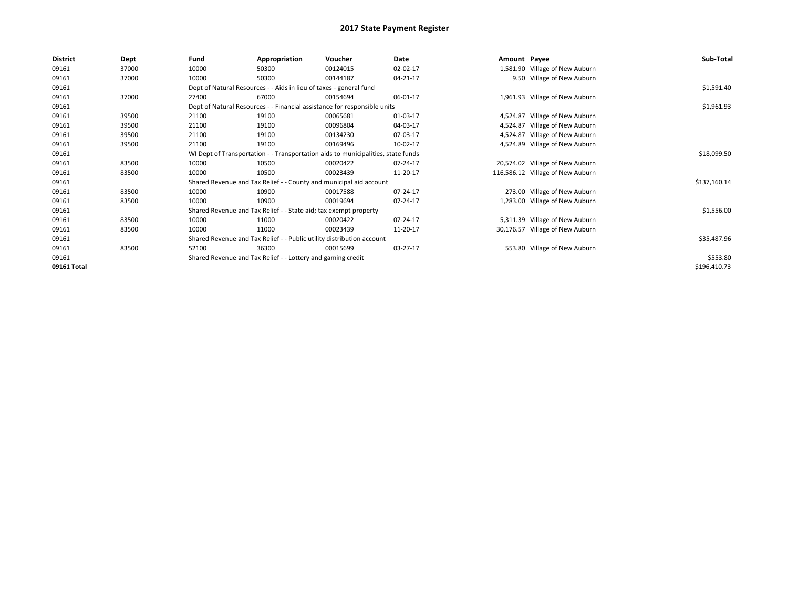| <b>District</b> | Dept  | Fund  | Appropriation                                                                    | Voucher  | Date     | Amount Payee |                                  | Sub-Total    |  |
|-----------------|-------|-------|----------------------------------------------------------------------------------|----------|----------|--------------|----------------------------------|--------------|--|
| 09161           | 37000 | 10000 | 50300                                                                            | 00124015 | 02-02-17 |              | 1,581.90 Village of New Auburn   |              |  |
| 09161           | 37000 | 10000 | 50300                                                                            | 00144187 | 04-21-17 |              | 9.50 Village of New Auburn       |              |  |
| 09161           |       |       | Dept of Natural Resources - - Aids in lieu of taxes - general fund               |          |          |              |                                  | \$1,591.40   |  |
| 09161           | 37000 | 27400 | 67000                                                                            | 00154694 | 06-01-17 |              | 1,961.93 Village of New Auburn   |              |  |
| 09161           |       |       | Dept of Natural Resources - - Financial assistance for responsible units         |          |          |              |                                  |              |  |
| 09161           | 39500 | 21100 | 19100                                                                            | 00065681 | 01-03-17 | 4.524.87     | Village of New Auburn            |              |  |
| 09161           | 39500 | 21100 | 19100                                                                            | 00096804 | 04-03-17 | 4,524.87     | Village of New Auburn            |              |  |
| 09161           | 39500 | 21100 | 19100                                                                            | 00134230 | 07-03-17 | 4,524.87     | Village of New Auburn            |              |  |
| 09161           | 39500 | 21100 | 19100                                                                            | 00169496 | 10-02-17 |              | 4,524.89 Village of New Auburn   |              |  |
| 09161           |       |       | WI Dept of Transportation - - Transportation aids to municipalities, state funds |          |          |              |                                  | \$18,099.50  |  |
| 09161           | 83500 | 10000 | 10500                                                                            | 00020422 | 07-24-17 |              | 20,574.02 Village of New Auburn  |              |  |
| 09161           | 83500 | 10000 | 10500                                                                            | 00023439 | 11-20-17 |              | 116,586.12 Village of New Auburn |              |  |
| 09161           |       |       | Shared Revenue and Tax Relief - - County and municipal aid account               |          |          |              |                                  | \$137,160.14 |  |
| 09161           | 83500 | 10000 | 10900                                                                            | 00017588 | 07-24-17 |              | 273.00 Village of New Auburn     |              |  |
| 09161           | 83500 | 10000 | 10900                                                                            | 00019694 | 07-24-17 |              | 1,283.00 Village of New Auburn   |              |  |
| 09161           |       |       | Shared Revenue and Tax Relief - - State aid; tax exempt property                 |          |          |              |                                  | \$1,556.00   |  |
| 09161           | 83500 | 10000 | 11000                                                                            | 00020422 | 07-24-17 |              | 5,311.39 Village of New Auburn   |              |  |
| 09161           | 83500 | 10000 | 11000                                                                            | 00023439 | 11-20-17 |              | 30,176.57 Village of New Auburn  |              |  |
| 09161           |       |       | Shared Revenue and Tax Relief - - Public utility distribution account            |          |          |              |                                  | \$35,487.96  |  |
| 09161           | 83500 | 52100 | 36300                                                                            | 00015699 | 03-27-17 |              | 553.80 Village of New Auburn     |              |  |
| 09161           |       |       | Shared Revenue and Tax Relief - - Lottery and gaming credit                      |          |          |              |                                  | \$553.80     |  |
| 09161 Total     |       |       |                                                                                  |          |          |              |                                  | \$196,410.73 |  |
|                 |       |       |                                                                                  |          |          |              |                                  |              |  |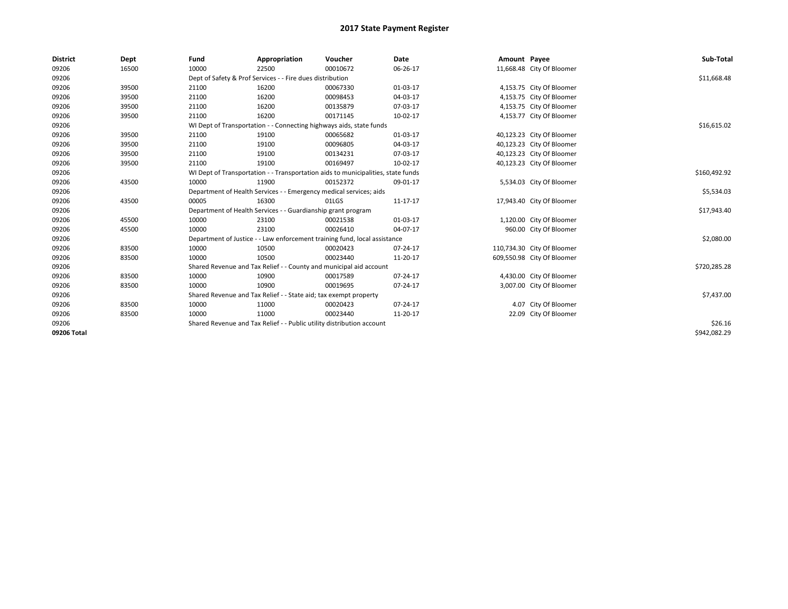| <b>District</b> | Dept  | Fund  | Appropriation                                                                    | Voucher  | <b>Date</b> | Amount Payee |                            | Sub-Total    |  |
|-----------------|-------|-------|----------------------------------------------------------------------------------|----------|-------------|--------------|----------------------------|--------------|--|
| 09206           | 16500 | 10000 | 22500                                                                            | 00010672 | 06-26-17    |              | 11,668.48 City Of Bloomer  |              |  |
| 09206           |       |       | Dept of Safety & Prof Services - - Fire dues distribution                        |          |             |              |                            | \$11,668.48  |  |
| 09206           | 39500 | 21100 | 16200                                                                            | 00067330 | 01-03-17    |              | 4,153.75 City Of Bloomer   |              |  |
| 09206           | 39500 | 21100 | 16200                                                                            | 00098453 | 04-03-17    |              | 4,153.75 City Of Bloomer   |              |  |
| 09206           | 39500 | 21100 | 16200                                                                            | 00135879 | 07-03-17    |              | 4,153.75 City Of Bloomer   |              |  |
| 09206           | 39500 | 21100 | 16200                                                                            | 00171145 | 10-02-17    |              | 4,153.77 City Of Bloomer   |              |  |
| 09206           |       |       | WI Dept of Transportation - - Connecting highways aids, state funds              |          |             |              |                            | \$16,615.02  |  |
| 09206           | 39500 | 21100 | 19100                                                                            | 00065682 | 01-03-17    |              | 40,123.23 City Of Bloomer  |              |  |
| 09206           | 39500 | 21100 | 19100                                                                            | 00096805 | 04-03-17    |              | 40,123.23 City Of Bloomer  |              |  |
| 09206           | 39500 | 21100 | 19100                                                                            | 00134231 | 07-03-17    |              | 40,123.23 City Of Bloomer  |              |  |
| 09206           | 39500 | 21100 | 19100                                                                            | 00169497 | 10-02-17    |              | 40,123.23 City Of Bloomer  |              |  |
| 09206           |       |       | WI Dept of Transportation - - Transportation aids to municipalities, state funds |          |             |              |                            | \$160,492.92 |  |
| 09206           | 43500 | 10000 | 11900                                                                            | 00152372 | 09-01-17    |              | 5,534.03 City Of Bloomer   |              |  |
| 09206           |       |       | Department of Health Services - - Emergency medical services; aids               |          |             |              |                            | \$5,534.03   |  |
| 09206           | 43500 | 00005 | 16300                                                                            | 01LGS    | 11-17-17    |              | 17,943.40 City Of Bloomer  |              |  |
| 09206           |       |       | Department of Health Services - - Guardianship grant program                     |          |             |              |                            | \$17,943.40  |  |
| 09206           | 45500 | 10000 | 23100                                                                            | 00021538 | 01-03-17    |              | 1,120.00 City Of Bloomer   |              |  |
| 09206           | 45500 | 10000 | 23100                                                                            | 00026410 | 04-07-17    |              | 960.00 City Of Bloomer     |              |  |
| 09206           |       |       | Department of Justice - - Law enforcement training fund, local assistance        |          |             |              |                            | \$2,080.00   |  |
| 09206           | 83500 | 10000 | 10500                                                                            | 00020423 | 07-24-17    |              | 110,734.30 City Of Bloomer |              |  |
| 09206           | 83500 | 10000 | 10500                                                                            | 00023440 | 11-20-17    |              | 609,550.98 City Of Bloomer |              |  |
| 09206           |       |       | Shared Revenue and Tax Relief - - County and municipal aid account               |          |             |              |                            | \$720,285.28 |  |
| 09206           | 83500 | 10000 | 10900                                                                            | 00017589 | 07-24-17    |              | 4,430.00 City Of Bloomer   |              |  |
| 09206           | 83500 | 10000 | 10900                                                                            | 00019695 | 07-24-17    |              | 3,007.00 City Of Bloomer   |              |  |
| 09206           |       |       | Shared Revenue and Tax Relief - - State aid; tax exempt property                 |          |             |              |                            | \$7,437.00   |  |
| 09206           | 83500 | 10000 | 11000                                                                            | 00020423 | 07-24-17    |              | 4.07 City Of Bloomer       |              |  |
| 09206           | 83500 | 10000 | 11000                                                                            | 00023440 | 11-20-17    |              | 22.09 City Of Bloomer      |              |  |
| 09206           |       |       | Shared Revenue and Tax Relief - - Public utility distribution account            |          |             |              |                            |              |  |
| 09206 Total     |       |       |                                                                                  |          |             |              |                            | \$942,082.29 |  |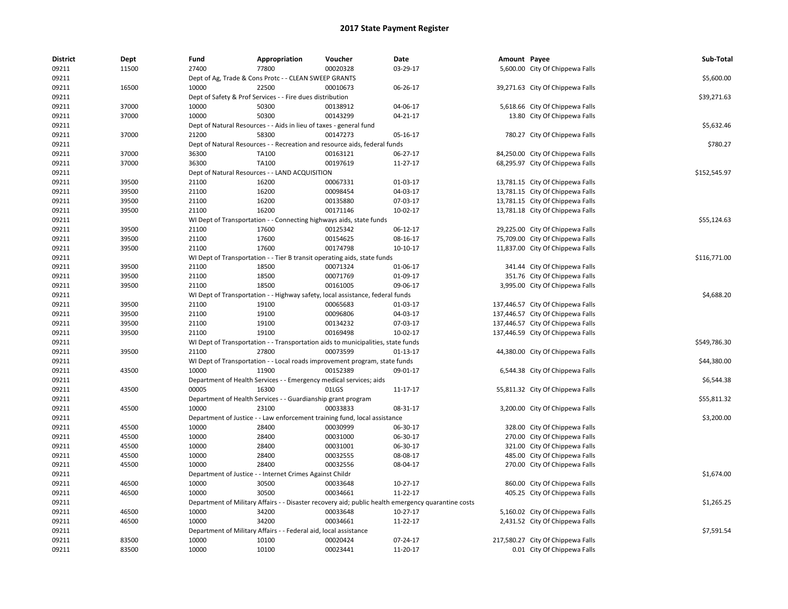| <b>District</b> | Dept  | Fund  | Appropriation                                                       | Voucher                                                                          | Date                                                                                               | Amount Payee |                                   | Sub-Total    |
|-----------------|-------|-------|---------------------------------------------------------------------|----------------------------------------------------------------------------------|----------------------------------------------------------------------------------------------------|--------------|-----------------------------------|--------------|
| 09211           | 11500 | 27400 | 77800                                                               | 00020328                                                                         | 03-29-17                                                                                           |              | 5,600.00 City Of Chippewa Falls   |              |
| 09211           |       |       | Dept of Ag, Trade & Cons Protc - - CLEAN SWEEP GRANTS               |                                                                                  |                                                                                                    |              |                                   | \$5,600.00   |
| 09211           | 16500 | 10000 | 22500                                                               | 00010673                                                                         | 06-26-17                                                                                           |              | 39,271.63 City Of Chippewa Falls  |              |
| 09211           |       |       | Dept of Safety & Prof Services - - Fire dues distribution           |                                                                                  |                                                                                                    |              |                                   | \$39,271.63  |
| 09211           | 37000 | 10000 | 50300                                                               | 00138912                                                                         | 04-06-17                                                                                           |              | 5,618.66 City Of Chippewa Falls   |              |
| 09211           | 37000 | 10000 | 50300                                                               | 00143299                                                                         | $04 - 21 - 17$                                                                                     |              | 13.80 City Of Chippewa Falls      |              |
| 09211           |       |       | Dept of Natural Resources - - Aids in lieu of taxes - general fund  |                                                                                  |                                                                                                    |              |                                   | \$5,632.46   |
| 09211           | 37000 | 21200 | 58300                                                               | 00147273                                                                         | 05-16-17                                                                                           |              | 780.27 City Of Chippewa Falls     |              |
| 09211           |       |       |                                                                     | Dept of Natural Resources - - Recreation and resource aids, federal funds        |                                                                                                    |              |                                   | \$780.27     |
| 09211           | 37000 | 36300 | TA100                                                               | 00163121                                                                         | 06-27-17                                                                                           |              | 84,250.00 City Of Chippewa Falls  |              |
| 09211           | 37000 | 36300 | TA100                                                               | 00197619                                                                         | 11-27-17                                                                                           |              | 68,295.97 City Of Chippewa Falls  |              |
| 09211           |       |       | Dept of Natural Resources - - LAND ACQUISITION                      |                                                                                  |                                                                                                    |              |                                   | \$152,545.97 |
| 09211           | 39500 | 21100 | 16200                                                               | 00067331                                                                         | 01-03-17                                                                                           |              | 13,781.15 City Of Chippewa Falls  |              |
| 09211           | 39500 | 21100 | 16200                                                               | 00098454                                                                         | 04-03-17                                                                                           |              | 13,781.15 City Of Chippewa Falls  |              |
| 09211           | 39500 | 21100 | 16200                                                               | 00135880                                                                         | 07-03-17                                                                                           |              | 13,781.15 City Of Chippewa Falls  |              |
| 09211           | 39500 | 21100 | 16200                                                               | 00171146                                                                         | 10-02-17                                                                                           |              | 13,781.18 City Of Chippewa Falls  |              |
| 09211           |       |       | WI Dept of Transportation - - Connecting highways aids, state funds |                                                                                  |                                                                                                    |              |                                   | \$55,124.63  |
| 09211           | 39500 | 21100 | 17600                                                               | 00125342                                                                         | 06-12-17                                                                                           |              | 29,225.00 City Of Chippewa Falls  |              |
| 09211           | 39500 | 21100 | 17600                                                               | 00154625                                                                         | 08-16-17                                                                                           |              | 75,709.00 City Of Chippewa Falls  |              |
| 09211           | 39500 | 21100 | 17600                                                               | 00174798                                                                         | $10-10-17$                                                                                         |              | 11,837.00 City Of Chippewa Falls  |              |
| 09211           |       |       |                                                                     | WI Dept of Transportation - - Tier B transit operating aids, state funds         |                                                                                                    |              |                                   | \$116,771.00 |
| 09211           | 39500 | 21100 | 18500                                                               | 00071324                                                                         | 01-06-17                                                                                           |              | 341.44 City Of Chippewa Falls     |              |
| 09211           | 39500 | 21100 | 18500                                                               | 00071769                                                                         | 01-09-17                                                                                           |              | 351.76 City Of Chippewa Falls     |              |
| 09211           | 39500 | 21100 | 18500                                                               | 00161005                                                                         | 09-06-17                                                                                           |              | 3,995.00 City Of Chippewa Falls   |              |
| 09211           |       |       |                                                                     | WI Dept of Transportation - - Highway safety, local assistance, federal funds    |                                                                                                    |              |                                   | \$4,688.20   |
| 09211           | 39500 | 21100 | 19100                                                               | 00065683                                                                         | 01-03-17                                                                                           |              | 137,446.57 City Of Chippewa Falls |              |
| 09211           | 39500 | 21100 | 19100                                                               | 00096806                                                                         | 04-03-17                                                                                           |              | 137,446.57 City Of Chippewa Falls |              |
| 09211           | 39500 | 21100 | 19100                                                               | 00134232                                                                         | 07-03-17                                                                                           |              | 137,446.57 City Of Chippewa Falls |              |
| 09211           | 39500 | 21100 | 19100                                                               | 00169498                                                                         | 10-02-17                                                                                           |              | 137,446.59 City Of Chippewa Falls |              |
| 09211           |       |       |                                                                     | WI Dept of Transportation - - Transportation aids to municipalities, state funds |                                                                                                    |              |                                   | \$549,786.30 |
| 09211           | 39500 | 21100 | 27800                                                               | 00073599                                                                         | $01-13-17$                                                                                         |              | 44,380.00 City Of Chippewa Falls  |              |
| 09211           |       |       |                                                                     | WI Dept of Transportation - - Local roads improvement program, state funds       |                                                                                                    |              |                                   | \$44,380.00  |
| 09211           | 43500 | 10000 | 11900                                                               | 00152389                                                                         | 09-01-17                                                                                           |              | 6,544.38 City Of Chippewa Falls   |              |
| 09211           |       |       | Department of Health Services - - Emergency medical services; aids  |                                                                                  |                                                                                                    |              |                                   | \$6,544.38   |
| 09211           | 43500 | 00005 | 16300                                                               | 01LGS                                                                            | 11-17-17                                                                                           |              | 55,811.32 City Of Chippewa Falls  |              |
| 09211           |       |       | Department of Health Services - - Guardianship grant program        |                                                                                  |                                                                                                    |              |                                   | \$55,811.32  |
| 09211           | 45500 | 10000 | 23100                                                               | 00033833                                                                         | 08-31-17                                                                                           |              | 3,200.00 City Of Chippewa Falls   |              |
| 09211           |       |       |                                                                     | Department of Justice - - Law enforcement training fund, local assistance        |                                                                                                    |              |                                   | \$3,200.00   |
| 09211           | 45500 | 10000 | 28400                                                               | 00030999                                                                         | 06-30-17                                                                                           |              | 328.00 City Of Chippewa Falls     |              |
| 09211           | 45500 | 10000 | 28400                                                               | 00031000                                                                         | 06-30-17                                                                                           |              | 270.00 City Of Chippewa Falls     |              |
| 09211           | 45500 | 10000 | 28400                                                               | 00031001                                                                         | 06-30-17                                                                                           |              | 321.00 City Of Chippewa Falls     |              |
| 09211           | 45500 | 10000 | 28400                                                               | 00032555                                                                         | 08-08-17                                                                                           |              | 485.00 City Of Chippewa Falls     |              |
| 09211           | 45500 | 10000 | 28400                                                               | 00032556                                                                         | 08-04-17                                                                                           |              | 270.00 City Of Chippewa Falls     |              |
| 09211           |       |       |                                                                     |                                                                                  |                                                                                                    |              |                                   | \$1,674.00   |
|                 |       |       | Department of Justice - - Internet Crimes Against Childr            |                                                                                  |                                                                                                    |              |                                   |              |
| 09211           | 46500 | 10000 | 30500                                                               | 00033648                                                                         | 10-27-17                                                                                           |              | 860.00 City Of Chippewa Falls     |              |
| 09211           | 46500 | 10000 | 30500                                                               | 00034661                                                                         | 11-22-17                                                                                           |              | 405.25 City Of Chippewa Falls     |              |
| 09211           |       |       |                                                                     |                                                                                  | Department of Military Affairs - - Disaster recovery aid; public health emergency quarantine costs |              |                                   | \$1,265.25   |
| 09211           | 46500 | 10000 | 34200                                                               | 00033648                                                                         | 10-27-17                                                                                           |              | 5,160.02 City Of Chippewa Falls   |              |
| 09211           | 46500 | 10000 | 34200                                                               | 00034661                                                                         | 11-22-17                                                                                           |              | 2,431.52 City Of Chippewa Falls   |              |
| 09211           |       |       | Department of Military Affairs - - Federal aid, local assistance    |                                                                                  |                                                                                                    |              |                                   | \$7,591.54   |
| 09211           | 83500 | 10000 | 10100                                                               | 00020424                                                                         | 07-24-17                                                                                           |              | 217,580.27 City Of Chippewa Falls |              |
| 09211           | 83500 | 10000 | 10100                                                               | 00023441                                                                         | 11-20-17                                                                                           |              | 0.01 City Of Chippewa Falls       |              |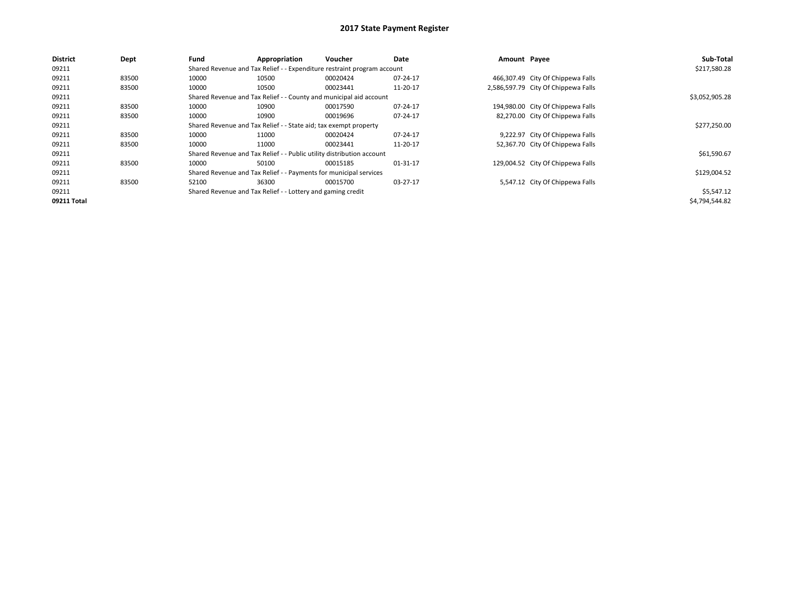| <b>District</b> | Dept  | Fund  | Appropriation                                                           | Voucher  | Date     | Amount Payee |                                     | Sub-Total      |  |  |
|-----------------|-------|-------|-------------------------------------------------------------------------|----------|----------|--------------|-------------------------------------|----------------|--|--|
| 09211           |       |       | Shared Revenue and Tax Relief - - Expenditure restraint program account |          |          |              |                                     | \$217,580.28   |  |  |
| 09211           | 83500 | 10000 | 10500                                                                   | 00020424 | 07-24-17 |              | 466,307.49 City Of Chippewa Falls   |                |  |  |
| 09211           | 83500 | 10000 | 10500                                                                   | 00023441 | 11-20-17 |              | 2,586,597.79 City Of Chippewa Falls |                |  |  |
| 09211           |       |       | Shared Revenue and Tax Relief - - County and municipal aid account      |          |          |              |                                     |                |  |  |
| 09211           | 83500 | 10000 | 10900                                                                   | 00017590 | 07-24-17 |              | 194,980.00 City Of Chippewa Falls   |                |  |  |
| 09211           | 83500 | 10000 | 10900                                                                   | 00019696 | 07-24-17 |              | 82,270.00 City Of Chippewa Falls    |                |  |  |
| 09211           |       |       | Shared Revenue and Tax Relief - - State aid; tax exempt property        |          |          |              |                                     |                |  |  |
| 09211           | 83500 | 10000 | 11000                                                                   | 00020424 | 07-24-17 |              | 9,222.97 City Of Chippewa Falls     |                |  |  |
| 09211           | 83500 | 10000 | 11000                                                                   | 00023441 | 11-20-17 |              | 52,367.70 City Of Chippewa Falls    |                |  |  |
| 09211           |       |       | Shared Revenue and Tax Relief - - Public utility distribution account   |          |          |              |                                     | \$61,590.67    |  |  |
| 09211           | 83500 | 10000 | 50100                                                                   | 00015185 | 01-31-17 |              | 129,004.52 City Of Chippewa Falls   |                |  |  |
| 09211           |       |       | Shared Revenue and Tax Relief - - Payments for municipal services       |          |          |              |                                     | \$129,004.52   |  |  |
| 09211           | 83500 | 52100 | 36300                                                                   | 00015700 | 03-27-17 |              | 5,547.12 City Of Chippewa Falls     |                |  |  |
| 09211           |       |       | Shared Revenue and Tax Relief - - Lottery and gaming credit             |          |          |              |                                     | \$5,547.12     |  |  |
| 09211 Total     |       |       |                                                                         |          |          |              |                                     | \$4,794,544.82 |  |  |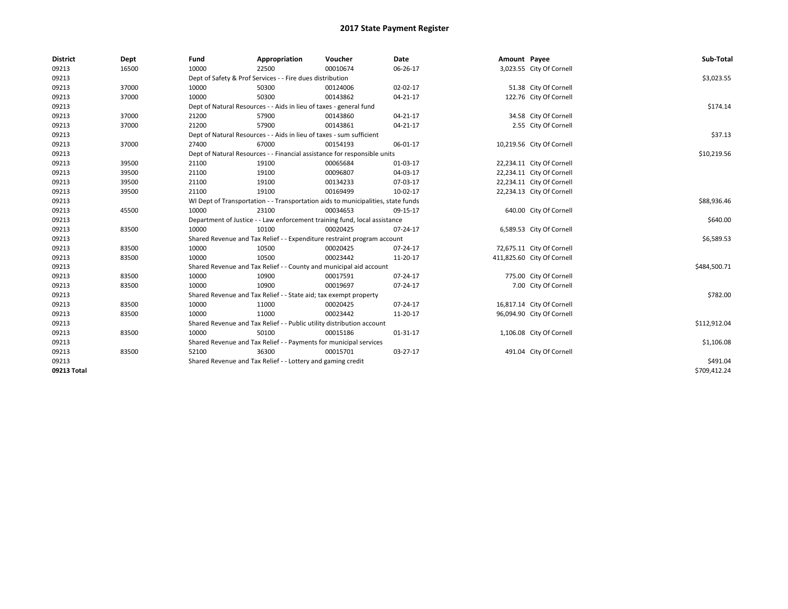| <b>District</b> | Dept  | Fund                                                                             | Appropriation                                                         | Voucher                                                                   | Date     | Amount Payee |                            | Sub-Total    |
|-----------------|-------|----------------------------------------------------------------------------------|-----------------------------------------------------------------------|---------------------------------------------------------------------------|----------|--------------|----------------------------|--------------|
| 09213           | 16500 | 10000                                                                            | 22500                                                                 | 00010674                                                                  | 06-26-17 |              | 3,023.55 City Of Cornell   |              |
| 09213           |       |                                                                                  | Dept of Safety & Prof Services - - Fire dues distribution             |                                                                           |          |              |                            | \$3,023.55   |
| 09213           | 37000 | 10000                                                                            | 50300                                                                 | 00124006                                                                  | 02-02-17 |              | 51.38 City Of Cornell      |              |
| 09213           | 37000 | 10000                                                                            | 50300                                                                 | 00143862                                                                  | 04-21-17 |              | 122.76 City Of Cornell     |              |
| 09213           |       |                                                                                  | Dept of Natural Resources - - Aids in lieu of taxes - general fund    |                                                                           |          |              |                            | \$174.14     |
| 09213           | 37000 | 21200                                                                            | 57900                                                                 | 00143860                                                                  | 04-21-17 |              | 34.58 City Of Cornell      |              |
| 09213           | 37000 | 21200                                                                            | 57900                                                                 | 00143861                                                                  | 04-21-17 |              | 2.55 City Of Cornell       |              |
| 09213           |       |                                                                                  | Dept of Natural Resources - - Aids in lieu of taxes - sum sufficient  |                                                                           |          |              |                            | \$37.13      |
| 09213           | 37000 | 27400                                                                            | 67000                                                                 | 00154193                                                                  | 06-01-17 |              | 10,219.56 City Of Cornell  |              |
| 09213           |       |                                                                                  |                                                                       | Dept of Natural Resources - - Financial assistance for responsible units  |          |              |                            | \$10,219.56  |
| 09213           | 39500 | 21100                                                                            | 19100                                                                 | 00065684                                                                  | 01-03-17 |              | 22,234.11 City Of Cornell  |              |
| 09213           | 39500 | 21100                                                                            | 19100                                                                 | 00096807                                                                  | 04-03-17 |              | 22,234.11 City Of Cornell  |              |
| 09213           | 39500 | 21100                                                                            | 19100                                                                 | 00134233                                                                  | 07-03-17 |              | 22,234.11 City Of Cornell  |              |
| 09213           | 39500 | 21100                                                                            | 19100                                                                 | 00169499                                                                  | 10-02-17 |              | 22,234.13 City Of Cornell  |              |
| 09213           |       | WI Dept of Transportation - - Transportation aids to municipalities, state funds | \$88,936.46                                                           |                                                                           |          |              |                            |              |
| 09213           | 45500 | 10000                                                                            | 23100                                                                 | 00034653                                                                  | 09-15-17 |              | 640.00 City Of Cornell     |              |
| 09213           |       |                                                                                  |                                                                       | Department of Justice - - Law enforcement training fund, local assistance |          |              |                            | \$640.00     |
| 09213           | 83500 | 10000                                                                            | 10100                                                                 | 00020425                                                                  | 07-24-17 |              | 6,589.53 City Of Cornell   |              |
| 09213           |       |                                                                                  |                                                                       | Shared Revenue and Tax Relief - - Expenditure restraint program account   |          |              |                            | \$6,589.53   |
| 09213           | 83500 | 10000                                                                            | 10500                                                                 | 00020425                                                                  | 07-24-17 |              | 72,675.11 City Of Cornell  |              |
| 09213           | 83500 | 10000                                                                            | 10500                                                                 | 00023442                                                                  | 11-20-17 |              | 411,825.60 City Of Cornell |              |
| 09213           |       |                                                                                  |                                                                       | Shared Revenue and Tax Relief - - County and municipal aid account        |          |              |                            | \$484,500.71 |
| 09213           | 83500 | 10000                                                                            | 10900                                                                 | 00017591                                                                  | 07-24-17 |              | 775.00 City Of Cornell     |              |
| 09213           | 83500 | 10000                                                                            | 10900                                                                 | 00019697                                                                  | 07-24-17 |              | 7.00 City Of Cornell       |              |
| 09213           |       |                                                                                  | Shared Revenue and Tax Relief - - State aid; tax exempt property      |                                                                           |          |              |                            | \$782.00     |
| 09213           | 83500 | 10000                                                                            | 11000                                                                 | 00020425                                                                  | 07-24-17 |              | 16,817.14 City Of Cornell  |              |
| 09213           | 83500 | 10000                                                                            | 11000                                                                 | 00023442                                                                  | 11-20-17 |              | 96,094.90 City Of Cornell  |              |
| 09213           |       |                                                                                  | Shared Revenue and Tax Relief - - Public utility distribution account |                                                                           |          |              |                            | \$112,912.04 |
| 09213           | 83500 | 10000                                                                            | 50100                                                                 | 00015186                                                                  | 01-31-17 |              | 1,106.08 City Of Cornell   |              |
| 09213           |       |                                                                                  | Shared Revenue and Tax Relief - - Payments for municipal services     |                                                                           |          |              |                            | \$1,106.08   |
| 09213           | 83500 | 52100                                                                            | 36300                                                                 | 00015701                                                                  | 03-27-17 |              | 491.04 City Of Cornell     |              |
| 09213           |       | Shared Revenue and Tax Relief - - Lottery and gaming credit                      | \$491.04                                                              |                                                                           |          |              |                            |              |
| 09213 Total     |       |                                                                                  |                                                                       |                                                                           |          |              |                            | \$709,412.24 |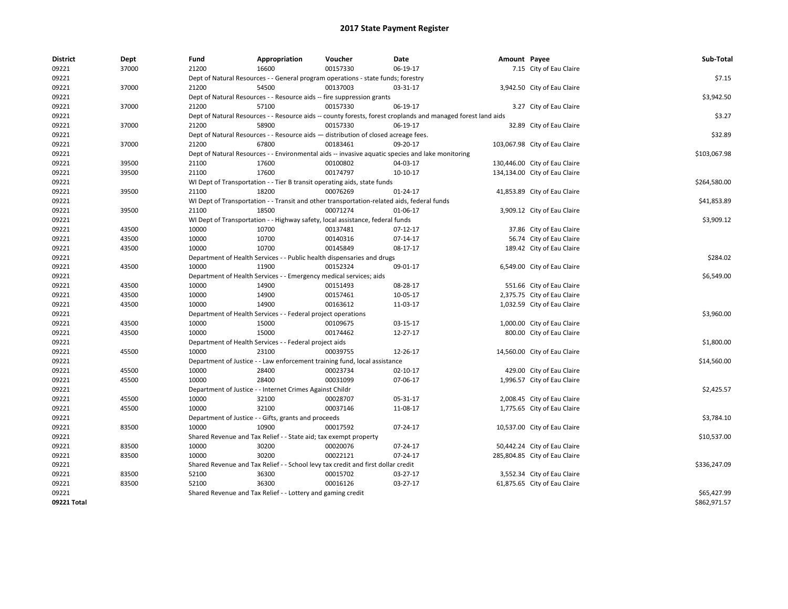| <b>District</b> | Dept  | Fund                                                                                                         | Appropriation                                                                              | Voucher    | Date           | Amount Payee |                               | Sub-Total    |
|-----------------|-------|--------------------------------------------------------------------------------------------------------------|--------------------------------------------------------------------------------------------|------------|----------------|--------------|-------------------------------|--------------|
| 09221           | 37000 | 21200                                                                                                        | 16600                                                                                      | 00157330   | 06-19-17       |              | 7.15 City of Eau Claire       |              |
| 09221           |       | Dept of Natural Resources - - General program operations - state funds; forestry                             | \$7.15                                                                                     |            |                |              |                               |              |
| 09221           | 37000 | 21200                                                                                                        | 54500                                                                                      | 00137003   | 03-31-17       |              | 3,942.50 City of Eau Claire   |              |
| 09221           |       | Dept of Natural Resources - - Resource aids -- fire suppression grants                                       | \$3,942.50                                                                                 |            |                |              |                               |              |
| 09221           | 37000 | 21200                                                                                                        | 57100                                                                                      | 00157330   | 06-19-17       |              | 3.27 City of Eau Claire       |              |
| 09221           |       | Dept of Natural Resources - - Resource aids -- county forests, forest croplands and managed forest land aids | \$3.27                                                                                     |            |                |              |                               |              |
| 09221           | 37000 | 21200                                                                                                        | 58900                                                                                      | 00157330   | 06-19-17       |              | 32.89 City of Eau Claire      |              |
| 09221           |       | Dept of Natural Resources - - Resource aids - distribution of closed acreage fees.                           | \$32.89                                                                                    |            |                |              |                               |              |
| 09221           | 37000 | 21200                                                                                                        | 67800                                                                                      | 00183461   | 09-20-17       |              | 103,067.98 City of Eau Claire |              |
| 09221           |       | Dept of Natural Resources - - Environmental aids -- invasive aquatic species and lake monitoring             | \$103,067.98                                                                               |            |                |              |                               |              |
| 09221           | 39500 | 21100                                                                                                        | 17600                                                                                      | 00100802   | 04-03-17       |              | 130,446.00 City of Eau Claire |              |
| 09221           | 39500 | 21100                                                                                                        | 17600                                                                                      | 00174797   | 10-10-17       |              | 134,134.00 City of Eau Claire |              |
| 09221           |       | WI Dept of Transportation - - Tier B transit operating aids, state funds                                     | \$264,580.00                                                                               |            |                |              |                               |              |
| 09221           | 39500 | 21100                                                                                                        | 18200                                                                                      | 00076269   | 01-24-17       |              | 41,853.89 City of Eau Claire  |              |
| 09221           |       |                                                                                                              | WI Dept of Transportation - - Transit and other transportation-related aids, federal funds |            |                |              |                               | \$41,853.89  |
| 09221           | 39500 | 21100                                                                                                        | 18500                                                                                      | 00071274   | 01-06-17       |              | 3,909.12 City of Eau Claire   |              |
| 09221           |       |                                                                                                              | WI Dept of Transportation - - Highway safety, local assistance, federal funds              |            |                |              |                               | \$3,909.12   |
| 09221           | 43500 | 10000                                                                                                        | 10700                                                                                      | 00137481   | $07-12-17$     |              | 37.86 City of Eau Claire      |              |
| 09221           | 43500 | 10000                                                                                                        | 10700                                                                                      | 00140316   | $07-14-17$     |              | 56.74 City of Eau Claire      |              |
| 09221           | 43500 | 10000                                                                                                        | 10700                                                                                      | 00145849   | 08-17-17       |              | 189.42 City of Eau Claire     |              |
| 09221           |       |                                                                                                              | Department of Health Services - - Public health dispensaries and drugs                     |            |                |              |                               | \$284.02     |
| 09221           | 43500 | 10000                                                                                                        | 11900                                                                                      | 00152324   | 09-01-17       |              | 6,549.00 City of Eau Claire   |              |
| 09221           |       | Department of Health Services - - Emergency medical services; aids                                           |                                                                                            | \$6,549.00 |                |              |                               |              |
| 09221           | 43500 | 10000                                                                                                        | 14900                                                                                      | 00151493   | 08-28-17       |              | 551.66 City of Eau Claire     |              |
| 09221           | 43500 | 10000                                                                                                        | 14900                                                                                      | 00157461   | 10-05-17       |              | 2,375.75 City of Eau Claire   |              |
| 09221           | 43500 | 10000                                                                                                        | 14900                                                                                      | 00163612   | 11-03-17       |              | 1,032.59 City of Eau Claire   |              |
| 09221           |       |                                                                                                              | Department of Health Services - - Federal project operations                               |            |                |              |                               | \$3,960.00   |
| 09221           | 43500 | 10000                                                                                                        | 15000                                                                                      | 00109675   | 03-15-17       |              | 1,000.00 City of Eau Claire   |              |
| 09221           | 43500 | 10000                                                                                                        | 15000                                                                                      | 00174462   | 12-27-17       |              | 800.00 City of Eau Claire     |              |
| 09221           |       | Department of Health Services - - Federal project aids                                                       | \$1,800.00                                                                                 |            |                |              |                               |              |
| 09221           | 45500 | 10000                                                                                                        | 23100                                                                                      | 00039755   | 12-26-17       |              | 14,560.00 City of Eau Claire  |              |
| 09221           |       | Department of Justice - - Law enforcement training fund, local assistance                                    | \$14,560.00                                                                                |            |                |              |                               |              |
| 09221           | 45500 | 10000                                                                                                        | 28400                                                                                      | 00023734   | $02 - 10 - 17$ |              | 429.00 City of Eau Claire     |              |
| 09221           | 45500 | 10000                                                                                                        | 28400                                                                                      | 00031099   | 07-06-17       |              | 1,996.57 City of Eau Claire   |              |
| 09221           |       |                                                                                                              | Department of Justice - - Internet Crimes Against Childr                                   |            |                |              |                               | \$2,425.57   |
| 09221           | 45500 | 10000                                                                                                        | 32100                                                                                      | 00028707   | 05-31-17       |              | 2,008.45 City of Eau Claire   |              |
| 09221           | 45500 | 10000                                                                                                        | 32100                                                                                      | 00037146   | 11-08-17       |              | 1,775.65 City of Eau Claire   |              |
| 09221           |       | Department of Justice - - Gifts, grants and proceeds                                                         | \$3,784.10                                                                                 |            |                |              |                               |              |
| 09221           | 83500 | 10000                                                                                                        | 10900                                                                                      | 00017592   | 07-24-17       |              | 10,537.00 City of Eau Claire  |              |
| 09221           |       |                                                                                                              | Shared Revenue and Tax Relief - - State aid; tax exempt property                           |            |                |              |                               | \$10,537.00  |
| 09221           | 83500 | 10000                                                                                                        | 30200                                                                                      | 00020076   | 07-24-17       |              | 50,442.24 City of Eau Claire  |              |
| 09221           | 83500 | 10000                                                                                                        | 30200                                                                                      | 00022121   | 07-24-17       |              | 285,804.85 City of Eau Claire |              |
| 09221           |       | Shared Revenue and Tax Relief - - School levy tax credit and first dollar credit                             | \$336,247.09                                                                               |            |                |              |                               |              |
| 09221           | 83500 | 52100                                                                                                        | 36300                                                                                      | 00015702   | 03-27-17       |              | 3,552.34 City of Eau Claire   |              |
| 09221           | 83500 | 52100                                                                                                        | 36300                                                                                      | 00016126   | 03-27-17       |              | 61,875.65 City of Eau Claire  |              |
| 09221           |       |                                                                                                              | Shared Revenue and Tax Relief - - Lottery and gaming credit                                |            |                |              |                               | \$65,427.99  |
| 09221 Total     |       |                                                                                                              |                                                                                            |            |                |              |                               | \$862,971.57 |